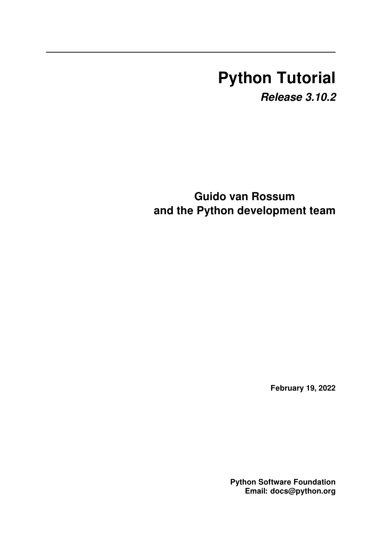# **Python Tutorial**

*Release 3.10.2*

**Guido van Rossum and the Python development team**

**February 19, 2022**

**Python Software Foundation Email: docs@python.org**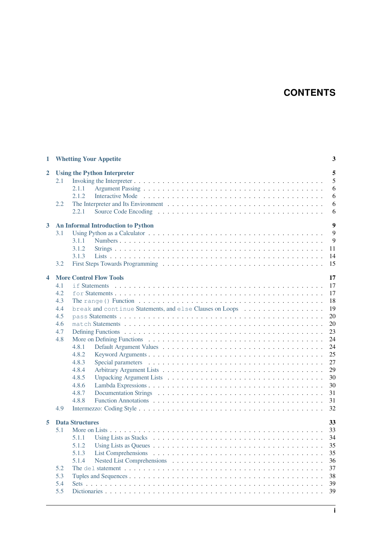## **CONTENTS**

| 1 | <b>Whetting Your Appetite</b><br>3                                                                                                                                                                                                                                                                                                                                                                                                                                       |  |  |  |  |  |  |
|---|--------------------------------------------------------------------------------------------------------------------------------------------------------------------------------------------------------------------------------------------------------------------------------------------------------------------------------------------------------------------------------------------------------------------------------------------------------------------------|--|--|--|--|--|--|
| 2 | 5<br><b>Using the Python Interpreter</b><br>5<br>2.1<br>6<br>2.1.1<br>6<br>2.1.2<br>6<br>2.2<br>2.2.1<br>6                                                                                                                                                                                                                                                                                                                                                               |  |  |  |  |  |  |
| 3 | 9<br>An Informal Introduction to Python<br>9<br>3.1<br>9<br>3.1.1<br>3.1.2<br>11<br>3.1.3<br>14<br>15<br>3.2                                                                                                                                                                                                                                                                                                                                                             |  |  |  |  |  |  |
| 4 | 17<br><b>More Control Flow Tools</b><br>17<br>4.1<br>4.2<br>17<br>4.3<br>18<br>The range () Function $\dots \dots \dots \dots \dots \dots \dots \dots \dots \dots \dots \dots \dots \dots \dots \dots$<br>19<br>break and continue Statements, and else Clauses on Loops<br>4.4<br>4.5<br>20<br>20<br>4.6<br>23<br>4.7<br>24<br>4.8<br>24<br>4.8.1<br>25<br>4.8.2<br>27<br>4.8.3<br>29<br>4.8.4<br>4.8.5<br>30<br>4.8.6<br>30<br>4.8.7<br>31<br>4.8.8<br>31<br>32<br>4.9 |  |  |  |  |  |  |
| 5 | <b>Data Structures</b><br>33<br>33<br>5.1<br>34<br>5.1.1<br>35<br>5.1.3<br>35<br>5.1.4<br>36<br>5.2<br>37<br>38<br>5.3<br>5.4<br>39<br>5.5<br>39                                                                                                                                                                                                                                                                                                                         |  |  |  |  |  |  |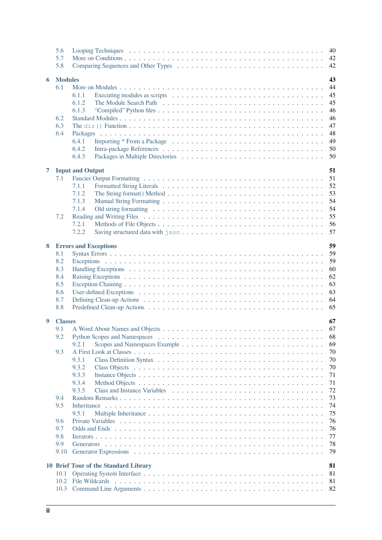|                | 5.6            | 40                                          |
|----------------|----------------|---------------------------------------------|
|                | 5.7            | 42                                          |
|                | 5.8            | 42                                          |
|                |                |                                             |
| 6              | <b>Modules</b> | 43                                          |
|                | 6.1            | 44                                          |
|                |                | 45<br>6.1.1                                 |
|                |                | 45<br>6.1.2                                 |
|                |                | 46<br>6.1.3                                 |
|                | 6.2            | 46                                          |
|                | 6.3            | 47                                          |
|                | 6.4            | 48                                          |
|                |                | Packages                                    |
|                |                | 49<br>6.4.1                                 |
|                |                | 6.4.2<br>50                                 |
|                |                | 50<br>6.4.3                                 |
|                |                |                                             |
| $\overline{7}$ |                | 51<br><b>Input and Output</b>               |
|                | 7.1            | 51                                          |
|                |                | 52<br>7.1.1                                 |
|                |                | 7.1.2<br>53                                 |
|                |                | 7.1.3<br>54                                 |
|                |                | 7.1.4<br>54                                 |
|                | 7.2            | 55                                          |
|                |                | 7.2.1<br>56                                 |
|                |                | 7.2.2<br>57                                 |
|                |                |                                             |
| 8              |                | 59<br><b>Errors and Exceptions</b>          |
|                | 8.1            | 59                                          |
|                | 8.2            | 59                                          |
|                |                |                                             |
|                | 8.3            | 60                                          |
|                | 8.4            | 62                                          |
|                | 8.5            | 63                                          |
|                | 8.6            | 63                                          |
|                | 8.7            | 64                                          |
|                | 8.8            | 65                                          |
|                |                |                                             |
| 9              | <b>Classes</b> | 67                                          |
|                | 9.1            |                                             |
|                | 9.2            | 68                                          |
|                |                | 69<br>9.2.1                                 |
|                | 9.3            | 70                                          |
|                |                | 9.3.1<br>70                                 |
|                |                | 9.3.2<br>70                                 |
|                |                | 9.3.3<br>71                                 |
|                |                |                                             |
|                |                | 9.3.4<br>71                                 |
|                |                | 9.3.5<br>72                                 |
|                | 9.4            | 73                                          |
|                | 9.5            | 74                                          |
|                |                | 75<br>9.5.1                                 |
|                | 9.6            | 76                                          |
|                | 9.7            | 76                                          |
|                | 9.8            | 77                                          |
|                | 9.9            | 78                                          |
|                | 9.10           | 79                                          |
|                |                |                                             |
|                |                | 81<br>10 Brief Tour of the Standard Library |
|                |                | 81                                          |
|                | 10.1           |                                             |
|                |                | 81                                          |
|                | 10.3           | 82                                          |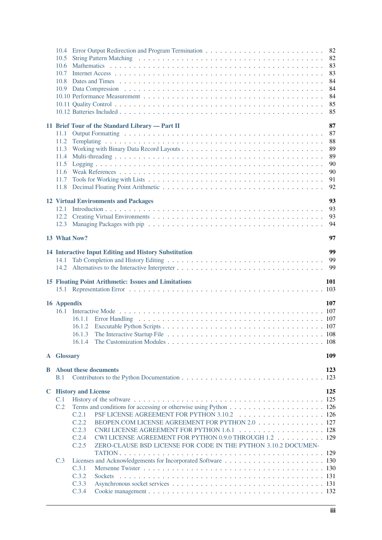|    |                   |                                                                         | 82         |  |  |  |  |  |
|----|-------------------|-------------------------------------------------------------------------|------------|--|--|--|--|--|
|    | 10.5              |                                                                         | 82         |  |  |  |  |  |
|    | 10.6              |                                                                         | 83         |  |  |  |  |  |
|    | 10.7              |                                                                         | 83         |  |  |  |  |  |
|    |                   |                                                                         | 84         |  |  |  |  |  |
|    |                   |                                                                         | 84         |  |  |  |  |  |
|    |                   |                                                                         | 84         |  |  |  |  |  |
|    |                   |                                                                         | 85         |  |  |  |  |  |
|    |                   |                                                                         | 85         |  |  |  |  |  |
|    |                   | 11 Brief Tour of the Standard Library - Part II                         | 87         |  |  |  |  |  |
|    | 11.1              |                                                                         | 87         |  |  |  |  |  |
|    | 11.2              |                                                                         | 88         |  |  |  |  |  |
|    | 11.3              |                                                                         | 89         |  |  |  |  |  |
|    | 11.4              |                                                                         | 89         |  |  |  |  |  |
|    | 11.5              |                                                                         | 90         |  |  |  |  |  |
|    |                   |                                                                         | 90         |  |  |  |  |  |
|    |                   |                                                                         | 91         |  |  |  |  |  |
|    |                   |                                                                         | 92         |  |  |  |  |  |
|    |                   |                                                                         |            |  |  |  |  |  |
|    |                   | <b>12 Virtual Environments and Packages</b>                             | 93         |  |  |  |  |  |
|    |                   |                                                                         | 93         |  |  |  |  |  |
|    |                   |                                                                         | 93         |  |  |  |  |  |
|    | 12.3              |                                                                         | 94         |  |  |  |  |  |
|    |                   | 13 What Now?                                                            | 97         |  |  |  |  |  |
|    |                   |                                                                         |            |  |  |  |  |  |
|    |                   | 14 Interactive Input Editing and History Substitution                   | 99         |  |  |  |  |  |
|    | 14.1              |                                                                         |            |  |  |  |  |  |
|    |                   |                                                                         |            |  |  |  |  |  |
|    |                   |                                                                         |            |  |  |  |  |  |
|    |                   |                                                                         |            |  |  |  |  |  |
|    |                   | 15 Floating Point Arithmetic: Issues and Limitations                    | <b>101</b> |  |  |  |  |  |
|    |                   |                                                                         |            |  |  |  |  |  |
|    |                   |                                                                         |            |  |  |  |  |  |
|    | 16 Appendix       |                                                                         | 107        |  |  |  |  |  |
|    |                   | 16.1.1                                                                  |            |  |  |  |  |  |
|    |                   | 16.1.2                                                                  |            |  |  |  |  |  |
|    |                   |                                                                         |            |  |  |  |  |  |
|    |                   |                                                                         |            |  |  |  |  |  |
|    |                   |                                                                         |            |  |  |  |  |  |
|    | <b>A</b> Glossary |                                                                         | 109        |  |  |  |  |  |
|    |                   |                                                                         |            |  |  |  |  |  |
| B. |                   | <b>About these documents</b>                                            | 123        |  |  |  |  |  |
|    | B.1               |                                                                         |            |  |  |  |  |  |
|    |                   |                                                                         | 125        |  |  |  |  |  |
|    | C.1               | <b>C</b> History and License                                            |            |  |  |  |  |  |
|    | C.2               |                                                                         |            |  |  |  |  |  |
|    |                   | C.2.1                                                                   |            |  |  |  |  |  |
|    |                   | BEOPEN.COM LICENSE AGREEMENT FOR PYTHON 2.0 127<br>C.2.2                |            |  |  |  |  |  |
|    |                   | C.2.3                                                                   |            |  |  |  |  |  |
|    |                   | CWI LICENSE AGREEMENT FOR PYTHON 0.9.0 THROUGH 1.2 129<br>C.2.4         |            |  |  |  |  |  |
|    |                   | ZERO-CLAUSE BSD LICENSE FOR CODE IN THE PYTHON 3.10.2 DOCUMEN-<br>C.2.5 |            |  |  |  |  |  |
|    |                   |                                                                         |            |  |  |  |  |  |
|    | C.3               |                                                                         |            |  |  |  |  |  |
|    |                   | C.3.1                                                                   |            |  |  |  |  |  |
|    |                   | C.3.2                                                                   |            |  |  |  |  |  |
|    |                   | C.3.3<br>C.3.4                                                          |            |  |  |  |  |  |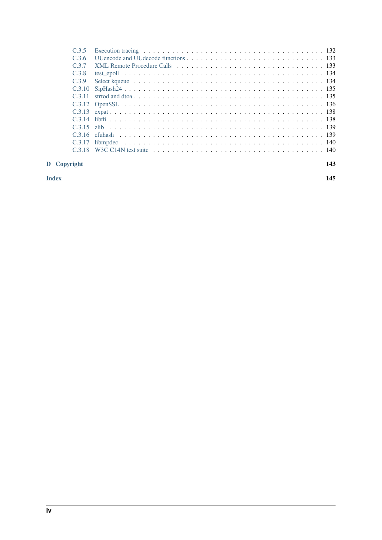| D Copyright     | 143 |
|-----------------|-----|
|                 |     |
|                 |     |
|                 |     |
|                 |     |
|                 |     |
|                 |     |
|                 |     |
| C.3.11          |     |
|                 |     |
| C.3.9           |     |
| C.3.8           |     |
| C <sub>37</sub> |     |
| C.3.6           |     |
| C <sub>35</sub> |     |

**Index 145**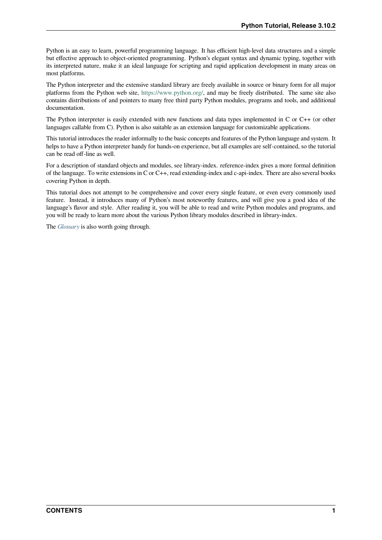Python is an easy to learn, powerful programming language. It has efficient high-level data structures and a simple but effective approach to object-oriented programming. Python's elegant syntax and dynamic typing, together with its interpreted nature, make it an ideal language for scripting and rapid application development in many areas on most platforms.

The Python interpreter and the extensive standard library are freely available in source or binary form for all major platforms from the Python web site, https://www.python.org/, and may be freely distributed. The same site also contains distributions of and pointers to many free third party Python modules, programs and tools, and additional documentation.

The Python interpreter is easily extended with new functions and data types implemented in C or C++ (or other languages callable from C). Python is [also suitable as an extensi](https://www.python.org/)on language for customizable applications.

This tutorial introduces the reader informally to the basic concepts and features of the Python language and system. It helps to have a Python interpreter handy for hands-on experience, but all examples are self-contained, so the tutorial can be read off-line as well.

For a description of standard objects and modules, see library-index. reference-index gives a more formal definition of the language. To write extensions in C or C++, read extending-index and c-api-index. There are also several books covering Python in depth.

This tutorial does not attempt to be comprehensive and cover every single feature, or even every commonly used feature. Instead, it introduces many of Python's most noteworthy features, and will give you a good idea of the language's flavor and style. After reading it, you will be able to read and write Python modules and programs, and you will be ready to learn more about the various Python library modules described in library-index.

The *Glossary* is also worth going through.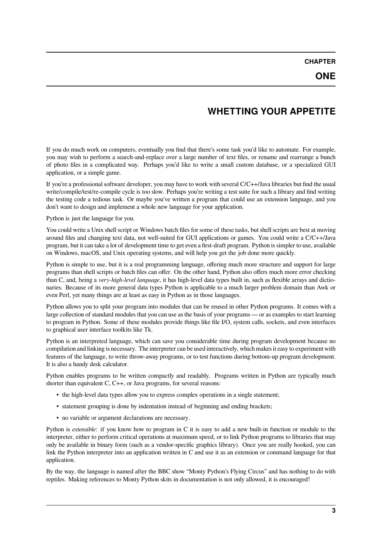## **WHETTING YOUR APPETITE**

<span id="page-8-0"></span>If you do much work on computers, eventually you find that there's some task you'd like to automate. For example, you may wish to perform a search-and-replace over a large number of text files, or rename and rearrange a bunch of photo files in a complicated way. Perhaps you'd like to write a small custom database, or a specialized GUI application, or a simple game.

If you're a professional software developer, you may have to work with several C/C++/Java libraries but find the usual write/compile/test/re-compile cycle is too slow. Perhaps you're writing a test suite for such a library and find writing the testing code a tedious task. Or maybe you've written a program that could use an extension language, and you don't want to design and implement a whole new language for your application.

Python is just the language for you.

You could write a Unix shell script or Windows batch files for some of these tasks, but shell scripts are best at moving around files and changing text data, not well-suited for GUI applications or games. You could write a C/C++/Java program, but it can take a lot of development time to get even a first-draft program. Python is simpler to use, available on Windows, macOS, and Unix operating systems, and will help you get the job done more quickly.

Python is simple to use, but it is a real programming language, offering much more structure and support for large programs than shell scripts or batch files can offer. On the other hand, Python also offers much more error checking than C, and, being a *very-high-level language*, it has high-level data types built in, such as flexible arrays and dictionaries. Because of its more general data types Python is applicable to a much larger problem domain than Awk or even Perl, yet many things are at least as easy in Python as in those languages.

Python allows you to split your program into modules that can be reused in other Python programs. It comes with a large collection of standard modules that you can use as the basis of your programs — or as examples to start learning to program in Python. Some of these modules provide things like file I/O, system calls, sockets, and even interfaces to graphical user interface toolkits like Tk.

Python is an interpreted language, which can save you considerable time during program development because no compilation and linking is necessary. The interpreter can be used interactively, which makes it easy to experiment with features of the language, to write throw-away programs, or to test functions during bottom-up program development. It is also a handy desk calculator.

Python enables programs to be written compactly and readably. Programs written in Python are typically much shorter than equivalent C, C++, or Java programs, for several reasons:

- the high-level data types allow you to express complex operations in a single statement;
- statement grouping is done by indentation instead of beginning and ending brackets;
- no variable or argument declarations are necessary.

Python is *extensible*: if you know how to program in C it is easy to add a new built-in function or module to the interpreter, either to perform critical operations at maximum speed, or to link Python programs to libraries that may only be available in binary form (such as a vendor-specific graphics library). Once you are really hooked, you can link the Python interpreter into an application written in C and use it as an extension or command language for that application.

By the way, the language is named after the BBC show "Monty Python's Flying Circus" and has nothing to do with reptiles. Making references to Monty Python skits in documentation is not only allowed, it is encouraged!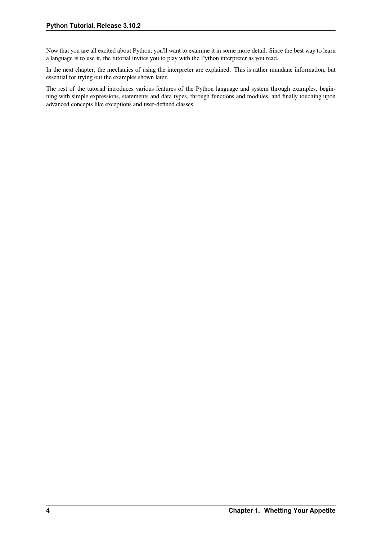Now that you are all excited about Python, you'll want to examine it in some more detail. Since the best way to learn a language is to use it, the tutorial invites you to play with the Python interpreter as you read.

In the next chapter, the mechanics of using the interpreter are explained. This is rather mundane information, but essential for trying out the examples shown later.

The rest of the tutorial introduces various features of the Python language and system through examples, beginning with simple expressions, statements and data types, through functions and modules, and finally touching upon advanced concepts like exceptions and user-defined classes.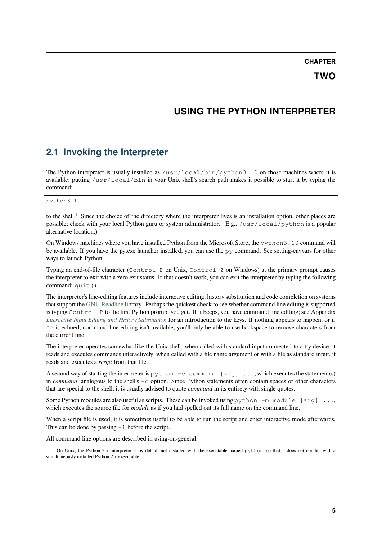**TWO**

## **USING THE PYTHON INTERPRETER**

## <span id="page-10-0"></span>**2.1 Invoking the Interpreter**

<span id="page-10-1"></span>The Python interpreter is usually installed as  $/$ usr $/$ local $/$ bin $/$ python3.10 on those machines where it is available; putting /usr/local/bin in your Unix shell's search path makes it possible to start it by typing the command:

python3.10

to the shell.<sup>1</sup> Since the choice of the directory where the interpreter lives is an installation option, other places are possible; check with your local Python guru or system administrator. (E.g., /usr/local/python is a popular alternative location.)

On Windo[ws](#page-10-2) machines where you have installed Python from the Microsoft Store, the python3.10 command will be available. If you have the py.exe launcher installed, you can use the py command. See setting-envvars for other ways to launch Python.

Typing an end-of-file character ( $\text{Contro1-D}$  on Unix,  $\text{Contro1-Z}$  on Windows) at the primary prompt causes the interpreter to exit with a zero exit status. If that doesn't work, you can exit the interpreter by typing the following command: quit().

The interpreter's line-editing features include interactive editing, history substitution and code completion on systems that support the GNU Readline library. Perhaps the quickest check to see whether command line editing is supported is typing Control-P to the first Python prompt you get. If it beeps, you have command line editing; see Appendix *Interactive Input Editing and History Substitution* for an introduction to the keys. If nothing appears to happen, or if  $^{\circ}$ P is echoed, command line editing isn't available; you'll only be able to use backspace to remove characters from the current line.

The interpreter operates somewhat like the Unix shell: when called with standard input connected to a tty device, it [reads and executes commands interactively; when](#page-104-0) called with a file name argument or with a file as standard input, it reads and executes a *script* from that file.

A second way of starting the interpreter is python  $-c$  command  $[arg] \ldots$ , which executes the statement(s) in *command*, analogous to the shell's  $-c$  option. Since Python statements often contain spaces or other characters that are special to the shell, it is usually advised to quote *command* in its entirety with single quotes.

Some Python modules are also useful as scripts. These can be invoked using python  $-m$  module [arg]  $\dots$ , which executes the source file for *module* as if you had spelled out its full name on the command line.

When a script file is used, it is sometimes useful to be able to run the script and enter interactive mode afterwards. This can be done by passing  $-i$  before the script.

All command line options are described in using-on-general.

<span id="page-10-2"></span><sup>&</sup>lt;sup>1</sup> On Unix, the Python 3.x interpreter is by default not installed with the executable named python, so that it does not conflict with a simultaneously installed Python 2.x executable.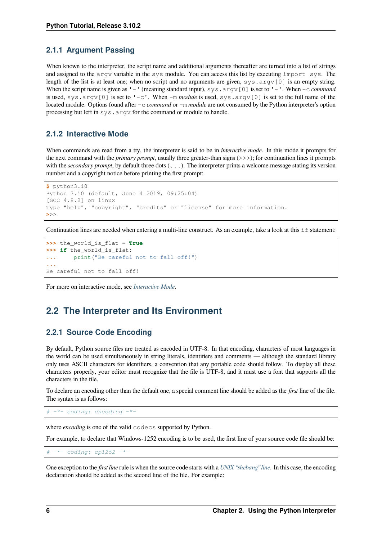#### **2.1.1 Argument Passing**

<span id="page-11-0"></span>When known to the interpreter, the script name and additional arguments thereafter are turned into a list of strings and assigned to the argv variable in the sys module. You can access this list by executing import sys. The length of the list is at least one; when no script and no arguments are given, sys.argv[0] is an empty string. When the script name is given as  $-1$  (meaning standard input), sys.argv[0] is set to  $-1$ . When  $-c$  *command* is used, sys.argv $[0]$  is set to '-c'. When  $-m$  module is used, sys.argv $[0]$  is set to the full name of the located module. Options found after -c *command* or -m *module* are not consumed by the Python interpreter's option processing but left in sys.argv for the command or module to handle.

#### **2.1.2 Interactive Mode**

<span id="page-11-1"></span>When commands are read from a tty, the interpreter is said to be in *interactive mode*. In this mode it prompts for the next command with the *primary prompt*, usually three greater-than signs (>>>); for continuation lines it prompts with the *secondary prompt*, by default three dots  $(\ldots)$ . The interpreter prints a welcome message stating its version number and a copyright notice before printing the first prompt:

```
$ python3.10
Python 3.10 (default, June 4 2019, 09:25:04)
[GCC 4.8.2] on linux
Type "help", "copyright", "credits" or "license" for more information.
>>>
```
Continuation lines are needed when entering a multi-line construct. As an example, take a look at this  $if$  statement:

```
>>> the_world_is_flat = True
>>> if the_world_is_flat:
... print("Be careful not to fall off!")
...
Be careful not to fall off!
```
For more on interactive mode, see *Interactive Mode*.

## **2.2 The Interpreter [and Its En](#page-112-1)vironment**

#### <span id="page-11-2"></span>**2.2.1 Source Code Encoding**

<span id="page-11-3"></span>By default, Python source files are treated as encoded in UTF-8. In that encoding, characters of most languages in the world can be used simultaneously in string literals, identifiers and comments — although the standard library only uses ASCII characters for identifiers, a convention that any portable code should follow. To display all these characters properly, your editor must recognize that the file is UTF-8, and it must use a font that supports all the characters in the file.

To declare an encoding other than the default one, a special comment line should be added as the *first* line of the file. The syntax is as follows:

*# -\*- coding: encoding -\*-*

where *encoding* is one of the valid codecs supported by Python.

For example, to declare that Windows-1252 encoding is to be used, the first line of your source code file should be:

*# -\*- coding: cp1252 -\*-*

One exception to the *first line* rule is when the source code starts with a *UNIX "shebang" line*. In this case, the encoding declaration should be added as the second line of the file. For example: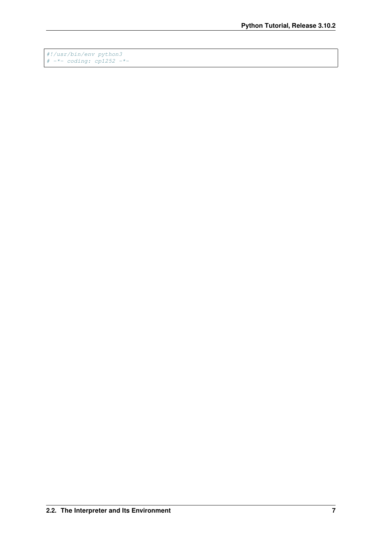*#!/usr/bin/env python3 # -\*- coding: cp1252 -\*-*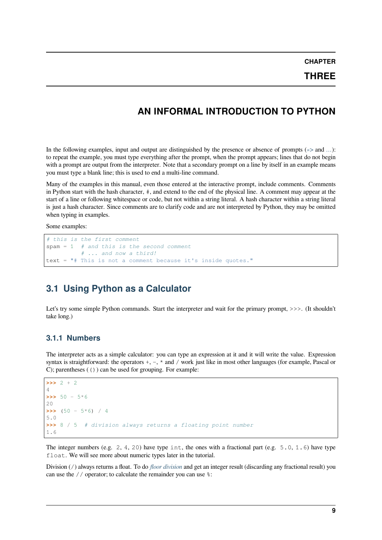## **AN INFORMAL INTRODUCTION TO PYTHON**

<span id="page-14-0"></span>In the following examples, input and output are distinguished by the presence or absence of prompts (*»>* and *…*): to repeat the example, you must type everything after the prompt, when the prompt appears; lines that do not begin with a prompt are output from the interpreter. Note that a secondary prompt on a line by itself in an example means you must type a blank line; this is used to end a multi-line command.

Many of the examples in this manual, even those entered at the interactive prompt, include comments. [Co](#page-114-1)mm[ent](#page-114-2)s in Python start with the hash character, #, and extend to the end of the physical line. A comment may appear at the start of a line or following whitespace or code, but not within a string literal. A hash character within a string literal is just a hash character. Since comments are to clarify code and are not interpreted by Python, they may be omitted when typing in examples.

Some examples:

```
# this is the first comment
spam = 1 # and this is the second comment
          # ... and now a third!
text = "# This is not a comment because it's inside quotes."
```
## **3.1 Using Python as a Calculator**

<span id="page-14-1"></span>Let's try some simple Python commands. Start the interpreter and wait for the primary prompt, >>>. (It shouldn't take long.)

#### **3.1.1 Numbers**

<span id="page-14-2"></span>The interpreter acts as a simple calculator: you can type an expression at it and it will write the value. Expression syntax is straightforward: the operators  $+,-$ ,  $*$  and  $/$  work just like in most other languages (for example, Pascal or C); parentheses (()) can be used for grouping. For example:

```
>>> 2 + 2
4
\Rightarrow 50 - 5*6
20
\Rightarrow (50 - 5 \star 6) / 4
5.0
>>> 8 / 5 # division always returns a floating point number
1.6
```
The integer numbers (e.g. 2, 4, 20) have type int, the ones with a fractional part (e.g. 5.0, 1.6) have type float. We will see more about numeric types later in the tutorial.

Division (/) always returns a float. To do *floor division* and get an integer result (discarding any fractional result) you can use the  $//$  operator; to calculate the remainder you can use  $\epsilon$ :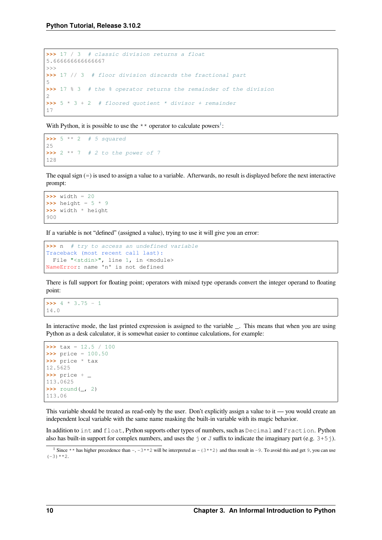```
>>> 17 / 3 # classic division returns a float
5.666666666666667
>>>
>>> 17 // 3 # floor division discards the fractional part
5
>>> 17 % 3 # the % operator returns the remainder of the division
2
>>> 5 * 3 + 2 # floored quotient * divisor + remainder
17
```
With Python, it is possible to use the  $**$  operator to calculate powers<sup>1</sup>:

```
>>> 5 ** 2 # 5 squared
25
>>> 2 ** 7 # 2 to the power of 7
128
```
The equal sign (=) is used to assign a value to a variable. Afterwards, no result is displayed before the next interactive prompt:

```
>>> width = 20
\Rightarrow height = 5 * 9>>> width * height
900
```
If a variable is not "defined" (assigned a value), trying to use it will give you an error:

```
>>> n # try to access an undefined variable
Traceback (most recent call last):
 File "<stdin>", line 1, in <module>
NameError: name 'n' is not defined
```
There is full support for floating point; operators with mixed type operands convert the integer operand to floating point:

```
\rightarrow > 4 * 3.75 - 1
14.0
```
In interactive mode, the last printed expression is assigned to the variable \_. This means that when you are using Python as a desk calculator, it is somewhat easier to continue calculations, for example:

```
>>> tax = 12.5 / 100
>>> price = 100.50
>>> price * tax
12.5625
>>> price + _
113.0625
>>> round(_, 2)
113.06
```
This variable should be treated as read-only by the user. Don't explicitly assign a value to it — you would create an independent local variable with the same name masking the built-in variable with its magic behavior.

In addition to int and float, Python supports other types of numbers, such as Decimal and Fraction. Python also has built-in support for complex numbers, and uses the  $\dot{\gamma}$  or J suffix to indicate the imaginary part (e.g. 3+5 $\dot{\gamma}$ ).

<sup>&</sup>lt;sup>1</sup> Since \*\* has higher precedence than  $-$ ,  $-3**2$  will be interpreted as  $-$  (3\*\*2) and thus result in -9. To avoid this and get 9, you can use  $(-3)$  \* \* 2.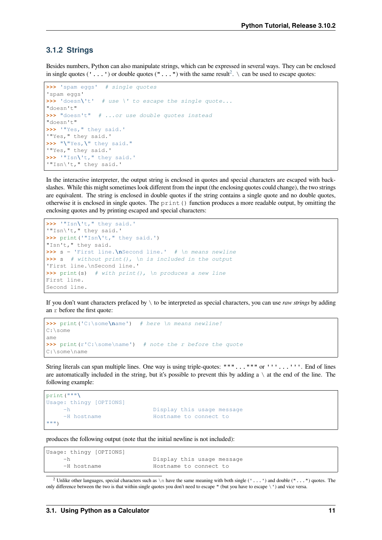#### **3.1.2 Strings**

Besides numbers, Python can also manipulate strings, which can be expressed in several ways. They can be enclosed in single quotes ('...') or double quotes ("...") with the same result<sup>2</sup>.  $\setminus$  can be used to escape quotes:

```
>>> 'spam eggs' # single quotes
'spam eggs'
>>> 'doesn\'t' # use \' to escape the single quote...
"doesn't"
>>> "doesn't" # ...or use double quotes instead
"doesn't"
>>> '"Yes," they said.'
'"Yes," they said.'
>>> "\"Yes,\" they said."
'"Yes," they said.'
>>> '"Isn\'t," they said.'
'"Isn\'t," they said.'
```
In the interactive interpreter, the output string is enclosed in quotes and special characters are escaped with backslashes. While this might sometimes look different from the input (the enclosing quotes could change), the two strings are equivalent. The string is enclosed in double quotes if the string contains a single quote and no double quotes, otherwise it is enclosed in single quotes. The  $print()$  function produces a more readable output, by omitting the enclosing quotes and by printing escaped and special characters:

```
>>> '"Isn\'t," they said.'
'"Isn\'t," they said.'
>>> print('"Isn\'t," they said.')
"Isn't," they said.
>>> s = 'First line.\nSecond line.' # \n means newline
>>> s # without print(), \n is included in the output
'First line.\nSecond line.'
>>> print(s) # with print(), \n produces a new line
First line.
Second line.
```
If you don't want characters prefaced by \ to be interpreted as special characters, you can use *raw strings* by adding an r before the first quote:

```
>>> print('C:\some\name') # here \n means newline!
C:\some
ame
>>> print(r'C:\some\name') # note the r before the quote
C:\some\name
```
String literals can span multiple lines. One way is using triple-quotes: """...""" or '''...'''. End of lines are automatically included in the string, but it's possible to prevent this by adding  $a \setminus at$  the end of the line. The following example:

```
print("""\
Usage: thingy [OPTIONS]
   -h Display this usage message
   -H hostname Hostname to connect to
""")
```
produces the following output (note that the initial newline is not included):

```
Usage: thingy [OPTIONS]
   -h Display this usage message
    -H hostname \qquad \qquad Hostname to connect to
```
<span id="page-16-1"></span><sup>2</sup> Unlike other languages, special characters such as  $\n\times$  have the same meaning with both single ('...') and double ("...") quotes. The only difference between the two is that within single quotes you don't need to escape " (but you have to escape \') and vice versa.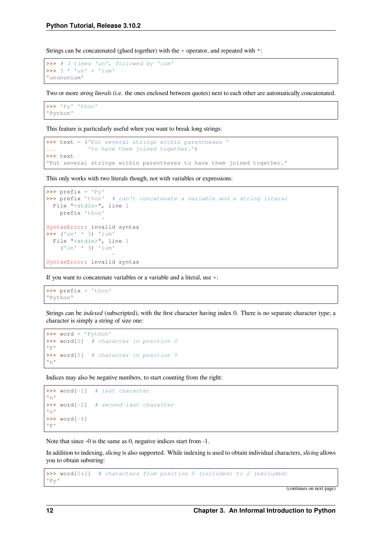Strings can be concatenated (glued together) with the + operator, and repeated with \*:

```
>>> # 3 times 'un', followed by 'ium'
>>> 3 * 'un' + 'ium'
'unununium'
```
Two or more *string literals* (i.e. the ones enclosed between quotes) next to each other are automatically concatenated.

```
>>> 'Py' 'thon'
'Python'
```
This feature is particularly useful when you want to break long strings:

```
>>> text = ('Put several strings within parentheses '
... 'to have them joined together.')
>>> text
'Put several strings within parentheses to have them joined together.'
```
This only works with two literals though, not with variables or expressions:

```
>>> prefix = 'Py'
>>> prefix 'thon' # can't concatenate a variable and a string literal
 File "<stdin>", line 1
   prefix 'thon'
                  \hat{\phantom{a}}SyntaxError: invalid syntax
>>> ('un' * 3) 'ium'
 File "<stdin>", line 1
    ('un' * 3) 'ium'
                      \hat{\phantom{a}}SyntaxError: invalid syntax
```
If you want to concatenate variables or a variable and a literal, use +:

```
>>> prefix + 'thon'
'Python'
```
Strings can be *indexed* (subscripted), with the first character having index 0. There is no separate character type; a character is simply a string of size one:

```
>>> word = 'Python'
>>> word[0] # character in position 0
'P'>>> word[5] # character in position 5
\mathbf{m}
```
Indices may also be negative numbers, to start counting from the right:

```
>>> word[-1] # last character
n_{\text{m}}>>> word[-2] # second-last character
'o'
>>> word[-6]
'P'
```
Note that since -0 is the same as 0, negative indices start from -1.

In addition to indexing, *slicing* is also supported. While indexing is used to obtain individual characters, *slicing* allows you to obtain substring:

```
>>> word[0:2] # characters from position 0 (included) to 2 (excluded)
'Py'
```
(continues on next page)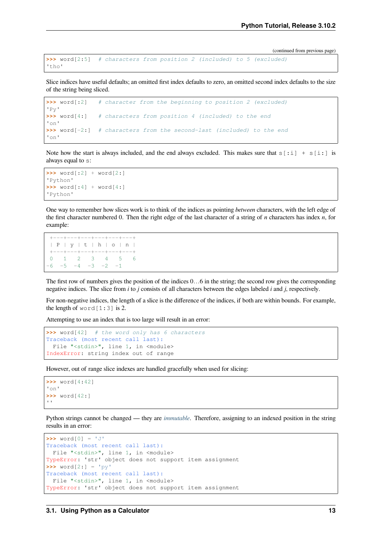```
>>> word[2:5] # characters from position 2 (included) to 5 (excluded)
'tho'
```
Slice indices have useful defaults; an omitted first index defaults to zero, an omitted second index defaults to the size of the string being sliced.

```
>>> word[:2] # character from the beginning to position 2 (excluded)
'Py'
>>> word[4:] # characters from position 4 (included) to the end
'on'
>>> word[-2:] # characters from the second-last (included) to the end
'on'
```
Note how the start is always included, and the end always excluded. This makes sure that  $s[i]$  +  $s[i]$  is always equal to s:

```
>>> word[:2] + word[2:]
'Python'
>>> word[:4] + word[4:]
'Python'
```
One way to remember how slices work is to think of the indices as pointing *between* characters, with the left edge of the first character numbered 0. Then the right edge of the last character of a string of *n* characters has index *n*, for example:

```
+---+---+---+---+---+---+
| P | y | t | h | o | n |
   +---+---+---+---+---+---+
0 1 2 3 4 5 6
-6 -5 -4 -3 -2 -1
```
The first row of numbers gives the position of the indices 0…6 in the string; the second row gives the corresponding negative indices. The slice from *i* to *j* consists of all characters between the edges labeled *i* and *j*, respectively.

For non-negative indices, the length of a slice is the difference of the indices, if both are within bounds. For example, the length of word  $[1:3]$  is 2.

Attempting to use an index that is too large will result in an error:

```
>>> word[42] # the word only has 6 characters
Traceback (most recent call last):
 File "<stdin>", line 1, in <module>
IndexError: string index out of range
```
However, out of range slice indexes are handled gracefully when used for slicing:

```
>>> word[4:42]
'on'
>>> word[42:]
\mathbf{r}
```
Python strings cannot be changed — they are *immutable*. Therefore, assigning to an indexed position in the string results in an error:

```
>>> word[0] = 'J'
Traceback (most recent call last):
File "<stdin>", line 1, in <module>
TypeError: 'str' object does not support item assignment
>>> word[2:] = 'py'
Traceback (most recent call last):
File "<stdin>", line 1, in <module>
TypeError: 'str' object does not support item assignment
```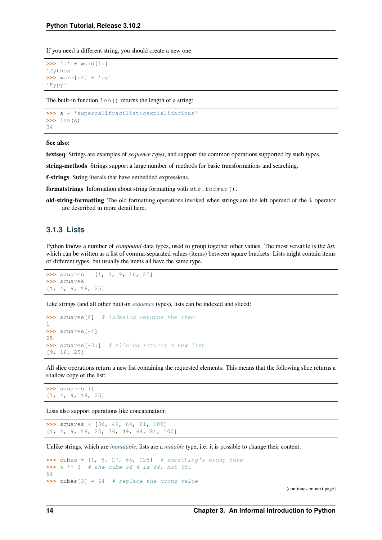If you need a different string, you should create a new one:

```
>>> 'J' + word[1:]
'Jython'
>>> word[:2] + 'py'
'Pypy'
```
The built-in function len() returns the length of a string:

```
>>> s = 'supercalifragilisticexpialidocious'
>>> len(s)
34
```
**See also:**

**textseq** Strings are examples of *sequence types*, and support the common operations supported by such types.

**string-methods** Strings support a large number of methods for basic transformations and searching.

**f-strings** String literals that have embedded expressions.

formatstrings Information about string formatting with str.format().

**old-string-formatting** The old formatting operations invoked when strings are the left operand of the % operator are described in more detail here.

#### **3.1.3 Lists**

<span id="page-19-0"></span>Python knows a number of *compound* data types, used to group together other values. The most versatile is the *list*, which can be written as a list of comma-separated values (items) between square brackets. Lists might contain items of different types, but usually the items all have the same type.

```
>>> squares = [1, 4, 9, 16, 25]
>>> squares
[1, 4, 9, 16, 25]
```
Like strings (and all other built-in *sequence* types), lists can be indexed and sliced:

```
>>> squares[0] # indexing returns the item
1
>>> squares[-1]
25
>>> squares[-3:] # slicing returns a new list
[9, 16, 25]
```
All slice operations return a new list containing the requested elements. This means that the following slice returns a shallow copy of the list:

```
>>> squares[:]
[1, 4, 9, 16, 25]
```
Lists also support operations like concatenation:

```
>>> squares + [36, 49, 64, 81, 100]
[1, 4, 9, 16, 25, 36, 49, 64, 81, 100]
```
Unlike strings, which are *immutable*, lists are a *mutable* type, i.e. it is possible to change their content:

```
>>> cubes = [1, 8, 27, 65, 125] # something's wrong here
>>> 4 ** 3 # the cube of 4 is 64, not 65!
64
\Rightarrow cubes[3] = 64 # replacerong value
```
(continues on next page)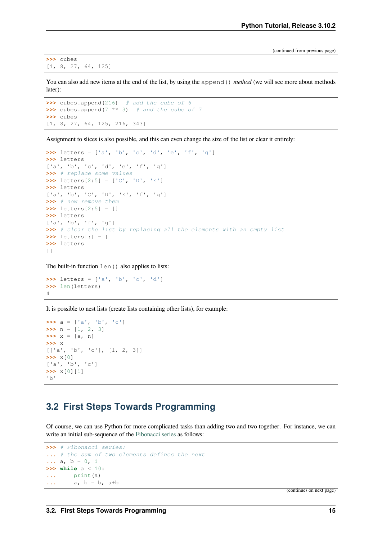```
>>> cubes
[1, 8, 27, 64, 125]
```
You can also add new items at the end of the list, by using the append() *method* (we will see more about methods later):

```
>>> cubes.append(216) # add the cube of 6
>>> cubes.append(7 ** 3) # and the cube of 7
>>> cubes
[1, 8, 27, 64, 125, 216, 343]
```
Assignment to slices is also possible, and this can even change the size of the list or clear it entirely:

```
>>> letters = ['a', 'b', 'c', 'd', 'e', 'f', 'g']
>>> letters
['a', 'b', 'c', 'd', 'e', 'f', 'g']
>>> # replace some values
>>> letters[2:5] = ['C', 'D', 'E']
>>> letters
['a', 'b', 'C', 'D', 'E', 'f', 'g']
>>> # now remove them
>>> letters[2:5] = []
>>> letters
['a', 'b', 'f', 'g']
>>> # clear the list by replacing all the elements with an empty list
>>> letters[:] = []
>>> letters
[]
```
The built-in function len() also applies to lists:

```
>>> letters = ['a', 'b', 'c', 'd']
>>> len(letters)
4
```
It is possible to nest lists (create lists containing other lists), for example:

```
>>> a = ['a', 'b', 'c']
\Rightarrow n = [1, 2, 3]
>>> x = [a, n]
>>> x
[['a', 'b', 'c'], [1, 2, 3]]
>>> x[0]
['a', 'b', 'c']
>>> x[0][1]
'b'
```
## **3.2 First Steps Towards Programming**

<span id="page-20-0"></span>Of course, we can use Python for more complicated tasks than adding two and two together. For instance, we can write an initial sub-sequence of the Fibonacci series as follows:

```
>>> # Fibonacci series:
... # the sum of two elements defines the next
\ldots a, b = 0, 1
>>> while a < 10:
... print(a)
... a, b = b, a+b
```
(continues on next page)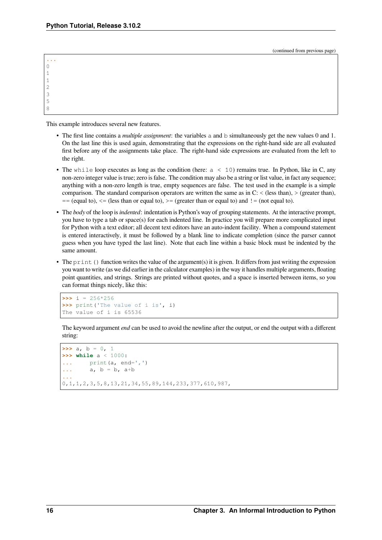(continued from previous page)

This example introduces several new features.

- The first line contains a *multiple assignment*: the variables a and b simultaneously get the new values 0 and 1. On the last line this is used again, demonstrating that the expressions on the right-hand side are all evaluated first before any of the assignments take place. The right-hand side expressions are evaluated from the left to the right.
- The while loop executes as long as the condition (here:  $a < 10$ ) remains true. In Python, like in C, any non-zero integer value is true; zero is false. The condition may also be a string or list value, in fact any sequence; anything with a non-zero length is true, empty sequences are false. The test used in the example is a simple comparison. The standard comparison operators are written the same as in  $C: <$  (less than),  $>$  (greater than),  $==$  (equal to),  $<=$  (less than or equal to),  $>=$  (greater than or equal to) and  $!=$  (not equal to).
- The *body* of the loop is *indented*: indentation is Python's way of grouping statements. At the interactive prompt, you have to type a tab or space(s) for each indented line. In practice you will prepare more complicated input for Python with a text editor; all decent text editors have an auto-indent facility. When a compound statement is entered interactively, it must be followed by a blank line to indicate completion (since the parser cannot guess when you have typed the last line). Note that each line within a basic block must be indented by the same amount.
- The print() function writes the value of the argument(s) it is given. It differs from just writing the expression you want to write (as we did earlier in the calculator examples) in the way it handles multiple arguments, floating point quantities, and strings. Strings are printed without quotes, and a space is inserted between items, so you can format things nicely, like this:

```
\Rightarrow i = 256*256
>>> print('The value of i is', i)
The value of i is 65536
```
The keyword argument *end* can be used to avoid the newline after the output, or end the output with a different string:

```
\Rightarrow a, b = 0, 1
>>> while a < 1000:
... print(a, end=',')
... a, b = b, a+b
...
0,1,1,2,3,5,8,13,21,34,55,89,144,233,377,610,987,
```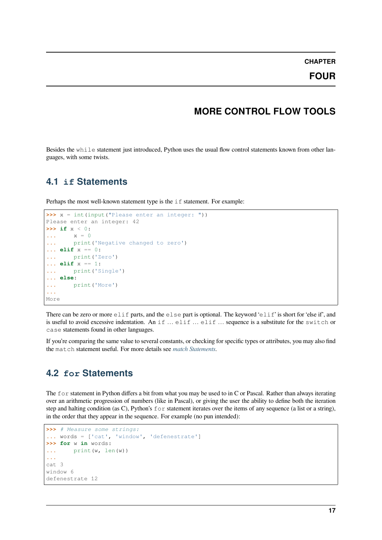## **MORE CONTROL FLOW TOOLS**

<span id="page-22-0"></span>Besides the while statement just introduced, Python uses the usual flow control statements known from other languages, with some twists.

### **4.1 if Statements**

<span id="page-22-1"></span>Perhaps the most well-known statement type is the if statement. For example:

```
>>> x = int(input("Please enter an integer: "))
Please enter an integer: 42
>>> if x < 0:
... x = 0
... print('Negative changed to zero')
... elif x == 0:
... print('Zero')
... elif x == 1:
... print('Single')
... else:
... print('More')
...
More
```
There can be zero or more elif parts, and the else part is optional. The keyword 'elif' is short for 'else if', and is useful to avoid excessive indentation. An if … elif … elif … sequence is a substitute for the switch or case statements found in other languages.

If you're comparing the same value to several constants, or checking for specific types or attributes, you may also find the match statement useful. For more details see *match Statements*.

## **4.2 for Statements**

<span id="page-22-2"></span>The for statement in Python differs a bit from what you may be used to in C or Pascal. Rather than always iterating over an arithmetic progression of numbers (like in Pascal), or giving the user the ability to define both the iteration step and halting condition (as C), Python's for statement iterates over the items of any sequence (a list or a string), in the order that they appear in the sequence. For example (no pun intended):

```
>>> # Measure some strings:
... words = ['cat', 'window', 'defenestrate']
>>> for w in words:
... print(w, len(w))
...
cat 3
window 6
defenestrate 12
```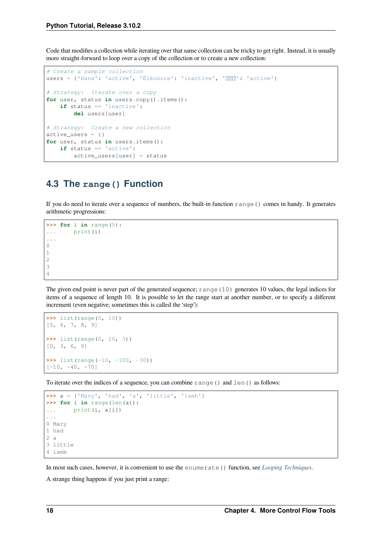Code that modifies a collection while iterating over that same collection can be tricky to get right. Instead, it is usually more straight-forward to loop over a copy of the collection or to create a new collection:

```
# Create a sample collection
users = {'Hans': 'active', 'Éléonore': 'inactive', '\sqrt{22}': 'active'}
# Strategy: Iterate over a copy
for user, status in users.copy().items():
   if status == 'inactive':
        del users[user]
# Strategy: Create a new collection
active\_users = \{\}for user, status in users.items():
   if status == 'active':
       active_users[user] = status
```
## **4.3 The range() Function**

<span id="page-23-0"></span>If you do need to iterate over a sequence of numbers, the built-in function range() comes in handy. It generates arithmetic progressions:

```
>>> for i in range(5):
... print(i)
...
0
1
\mathfrak{D}3
4
```
The given end point is never part of the generated sequence; range (10) generates 10 values, the legal indices for items of a sequence of length 10. It is possible to let the range start at another number, or to specify a different increment (even negative; sometimes this is called the 'step'):

```
>>> list(range(5, 10))
[5, 6, 7, 8, 9]
>>> list(range(0, 10, 3))
[0, 3, 6, 9]
>>> list(range(-10, -100, -30))
[-10, -40, -70]
```
To iterate over the indices of a sequence, you can combine range () and len() as follows:

```
>>> a = ['Mary', 'had', 'a', 'little', 'lamb']
>>> for i in range(len(a)):
... print(i, a[i])
...
0 Mary
1 had
2 a
3 little
4 lamb
```
In most such cases, however, it is convenient to use the enumerate() function, see *Looping Techniques*.

A strange thing happens if you just print a range: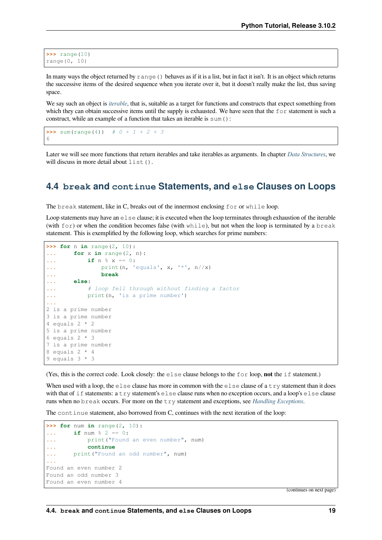In many ways the object returned by  $range()$  behaves as if it is a list, but in fact it isn't. It is an object which returns the successive items of the desired sequence when you iterate over it, but it doesn't really make the list, thus saving space.

We say such an object is *iterable*, that is, suitable as a target for functions and constructs that expect something from which they can obtain successive items until the supply is exhausted. We have seen that the  $\epsilon$  or statement is such a construct, while an example of a function that takes an iterable is sum():

```
>>> sum(range(4)) # 0 + 1 + 2 + 36
```
Later we will see more functions that return iterables and take iterables as arguments. In chapter *Data Structures*, we will discuss in more detail about list().

## **4.4 break and continue Statements, and else Clause[s on Loop](#page-38-0)s**

<span id="page-24-0"></span>The break statement, like in C, breaks out of the innermost enclosing for or while loop.

Loop statements may have an  $\epsilon$  lse clause; it is executed when the loop terminates through exhaustion of the iterable (with  $for$ ) or when the condition becomes false (with while), but not when the loop is terminated by a break statement. This is exemplified by the following loop, which searches for prime numbers:

```
\Rightarrow for n in range(2, 10):
... for x in range(2, n):
... if n % x == 0:
... print(n, 'equals', x, '*', n//x)
... break
... else:
... # loop fell through without finding a factor
... print(n, 'is a prime number')
...
2 is a prime number
3 is a prime number
4 equals 2 * 2
5 is a prime number
6 equals 2 * 3
7 is a prime number
8 equals 2 * 4
9 equals 3 * 3
```
(Yes, this is the correct code. Look closely: the else clause belongs to the for loop, **not** the if statement.)

When used with a loop, the else clause has more in common with the else clause of a  $\pm \text{ry}$  statement than it does with that of if statements: a  $t_{ry}$  statement's else clause runs when no exception occurs, and a loop's else clause runs when no break occurs. For more on the try statement and exceptions, see *Handling Exceptions*.

The continue statement, also borrowed from C, continues with the next iteration of the loop:

```
\Rightarrow for num in range(2, 10):
... if num % 2 == 0:
... print("Found an even number", num)
... continue
... print("Found an odd number", num)
...
Found an even number 2
Found an odd number 3
Found an even number 4
```
(continues on next page)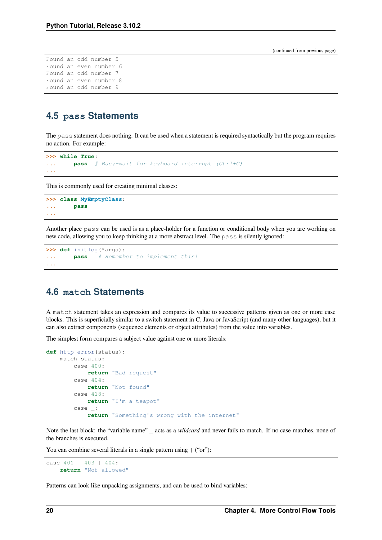(continued from previous page)

```
Found an odd number 5
Found an even number 6
Found an odd number 7
Found an even number 8
Found an odd number 9
```
## <span id="page-25-0"></span>**4.5 pass Statements**

The pass statement does nothing. It can be used when a statement is required syntactically but the program requires no action. For example:

```
>>> while True:
... pass # Busy-wait for keyboard interrupt (Ctrl+C)
...
```
This is commonly used for creating minimal classes:

```
>>> class MyEmptyClass:
... pass
...
```
Another place pass can be used is as a place-holder for a function or conditional body when you are working on new code, allowing you to keep thinking at a more abstract level. The pass is silently ignored:

```
>>> def initlog(*args):
... pass # Remember to implement this!
...
```
## <span id="page-25-1"></span>**4.6 match Statements**

A match statement takes an expression and compares its value to successive patterns given as one or more case blocks. This is superficially similar to a switch statement in C, Java or JavaScript (and many other languages), but it can also extract components (sequence elements or object attributes) from the value into variables.

The simplest form compares a subject value against one or more literals:

```
def http_error(status):
   match status:
       case 400:
           return "Bad request"
       case 404:
           return "Not found"
       case 418:
           return "I'm a teapot"
       case _:
           return "Something's wrong with the internet"
```
Note the last block: the "variable name" \_ acts as a *wildcard* and never fails to match. If no case matches, none of the branches is executed.

You can combine several literals in a single pattern using  $\mid$  ("or"):

```
case 401 | 403 | 404:
    return "Not allowed"
```
Patterns can look like unpacking assignments, and can be used to bind variables: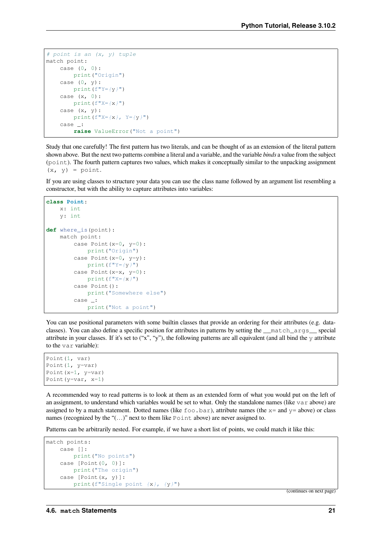```
# point is an (x, y) tuple
match point:
   case (0, 0):
       print("Origin")
    case (0, y):
       print(f"Y={y}")
    case (x, 0):
       print(f"X={x}")
    case (x, y):
       print(f"X={x}, Y={y}")
    case _:
        raise ValueError("Not a point")
```
Study that one carefully! The first pattern has two literals, and can be thought of as an extension of the literal pattern shown above. But the next two patterns combine a literal and a variable, and the variable *binds* a value from the subject (point). The fourth pattern captures two values, which makes it conceptually similar to the unpacking assignment  $(x, y) = point.$ 

If you are using classes to structure your data you can use the class name followed by an argument list resembling a constructor, but with the ability to capture attributes into variables:

```
class Point:
   x: int
    y: int
def where_is(point):
   match point:
        case Point (x=0, y=0):
           print("Origin")
        case Point (x=0, y=y):
           print(f"Y={y}")
        case Point(x=x, y=0):
           print(f"X={x}")
        case Point():
           print("Somewhere else")
        case _:
            print("Not a point")
```
You can use positional parameters with some builtin classes that provide an ordering for their attributes (e.g. dataclasses). You can also define a specific position for attributes in patterns by setting the \_\_match\_args\_\_ special attribute in your classes. If it's set to ("x", "y"), the following patterns are all equivalent (and all bind the y attribute to the var variable):

Point(1, var) Point(1, y=var) Point(x=1, y=var) Point ( $y=var$ ,  $x=1$ )

A recommended way to read patterns is to look at them as an extended form of what you would put on the left of an assignment, to understand which variables would be set to what. Only the standalone names (like var above) are assigned to by a match statement. Dotted names (like  $f \circ \circ \circ \circ h \circ r$ ), attribute names (the x= and y= above) or class names (recognized by the " $(...)$ " next to them like Point above) are never assigned to.

Patterns can be arbitrarily nested. For example, if we have a short list of points, we could match it like this:

```
match points:
    case []:
       print("No points")
    case [Point(0, 0)]:
       print("The origin")
    case [Point(x, y)]:
        print(f"Single point {x}, {y}")
```
(continues on next page)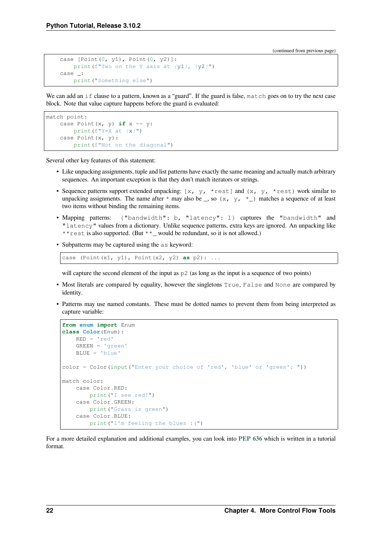```
case [Point(0, y1), Point(0, y2)]:print(f"Two on the Y axis at {y1}, {y2}")
case _:
   print("Something else")
```
We can add an if clause to a pattern, known as a "guard". If the guard is false, match goes on to try the next case block. Note that value capture happens before the guard is evaluated:

```
match point:
   case Point(x, y) if x = y:
       print(f"Y=X at {x}")
   case Point(x, y):
       print(f"Not on the diagonal")
```
Several other key features of this statement:

- Like unpacking assignments, tuple and list patterns have exactly the same meaning and actually match arbitrary sequences. An important exception is that they don't match iterators or strings.
- Sequence patterns support extended unpacking:  $[x, y, \star \text{rest}]$  and  $(x, y, \star \text{rest})$  work similar to unpacking assignments. The name after  $*$  may also be \_, so (x, y,  $*$ \_) matches a sequence of at least two items without binding the remaining items.
- Mapping patterns: {"bandwidth": b, "latency": l} captures the "bandwidth" and "latency" values from a dictionary. Unlike sequence patterns, extra keys are ignored. An unpacking like \*\*rest is also supported. (But \*\*\_ would be redundant, so it is not allowed.)
- Subpatterns may be captured using the as keyword:

case (Point(x1, y1), Point(x2, y2) **as** p2): ...

will capture the second element of the input as  $p^2$  (as long as the input is a sequence of two points)

- Most literals are compared by equality, however the singletons True, False and None are compared by identity.
- Patterns may use named constants. These must be dotted names to prevent them from being interpreted as capture variable:

```
from enum import Enum
class Color(Enum):
   RED = 'red'
   GREEN = 'green'
   BLUE = 'blue'
color = Color(input("Enter your choice of 'red', 'blue' or 'green': "))
match color:
   case Color.RED:
      print("I see red!")
   case Color.GREEN:
       print("Grass is green")
    case Color.BLUE:
       print("I'm feeling the blues :(")
```
For a more detailed explanation and additional examples, you can look into **PEP 636** which is written in a tutorial format.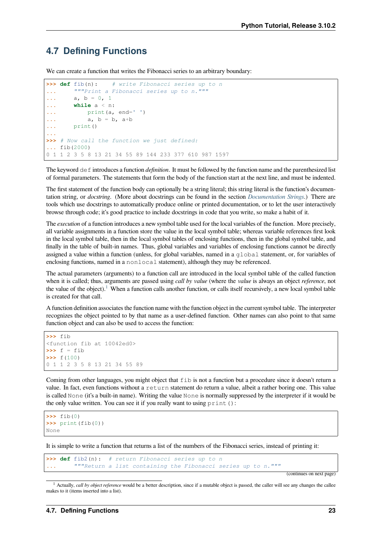## **4.7 Defining Functions**

We can create a function that writes the Fibonacci series to an arbitrary boundary:

```
>>> def fib(n): # write Fibonacci series up to n
... """Print a Fibonacci series up to n."""
\cdots a, b = 0, 1
... while a < n:
... print(a, end=' ')
... a, b = b, a+b
... print()
...
>>> # Now call the function we just defined:
... fib(2000)
0 1 1 2 3 5 8 13 21 34 55 89 144 233 377 610 987 1597
```
The keyword definitroduces a function *definition*. It must be followed by the function name and the parenthesized list of formal parameters. The statements that form the body of the function start at the next line, and must be indented.

The first statement of the function body can optionally be a string literal; this string literal is the function's documentation string, or *docstring*. (More about docstrings can be found in the section *Documentation Strings*.) There are tools which use docstrings to automatically produce online or printed documentation, or to let the user interactively browse through code; it's good practice to include docstrings in code that you write, so make a habit of it.

The *execution* of a function introduces a new symbol table used for the local variables of the function. More precisely, all variable assignments in a function store the value in the local symbol table; w[hereas variable referenc](#page-36-0)es first look in the local symbol table, then in the local symbol tables of enclosing functions, then in the global symbol table, and finally in the table of built-in names. Thus, global variables and variables of enclosing functions cannot be directly assigned a value within a function (unless, for global variables, named in a global statement, or, for variables of enclosing functions, named in a nonlocal statement), although they may be referenced.

The actual parameters (arguments) to a function call are introduced in the local symbol table of the called function when it is called; thus, arguments are passed using *call by value* (where the *value* is always an object *reference*, not the value of the object).<sup>1</sup> When a function calls another function, or calls itself recursively, a new local symbol table is created for that call.

A function definition associates the function name with the function object in the current symbol table. The interpreter recognizes the object p[oi](#page-28-1)nted to by that name as a user-defined function. Other names can also point to that same function object and can also be used to access the function:

```
>>> fib
<function fib at 10042ed0>
>>> f = fib
>>> f(100)
0 1 1 2 3 5 8 13 21 34 55 89
```
Coming from other languages, you might object that fib is not a function but a procedure since it doesn't return a value. In fact, even functions without a return statement do return a value, albeit a rather boring one. This value is called None (it's a built-in name). Writing the value None is normally suppressed by the interpreter if it would be the only value written. You can see it if you really want to using  $print()$ :

```
>>> fib(0)
>>> print(fib(0))
None
```
It is simple to write a function that returns a list of the numbers of the Fibonacci series, instead of printing it:

```
>>> def fib2(n): # return Fibonacci series up to n
        ... """Return a list containing the Fibonacci series up to n."""
```
(continues on next page)

<span id="page-28-1"></span><sup>&</sup>lt;sup>1</sup> Actually, *call by object reference* would be a better description, since if a mutable object is passed, the caller will see any changes the callee makes to it (items inserted into a list).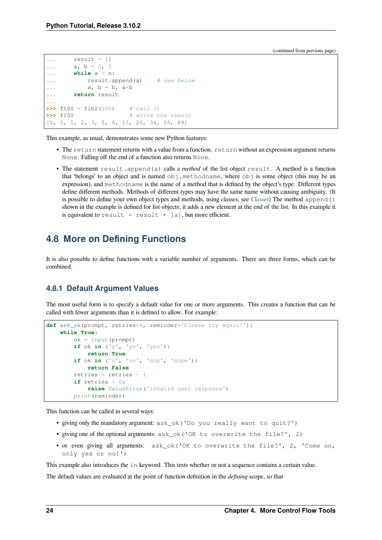```
... result = []
... a, b = 0, 1
... while a < n:
... result.append(a) # see below
... a, b = b, a+b
... return result
...
>>> f100 = fib2(100) # call it
>>> f100 # write the result
[0, 1, 1, 2, 3, 5, 8, 13, 21, 34, 55, 89]
```
This example, as usual, demonstrates some new Python features:

- The return statement returns with a value from a function. return without an expression argument returns None. Falling off the end of a function also returns None.
- The statement result.append(a) calls a *method* of the list object result. A method is a function that 'belongs' to an object and is named obj.methodname, where obj is some object (this may be an expression), and methodname is the name of a method that is defined by the object's type. Different types define different methods. Methods of different types may have the same name without causing ambiguity. (It is possible to define your own object types and methods, using *classes*, see *Classes*) The method append() shown in the example is defined for list objects; it adds a new element at the end of the list. In this example it is equivalent to result = result +  $[a]$ , but more efficient.

## **4.8 More on Defining Functions**

<span id="page-29-0"></span>It is also possible to define functions with a variable number of arguments. There are three forms, which can be combined.

#### **4.8.1 Default Argument Values**

<span id="page-29-1"></span>The most useful form is to specify a default value for one or more arguments. This creates a function that can be called with fewer arguments than it is defined to allow. For example:

```
def ask_ok(prompt, retries=4, reminder='Please try again!'):
   while True:
       ok = input(prompt)
        if ok in ('y', 'ye', 'yes'):
            return True
        if ok in ('n', 'no', 'nop', 'nope'):
           return False
        retries = retries - 1
        if retries < 0:
           raise ValueError('invalid user response')
       print(reminder)
```
This function can be called in several ways:

- giving only the mandatory argument: ask\_ok('Do you really want to quit?')
- giving one of the optional arguments: ask\_ok('OK to overwrite the file?', 2)
- or even giving all arguments: ask\_ok('OK to overwrite the file?', 2, 'Come on, only yes or no!')

This example also introduces the in keyword. This tests whether or not a sequence contains a certain value.

The default values are evaluated at the point of function definition in the *defining* scope, so that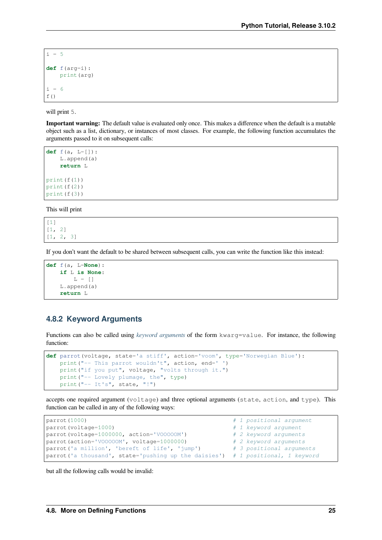```
i = 5def f(arg=i):
   print(arg)
i = 6f()
```
will print 5.

**Important warning:** The default value is evaluated only once. This makes a difference when the default is a mutable object such as a list, dictionary, or instances of most classes. For example, the following function accumulates the arguments passed to it on subsequent calls:

```
def f(a, L=[]):
   L.append(a)
    return L
print(f(1))
print(f(2))print(f(3))
```
This will print

[1] [1, 2] [1, 2, 3]

If you don't want the default to be shared between subsequent calls, you can write the function like this instead:

```
def f(a, L=None):
   if L is None:
       L = []L.append(a)
    return L
```
### **4.8.2 Keyword Arguments**

<span id="page-30-0"></span>Functions can also be called using *keyword arguments* of the form kwarg=value. For instance, the following function:

```
def parrot(voltage, state='a stiff', action='voom', type='Norwegian Blue'):
   print("-- This parrot wouldn't", action, end=' ')
   print ("if you put", voltage, "volts through it.")
   print("-- Lovely plumage, the", type)
   print("-- It's", state, "!")
```
accepts one required argument (voltage) and three optional arguments (state, action, and type). This function can be called in any of the following ways:

```
parrot(1000) # 1 positional argument
parrot(voltage=1000) # 1 keyword argument
parrot(voltage=1000000, action='VOOOOOM') # 2 keyword arguments
parrot(action='VOOOOOM', voltage=1000000) # 2 keyword arguments
parrot('a million', 'bereft of life', 'jump') # 3 positional arguments
parrot('a thousand', state='pushing up the daisies') # 1 positional, 1 keyword
```
but all the following calls would be invalid: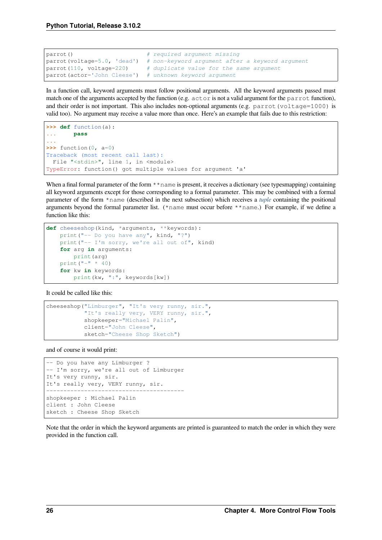```
parrot() # required argument missing
parrot(voltage=5.0, 'dead') # non-keyword argument after a keyword argument
parrot(110, voltage=220) # duplicate value for the same argument
parrot(actor='John Cleese') # unknown keyword argument
```
In a function call, keyword arguments must follow positional arguments. All the keyword arguments passed must match one of the arguments accepted by the function (e.g.  $\arctan x$  is not a valid argument for the parrot function), and their order is not important. This also includes non-optional arguments (e.g. parrot (voltage=1000) is valid too). No argument may receive a value more than once. Here's an example that fails due to this restriction:

```
>>> def function(a):
... pass
...
>>> function(0, a=0)
Traceback (most recent call last):
File "<stdin>", line 1, in <module>
TypeError: function() got multiple values for argument 'a'
```
When a final formal parameter of the form  $*$ name is present, it receives a dictionary (see typesmapping) containing all keyword arguments except for those corresponding to a formal parameter. This may be combined with a formal parameter of the form \*name (described in the next subsection) which receives a *tuple* containing the positional arguments beyond the formal parameter list. (\*name must occur before \*\*name.) For example, if we define a function like this:

```
def cheeseshop(kind, *arguments, **keywords):
   print("-- Do you have any", kind, "?")
   print("-- I'm sorry, we're all out of", kind)
   for arg in arguments:
       print(arg)
   print("-" * 40)
    for kw in keywords:
        print(kw, ":", keywords[kw])
```
It could be called like this:

```
cheeseshop("Limburger", "It's very runny, sir.",
           "It's really very, VERY runny, sir.",
           shopkeeper="Michael Palin",
           client="John Cleese",
           sketch="Cheese Shop Sketch")
```
and of course it would print:

```
-- Do you have any Limburger ?
-- I'm sorry, we're all out of Limburger
It's very runny, sir.
It's really very, VERY runny, sir.
----------------------------------------
shopkeeper : Michael Palin
client : John Cleese
sketch : Cheese Shop Sketch
```
Note that the order in which the keyword arguments are printed is guaranteed to match the order in which they were provided in the function call.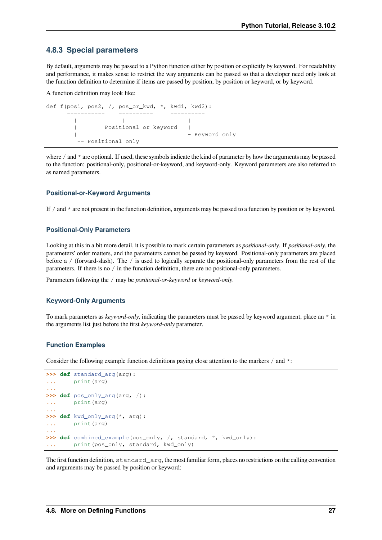#### <span id="page-32-0"></span>**4.8.3 Special parameters**

By default, arguments may be passed to a Python function either by position or explicitly by keyword. For readability and performance, it makes sense to restrict the way arguments can be passed so that a developer need only look at the function definition to determine if items are passed by position, by position or keyword, or by keyword.

A function definition may look like:

```
def f(pos1, pos2, /, pos_or_kwd, *, kwd1, kwd2):
    ----------- ---------- ----------
     | | |
     | Positional or keyword |
     | - Keyword only
     -- Positional only
```
where / and \* are optional. If used, these symbols indicate the kind of parameter by how the arguments may be passed to the function: positional-only, positional-or-keyword, and keyword-only. Keyword parameters are also referred to as named parameters.

#### **Positional-or-Keyword Arguments**

If / and \* are not present in the function definition, arguments may be passed to a function by position or by keyword.

#### **Positional-Only Parameters**

Looking at this in a bit more detail, it is possible to mark certain parameters as *positional-only*. If *positional-only*, the parameters' order matters, and the parameters cannot be passed by keyword. Positional-only parameters are placed before a / (forward-slash). The / is used to logically separate the positional-only parameters from the rest of the parameters. If there is no / in the function definition, there are no positional-only parameters.

Parameters following the / may be *positional-or-keyword* or *keyword-only*.

#### **Keyword-Only Arguments**

To mark parameters as *keyword-only*, indicating the parameters must be passed by keyword argument, place an \* in the arguments list just before the first *keyword-only* parameter.

#### **Function Examples**

Consider the following example function definitions paying close attention to the markers / and \*:

```
>>> def standard_arg(arg):
... print(arg)
...
>>> def pos_only_arg(arg, /):
... print(arg)
...
>>> def kwd_only_arg(*, arg):
... print(arg)
...
>>> def combined_example(pos_only, /, standard, *, kwd_only):
... print(pos_only, standard, kwd_only)
```
The first function definition,  $\text{standard\_arg}$ , the most familiar form, places no restrictions on the calling convention and arguments may be passed by position or keyword: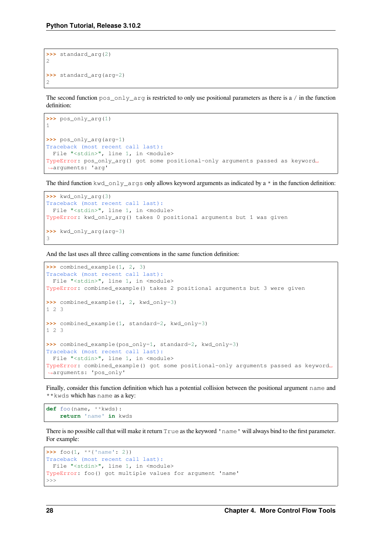```
>>> standard_arg(2)
2
>>> standard_arg(arg=2)
2
```
The second function pos  $\phi$  only arg is restricted to only use positional parameters as there is a / in the function definition:

```
>>> pos_only_arg(1)
1
>>> pos_only_arg(arg=1)
Traceback (most recent call last):
 File "<stdin>", line 1, in <module>
TypeError: pos_only_arg() got some positional-only arguments passed as keyword␣
,→arguments: 'arg'
```
The third function kwd\_only\_args only allows keyword arguments as indicated by a  $*$  in the function definition:

```
>>> kwd_only_arg(3)
Traceback (most recent call last):
 File "<stdin>", line 1, in <module>
TypeError: kwd_only_arg() takes 0 positional arguments but 1 was given
>>> kwd_only_arg(arg=3)
3
```
And the last uses all three calling conventions in the same function definition:

```
>>> combined_example(1, 2, 3)
Traceback (most recent call last):
 File "<stdin>", line 1, in <module>
TypeError: combined_example() takes 2 positional arguments but 3 were given
>>> combined_example(1, 2, kwd_only=3)
1 2 3
>>> combined_example(1, standard=2, kwd_only=3)
1 2 3
>>> combined_example(pos_only=1, standard=2, kwd_only=3)
Traceback (most recent call last):
 File "<stdin>", line 1, in <module>
TypeError: combined_example() got some positional-only arguments passed as keyword␣
,→arguments: 'pos_only'
```
Finally, consider this function definition which has a potential collision between the positional argument name and \*\*kwds which has name as a key:

```
def foo(name, **kwds):
   return 'name' in kwds
```
There is no possible call that will make it return  $True$  as the keyword 'name' will always bind to the first parameter. For example:

```
>>> foo(1, **{'name': 2})
Traceback (most recent call last):
 File "<stdin>", line 1, in <module>
TypeError: foo() got multiple values for argument 'name'
>>>
```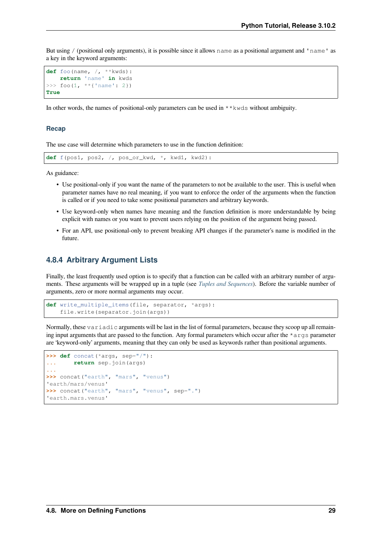But using / (positional only arguments), it is possible since it allows name as a positional argument and 'name' as a key in the keyword arguments:

```
def foo(name, /, **kwds):
    return 'name' in kwds
>>> foo(1, **{'name': 2})
True
```
In other words, the names of positional-only parameters can be used in  $* \times k \le d$ s without ambiguity.

#### **Recap**

The use case will determine which parameters to use in the function definition:

```
def f(pos1, pos2, /, pos_or_kwd, *, kwd1, kwd2):
```
As guidance:

- Use positional-only if you want the name of the parameters to not be available to the user. This is useful when parameter names have no real meaning, if you want to enforce the order of the arguments when the function is called or if you need to take some positional parameters and arbitrary keywords.
- Use keyword-only when names have meaning and the function definition is more understandable by being explicit with names or you want to prevent users relying on the position of the argument being passed.
- For an API, use positional-only to prevent breaking API changes if the parameter's name is modified in the future.

#### **4.8.4 Arbitrary Argument Lists**

<span id="page-34-0"></span>Finally, the least frequently used option is to specify that a function can be called with an arbitrary number of arguments. These arguments will be wrapped up in a tuple (see *Tuples and Sequences*). Before the variable number of arguments, zero or more normal arguments may occur.

```
def write_multiple_items(file, separator, *args):
    file.write(separator.join(args))
```
Normally, these variadic arguments will be last in the list of formal parameters, because they scoop up all remaining input arguments that are passed to the function. Any formal parameters which occur after the  $*$ args parameter are 'keyword-only' arguments, meaning that they can only be used as keywords rather than positional arguments.

```
>>> def concat(*args, sep="/"):
... return sep.join(args)
...
>>> concat("earth", "mars", "venus")
'earth/mars/venus'
>>> concat("earth", "mars", "venus", sep=".")
'earth.mars.venus'
```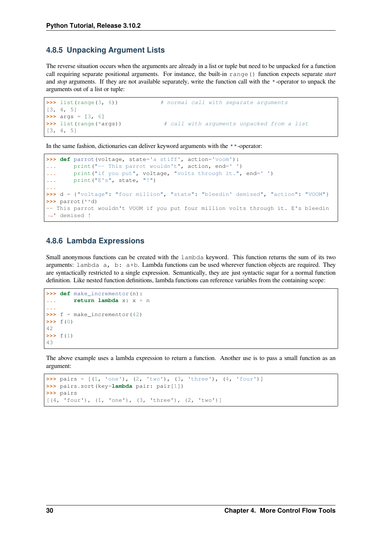#### <span id="page-35-0"></span>**4.8.5 Unpacking Argument Lists**

The reverse situation occurs when the arguments are already in a list or tuple but need to be unpacked for a function call requiring separate positional arguments. For instance, the built-in range() function expects separate *start* and *stop* arguments. If they are not available separately, write the function call with the \*-operator to unpack the arguments out of a list or tuple:

```
>>> list(range(3, 6)) # normal call with separate arguments
[3, 4, 5]
>>> args = [3, 6]
>>> list(range(*args)) # call with arguments unpacked from a list
[3, 4, 5]
```
In the same fashion, dictionaries can deliver keyword arguments with the  $**$ -operator:

```
>>> def parrot(voltage, state='a stiff', action='voom'):
... print ("-- This parrot wouldn't", action, end=' ')
... print ("if you put", voltage, "volts through it.", end=' ')
... print("E's", state, "!")
...
>>> d = {"voltage": "four million", "state": "bleedin' demised", "action": "VOOM"}
>>> parrot(**d)
-- This parrot wouldn't VOOM if you put four million volts through it. E's bleedin
,→' demised !
```
#### <span id="page-35-1"></span>**4.8.6 Lambda Expressions**

Small anonymous functions can be created with the lambda keyword. This function returns the sum of its two arguments: lambda a, b: a+b. Lambda functions can be used wherever function objects are required. They are syntactically restricted to a single expression. Semantically, they are just syntactic sugar for a normal function definition. Like nested function definitions, lambda functions can reference variables from the containing scope:

```
>>> def make_incrementor(n):
... return lambda x: x + n
...
>>> f = make_incrementor(42)
>>> f(0)
42
>>> f(1)
43
```
The above example uses a lambda expression to return a function. Another use is to pass a small function as an argument:

```
>>> pairs = [(1, 'one'), (2, 'two'), (3, 'three'), (4, 'four')]
>>> pairs.sort(key=lambda pair: pair[1])
>>> pairs
[(4, 'four'), (1, 'one'), (3, 'three'), (2, 'two')]
```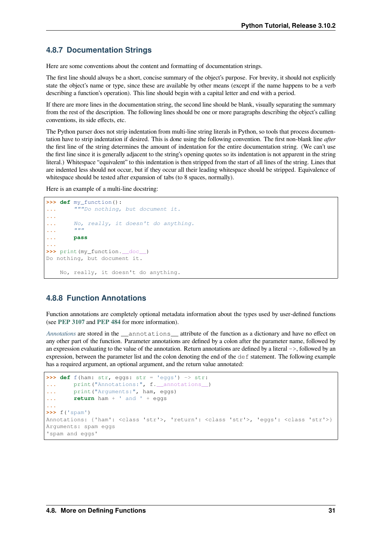### **4.8.7 Documentation Strings**

Here are some conventions about the content and formatting of documentation strings.

The first line should always be a short, concise summary of the object's purpose. For brevity, it should not explicitly state the object's name or type, since these are available by other means (except if the name happens to be a verb describing a function's operation). This line should begin with a capital letter and end with a period.

If there are more lines in the documentation string, the second line should be blank, visually separating the summary from the rest of the description. The following lines should be one or more paragraphs describing the object's calling conventions, its side effects, etc.

The Python parser does not strip indentation from multi-line string literals in Python, so tools that process documentation have to strip indentation if desired. This is done using the following convention. The first non-blank line *after* the first line of the string determines the amount of indentation for the entire documentation string. (We can't use the first line since it is generally adjacent to the string's opening quotes so its indentation is not apparent in the string literal.) Whitespace "equivalent" to this indentation is then stripped from the start of all lines of the string. Lines that are indented less should not occur, but if they occur all their leading whitespace should be stripped. Equivalence of whitespace should be tested after expansion of tabs (to 8 spaces, normally).

Here is an example of a multi-line docstring:

```
>>> def my_function():
... """Do nothing, but document it.
...
... No, really, it doesn't do anything.
... """
... pass
...
>>> print(my_function.__doc__)
Do nothing, but document it.
   No, really, it doesn't do anything.
```
#### **4.8.8 Function Annotations**

Function annotations are completely optional metadata information about the types used by user-defined functions (see **PEP 3107** and **PEP 484** for more information).

*Annotations* are stored in the \_\_annotations\_\_ attribute of the function as a dictionary and have no effect on any other part of the function. Parameter annotations are defined by a colon after the parameter name, followed by an expression evaluating to the value of the annotation. Return annotations are defined by a literal ->, followed by an expr[ession, betw](https://www.python.org/dev/peps/pep-3107)een [the param](https://www.python.org/dev/peps/pep-0484)eter list and the colon denoting the end of the def statement. The following example [has a require](#page-118-0)d argument, an optional argument, and the return value annotated:

```
>>> def f(ham: str, eggs: str = 'eggs') -> str:
... print("Annotations:", f.__annotations__)
... print("Arguments:", ham, eggs)
... return ham + ' and ' + eggs
...
>>> f('spam')
Annotations: {'ham': <class 'str'>, 'return': <class 'str'>, 'eggs': <class 'str'>}
Arguments: spam eggs
'spam and eggs'
```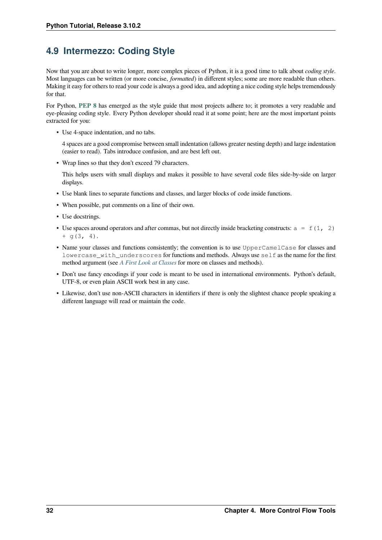# **4.9 Intermezzo: Coding Style**

Now that you are about to write longer, more complex pieces of Python, it is a good time to talk about *coding style*. Most languages can be written (or more concise, *formatted*) in different styles; some are more readable than others. Making it easy for others to read your code is always a good idea, and adopting a nice coding style helps tremendously for that.

For Python, **PEP 8** has emerged as the style guide that most projects adhere to; it promotes a very readable and eye-pleasing coding style. Every Python developer should read it at some point; here are the most important points extracted for you:

• Use 4-[space in](https://www.python.org/dev/peps/pep-0008)dentation, and no tabs.

4 spaces are a good compromise between small indentation (allows greater nesting depth) and large indentation (easier to read). Tabs introduce confusion, and are best left out.

• Wrap lines so that they don't exceed 79 characters.

This helps users with small displays and makes it possible to have several code files side-by-side on larger displays.

- Use blank lines to separate functions and classes, and larger blocks of code inside functions.
- When possible, put comments on a line of their own.
- Use docstrings.
- Use spaces around operators and after commas, but not directly inside bracketing constructs:  $a = f(1, 2)$  $+$  g(3, 4).
- Name your classes and functions consistently; the convention is to use UpperCamelCase for classes and lowercase\_with\_underscores for functions and methods. Always use self as the name for the first method argument (see *A First Look at Classes* for more on classes and methods).
- Don't use fancy encodings if your code is meant to be used in international environments. Python's default, UTF-8, or even plain ASCII work best in any case.
- Likewise, don't use no[n-ASCII characters in i](#page-75-0)dentifiers if there is only the slightest chance people speaking a different language will read or maintain the code.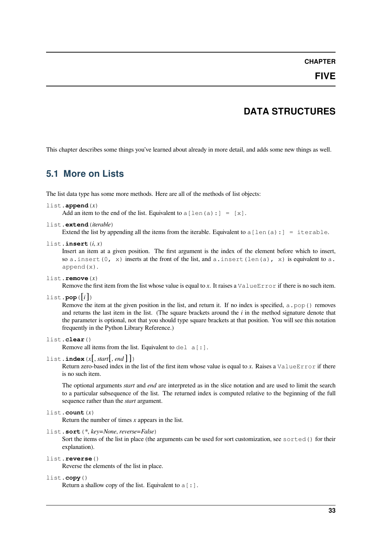## **DATA STRUCTURES**

This chapter describes some things you've learned about already in more detail, and adds some new things as well.

### **5.1 More on Lists**

The list data type has some more methods. Here are all of the methods of list objects:

```
list.append(x)
```
Add an item to the end of the list. Equivalent to a  $\lceil$  len(a):  $\rceil = \lceil x \rceil$ .

```
list.extend(iterable)
```
Extend the list by appending all the items from the iterable. Equivalent to a  $[len(a):] = iterable$ .

list.**insert**(*i*, *x*)

Insert an item at a given position. The first argument is the index of the element before which to insert, so a.insert(0, x) inserts at the front of the list, and a.insert(len(a), x) is equivalent to a. append(x).

list.**remove**(*x*)

Remove the first item from the list whose value is equal to x. It raises a ValueError if there is no such item.

```
list.pop(|i|)
```
Remove the item at the given position in the list, and return it. If no index is specified,  $a.$  pop() removes and returns the last item in the list. (The square brackets around the *i* in the method signature denote that the parameter is optional, not that you should type square brackets at that position. You will see this notation frequently in the Python Library Reference.)

```
list.clear()
```
Remove all items from the list. Equivalent to del  $a[:).$ 

list.**index** $(x$ , *start*, *end* ]

Return zero-based index in the list of the first item whose value is equal to *x*. Raises a ValueError if there is no such item.

The optional arguments *start* and *end* are interpreted as in the slice notation and are used to limit the search to a particular subsequence of the list. The returned index is computed relative to the beginning of the full sequence rather than the *start* argument.

```
list.count(x)
```
Return the number of times *x* appears in the list.

list.**sort**(*\**, *key=None*, *reverse=False*)

Sort the items of the list in place (the arguments can be used for sort customization, see sorted() for their explanation).

```
list.reverse()
```
Reverse the elements of the list in place.

list.**copy**()

Return a shallow copy of the list. Equivalent to  $a$  [:].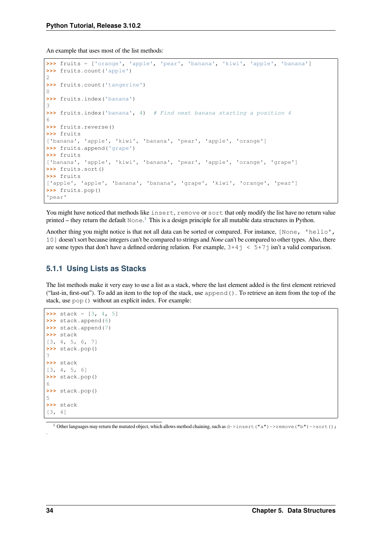An example that uses most of the list methods:

```
>>> fruits = ['orange', 'apple', 'pear', 'banana', 'kiwi', 'apple', 'banana']
>>> fruits.count('apple')
2
>>> fruits.count('tangerine')
\bigcap>>> fruits.index('banana')
3
>>> fruits.index('banana', 4) # Find next banana starting a position 4
6
>>> fruits.reverse()
>>> fruits
['banana', 'apple', 'kiwi', 'banana', 'pear', 'apple', 'orange']
>>> fruits.append('grape')
>>> fruits
['banana', 'apple', 'kiwi', 'banana', 'pear', 'apple', 'orange', 'grape']
>>> fruits.sort()
>>> fruits
['apple', 'apple', 'banana', 'banana', 'grape', 'kiwi', 'orange', 'pear']
>>> fruits.pop()
'pear'
```
You might have noticed that methods like insert, remove or sort that only modify the list have no return value printed – they return the default None.<sup>1</sup> This is a design principle for all mutable data structures in Python.

Another thing you might notice is that not all data can be sorted or compared. For instance, [None, 'hello', 10] doesn't sort because integers can't be compared to strings and *None* can't be compared to other types. Also, there are some types that [d](#page-39-0)on't have a defined ordering relation. For example,  $3+4j < 5+7j$  isn't a valid comparison.

#### **5.1.1 Using Lists as Stacks**

The list methods make it very easy to use a list as a stack, where the last element added is the first element retrieved ("last-in, first-out"). To add an item to the top of the stack, use append(). To retrieve an item from the top of the stack, use pop() without an explicit index. For example:

```
>>> stack = [3, 4, 5]
>>> stack.append(6)
>>> stack.append(7)
>>> stack
[3, 4, 5, 6, 7]>>> stack.pop()
7
>>> stack
[3, 4, 5, 6]>>> stack.pop()
6
>>> stack.pop()
5
>>> stack
[3, 4]
```
<sup>1</sup> Other languages may return the mutated object, which allows method chaining, such as  $d$ ->insert("a")->remove("b")->sort();

<span id="page-39-0"></span>.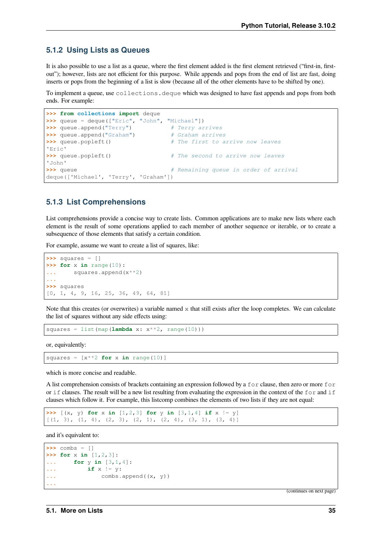#### **5.1.2 Using Lists as Queues**

It is also possible to use a list as a queue, where the first element added is the first element retrieved ("first-in, firstout"); however, lists are not efficient for this purpose. While appends and pops from the end of list are fast, doing inserts or pops from the beginning of a list is slow (because all of the other elements have to be shifted by one).

To implement a queue, use collections.deque which was designed to have fast appends and pops from both ends. For example:

```
>>> from collections import deque
>>> queue = deque(["Eric", "John", "Michael"])
>>> queue.append("Terry") # Terry arrives
>>> queue.append("Graham") # Graham arrives
>>> queue.popleft() # The first to arrive now leaves
'Eric'
>>> queue.popleft() # The second to arrive now leaves
'John'
>>> queue # Remaining queue in order of arrival
deque(['Michael', 'Terry', 'Graham'])
```
#### <span id="page-40-0"></span>**5.1.3 List Comprehensions**

List comprehensions provide a concise way to create lists. Common applications are to make new lists where each element is the result of some operations applied to each member of another sequence or iterable, or to create a subsequence of those elements that satisfy a certain condition.

For example, assume we want to create a list of squares, like:

```
>>> squares = []
>>> for x in range(10):
... squares.append(x**2)
...
>>> squares
[0, 1, 4, 9, 16, 25, 36, 49, 64, 81]
```
Note that this creates (or overwrites) a variable named  $x$  that still exists after the loop completes. We can calculate the list of squares without any side effects using:

```
squares = list(map(\text{lambda } x: x^{**2}, \text{range}(10)))
```
or, equivalently:

```
squares = [x**2 for x in range(10)]
```
which is more concise and readable.

A list comprehension consists of brackets containing an expression followed by a for clause, then zero or more for or if clauses. The result will be a new list resulting from evaluating the expression in the context of the for and if clauses which follow it. For example, this listcomp combines the elements of two lists if they are not equal:

```
>>> [(x, y) for x in [1,2,3] for y in [3,1,4] if x != y]
[(1, 3), (1, 4), (2, 3), (2, 1), (2, 4), (3, 1), (3, 4)]
```
and it's equivalent to:

```
\Rightarrow combs = [1]>>> for x in [1,2,3]:
... for y in [3,1,4]:
... if x != y:
... combs.append((x, y))
...
```
(continues on next page)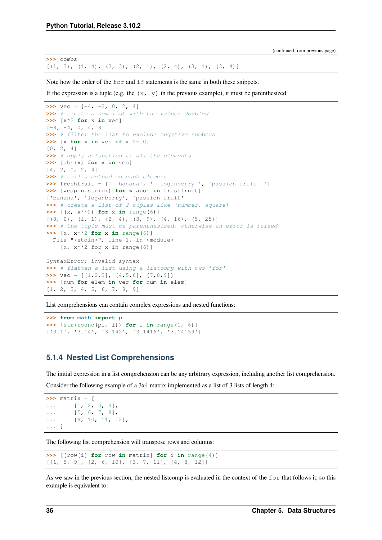(continued from previous page)

```
>>> combs
[(1, 3), (1, 4), (2, 3), (2, 1), (2, 4), (3, 1), (3, 4)]
```
Note how the order of the  $f \circ r$  and if statements is the same in both these snippets.

If the expression is a tuple (e.g. the  $(x, y)$  in the previous example), it must be parenthesized.

```
\Rightarrow vec = [-4, -2, 0, 2, 4]>>> # create a new list with the values doubled
>>> [x*2 for x in vec]
[-8, -4, 0, 4, 8]>>> # filter the list to exclude negative numbers
\Rightarrow \quad [x for x in vec if x \ge 0]
[0, 2, 4]>>> # apply a function to all the elements
>>> [abs(x) for x in vec]
[4, 2, 0, 2, 4]>>> # call a method on each element
>>> freshfruit = [' banana', ' loganberry ', 'passion fruit ']
>>> [weapon.strip() for weapon in freshfruit]
['banana', 'loganberry', 'passion fruit']
>>> # create a list of 2-tuples like (number, square)
>>> [(x, x^{*2}) for x in range(6)]
[(0, 0), (1, 1), (2, 4), (3, 9), (4, 16), (5, 25)]>>> # the tuple must be parenthesized, otherwise an error is raised
\Rightarrow [x, x^{**}2 for x in range(6)]
 File "<stdin>", line 1, in <module>
    [x, x^{**}2 for x in range(6)]\hat{\phantom{a}}SyntaxError: invalid syntax
>>> # flatten a list using a listcomp with two 'for'
\Rightarrow vec = [[1, 2, 3], [4, 5, 6], [7, 8, 9]]>>> [num for elem in vec for num in elem]
[1, 2, 3, 4, 5, 6, 7, 8, 9]
```
List comprehensions can contain complex expressions and nested functions:

```
>>> from math import pi
>>> [str(round(pi, i)) for i in range(1, 6)]
['3.1', '3.14', '3.142', '3.1416', '3.14159']
```
#### **5.1.4 Nested List Comprehensions**

The initial expression in a list comprehension can be any arbitrary expression, including another list comprehension. Consider the following example of a 3x4 matrix implemented as a list of 3 lists of length 4:

```
\Rightarrow matrix = \left[ \right]... [1, 2, 3, 4],
... [5, 6, 7, 8],
... [9, 10, 11, 12],
... ]
```
The following list comprehension will transpose rows and columns:

```
>>> [[row[i] for row in matrix] for i in range(4)]
[[1, 5, 9], [2, 6, 10], [3, 7, 11], [4, 8, 12]]
```
As we saw in the previous section, the nested listcomp is evaluated in the context of the for that follows it, so this example is equivalent to: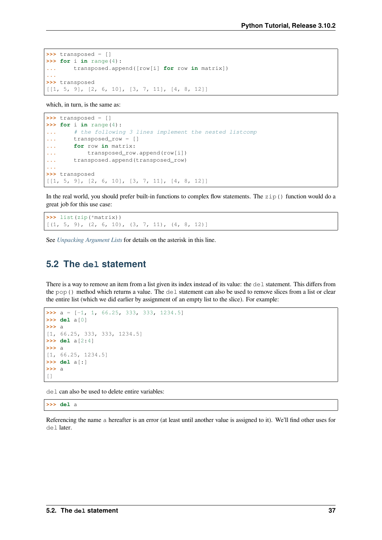```
>>> transposed = []
>>> for i in range(4):
... transposed.append([row[i] for row in matrix])
...
>>> transposed
[[1, 5, 9], [2, 6, 10], [3, 7, 11], [4, 8, 12]]
```
which, in turn, is the same as:

```
>>> transposed = []
\rightarrow for i in range(4):
... # the following 3 lines implement the nested listcomp
... transposed_row = []
... for row in matrix:
... transposed_row.append(row[i])
... transposed.append(transposed_row)
...
>>> transposed
[[1, 5, 9], [2, 6, 10], [3, 7, 11], [4, 8, 12]]
```
In the real world, you should prefer built-in functions to complex flow statements. The  $z$ ip() function would do a great job for this use case:

```
>>> list(zip(*matrix))
[(1, 5, 9), (2, 6, 10), (3, 7, 11), (4, 8, 12)]
```
See *Unpacking Argument Lists* for details on the asterisk in this line.

### **5.2 The del [state](#page-35-0)ment**

There is a way to remove an item from a list given its index instead of its value: the  $del$  statement. This differs from the pop() method which returns a value. The del statement can also be used to remove slices from a list or clear the entire list (which we did earlier by assignment of an empty list to the slice). For example:

```
>>> a = [-1, 1, 66.25, 333, 333, 1234.5]
>>> del a[0]
>>> a
[1, 66.25, 333, 333, 1234.5]
>>> del a[2:4]
>>> a
[1, 66.25, 1234.5]
>>> del a[:]
>>> a
[]
```
del can also be used to delete entire variables:

```
>>> del a
```
Referencing the name a hereafter is an error (at least until another value is assigned to it). We'll find other uses for del later.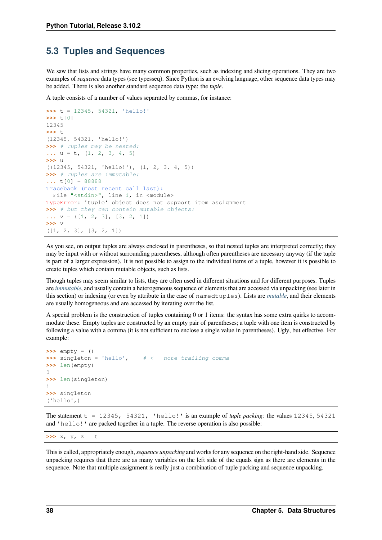## **5.3 Tuples and Sequences**

We saw that lists and strings have many common properties, such as indexing and slicing operations. They are two examples of *sequence* data types (see typesseq). Since Python is an evolving language, other sequence data types may be added. There is also another standard sequence data type: the *tuple*.

A tuple consists of a number of values separated by commas, for instance:

```
>>> t = 12345, 54321, 'hello!'
>>> t[0]
12345
>>> t
(12345, 54321, 'hello!')
>>> # Tuples may be nested:
\ldots u = t, (1, 2, 3, 4, 5)>>> u
((12345, 54321, 'hello!'), (1, 2, 3, 4, 5))
>>> # Tuples are immutable:
... t[0] = 88888
Traceback (most recent call last):
 File "<stdin>", line 1, in <module>
TypeError: 'tuple' object does not support item assignment
>>> # but they can contain mutable objects:
\ldots \mathbf{v} = ([1, 2, 3], [3, 2, 1])>>> v
([1, 2, 3], [3, 2, 1])
```
As you see, on output tuples are always enclosed in parentheses, so that nested tuples are interpreted correctly; they may be input with or without surrounding parentheses, although often parentheses are necessary anyway (if the tuple is part of a larger expression). It is not possible to assign to the individual items of a tuple, however it is possible to create tuples which contain mutable objects, such as lists.

Though tuples may seem similar to lists, they are often used in different situations and for different purposes. Tuples are *immutable*, and usually contain a heterogeneous sequence of elements that are accessed via unpacking (see later in this section) or indexing (or even by attribute in the case of namedtuples). Lists are *mutable*, and their elements are usually homogeneous and are accessed by iterating over the list.

A special problem is the construction of tuples containing 0 or 1 items: the syntax has some extra quirks to accommo[date these.](#page-119-0) Empty tuples are constructed by an empty pair of parentheses; a tuple with one item is constructed by following a value with a comma (it is not sufficient to enclose a single value in parenthes[es\). Ugly](#page-121-0), but effective. For example:

```
>>> empty = ()
>>> singleton = 'hello', # <-- note trailing comma
>>> len(empty)
0
>>> len(singleton)
1
>>> singleton
('hello',)
```
The statement  $t = 12345$ ,  $54321$ , 'hello!' is an example of *tuple packing*: the values  $12345$ ,  $54321$ and 'hello!' are packed together in a tuple. The reverse operation is also possible:

 $\Rightarrow$   $x, y, z = t$ 

This is called, appropriately enough, *sequence unpacking* and works for any sequence on the right-hand side. Sequence unpacking requires that there are as many variables on the left side of the equals sign as there are elements in the sequence. Note that multiple assignment is really just a combination of tuple packing and sequence unpacking.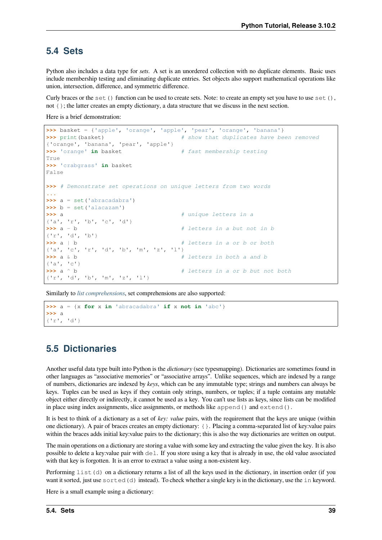## **5.4 Sets**

Python also includes a data type for *sets*. A set is an unordered collection with no duplicate elements. Basic uses include membership testing and eliminating duplicate entries. Set objects also support mathematical operations like union, intersection, difference, and symmetric difference.

Curly braces or the set () function can be used to create sets. Note: to create an empty set you have to use set (), not {}; the latter creates an empty dictionary, a data structure that we discuss in the next section.

Here is a brief demonstration:

```
>>> basket = {'apple', 'orange', 'apple', 'pear', 'orange', 'banana'}
>>> print(basket) # show that duplicates have been removed
{'orange', 'banana', 'pear', 'apple'}
>>> 'orange' in basket # fast membership testing
True
>>> 'crabgrass' in basket
False
>>> # Demonstrate set operations on unique letters from two words
...
>>> a = set('abracadabra')
>>> b = set('alacazam')
>>> a # unique letters in a
{'a', 'r', 'b', 'c', 'd'}
>>> a - b # letters in a but not in b
{'r', 'd', 'b'}
>>> a | b # letters in a or b or both
{'a', 'c', 'r', 'd', 'b', 'm', 'z', 'l'}
>>> a & b # letters in both a and b
{'a', 'c'}
>>> a ^ b # letters in a or b but not both
{'r', 'd', 'b', 'm', 'z', 'l'}
```
Similarly to *list comprehensions*, set comprehensions are also supported:

```
\Rightarrow a = {x for x in 'abracadabra' if x not in 'abc'}
>>> a
{'r', 'd'}
```
# **5.5 Dictionaries**

Another useful data type built into Python is the *dictionary* (see typesmapping). Dictionaries are sometimes found in other languages as "associative memories" or "associative arrays". Unlike sequences, which are indexed by a range of numbers, dictionaries are indexed by *keys*, which can be any immutable type; strings and numbers can always be keys. Tuples can be used as keys if they contain only strings, numbers, or tuples; if a tuple contains any mutable object either directly or indirectly, it cannot be used as a key. You can't use lists as keys, since lists can be modified in place using index assignments, slice assignments, or methods like append() and  $ext{extend}()$ .

It is best to think of a dictionary as a set of *key: value* pairs, with the requirement that the keys are unique (within one dictionary). A pair of braces creates an empty dictionary: {}. Placing a comma-separated list of key:value pairs within the braces adds initial key:value pairs to the dictionary; this is also the way dictionaries are written on output.

The main operations on a dictionary are storing a value with some key and extracting the value given the key. It is also possible to delete a key:value pair with del. If you store using a key that is already in use, the old value associated with that key is forgotten. It is an error to extract a value using a non-existent key.

Performing  $list(d)$  on a dictionary returns a list of all the keys used in the dictionary, in insertion order (if you want it sorted, just use sorted (d) instead). To check whether a single key is in the dictionary, use the in keyword.

Here is a small example using a dictionary: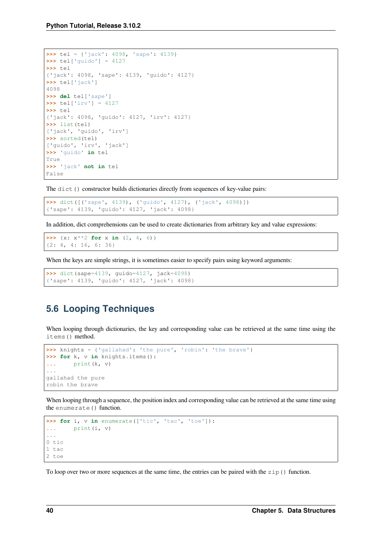```
>>> tel = {'jack': 4098, 'sape': 4139}
>>> tel['guido'] = 4127
>>> tel
{'jack': 4098, 'sape': 4139, 'guido': 4127}
>>> tel['jack']
4098
>>> del tel['sape']
>>> tel['irv'] = 4127
>>> tel
{'jack': 4098, 'guido': 4127, 'irv': 4127}
>>> list(tel)
['jack', 'quido', 'irv']
>>> sorted(tel)
['guido', 'irv', 'jack']
>>> 'guido' in tel
True
>>> 'jack' not in tel
False
```
The  $dict$  () constructor builds dictionaries directly from sequences of key-value pairs:

**>>>** dict([('sape', 4139), ('guido', 4127), ('jack', 4098)]) {'sape': 4139, 'guido': 4127, 'jack': 4098}

In addition, dict comprehensions can be used to create dictionaries from arbitrary key and value expressions:

**>>>**  $\{x: x^{*} \times 2$  **for** x **in**  $(2, 4, 6)$ } {2: 4, 4: 16, 6: 36}

When the keys are simple strings, it is sometimes easier to specify pairs using keyword arguments:

```
>>> dict(sape=4139, guido=4127, jack=4098)
{'sape': 4139, 'guido': 4127, 'jack': 4098}
```
## **5.6 Looping Techniques**

When looping through dictionaries, the key and corresponding value can be retrieved at the same time using the items() method.

```
>>> knights = {'gallahad': 'the pure', 'robin': 'the brave'}
>>> for k, v in knights.items():
... print(k, v)
...
gallahad the pure
robin the brave
```
When looping through a sequence, the position index and corresponding value can be retrieved at the same time using the enumerate() function.

```
>>> for i, v in enumerate(['tic', 'tac', 'toe']):
... print(i, v)
...
0 tic
1 tac
2 toe
```
To loop over two or more sequences at the same time, the entries can be paired with the  $z$ ip() function.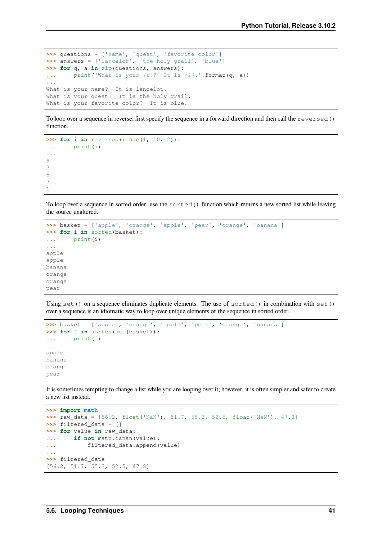```
>>> questions = ['name', 'quest', 'favorite color']
>>> answers = ['lancelot', 'the holy grail', 'blue']
>>> for q, a in zip(questions, answers):
... print('What is your {0}? It is {1}.'.format(q, a))
...
What is your name? It is lancelot.
What is your quest? It is the holy grail.
What is your favorite color? It is blue.
```
To loop over a sequence in reverse, first specify the sequence in a forward direction and then call the reversed() function.

```
>>> for i in reversed(range(1, 10, 2)):
... print(i)
...
9
7
5
3
1
```
To loop over a sequence in sorted order, use the sorted () function which returns a new sorted list while leaving the source unaltered.

```
>>> basket = ['apple', 'orange', 'apple', 'pear', 'orange', 'banana']
>>> for i in sorted(basket):
... print(i)
...
apple
apple
banana
orange
orange
pear
```
Using set() on a sequence eliminates duplicate elements. The use of sorted() in combination with set() over a sequence is an idiomatic way to loop over unique elements of the sequence in sorted order.

```
>>> basket = ['apple', 'orange', 'apple', 'pear', 'orange', 'banana']
>>> for f in sorted(set(basket)):
... print(f)
...
apple
banana
orange
pear
```
It is sometimes tempting to change a list while you are looping over it; however, it is often simpler and safer to create a new list instead.

```
>>> import math
>>> raw_data = [56.2, float('NaN'), 51.7, 55.3, 52.5, float('NaN'), 47.8]
>>> filtered_data = []
>>> for value in raw_data:
... if not math.isnan(value):
... filtered_data.append(value)
...
>>> filtered_data
[56.2, 51.7, 55.3, 52.5, 47.8]
```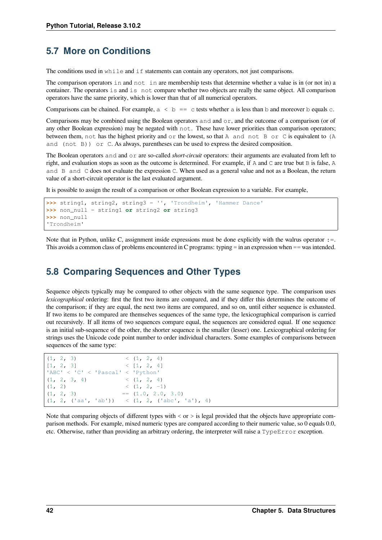## **5.7 More on Conditions**

The conditions used in while and if statements can contain any operators, not just comparisons.

The comparison operators in and not in are membership tests that determine whether a value is in (or not in) a container. The operators is and is not compare whether two objects are really the same object. All comparison operators have the same priority, which is lower than that of all numerical operators.

Comparisons can be chained. For example,  $a \leq b \neq c$  tests whether a is less than b and moreover b equals c.

Comparisons may be combined using the Boolean operators and and or, and the outcome of a comparison (or of any other Boolean expression) may be negated with not. These have lower priorities than comparison operators; between them, not has the highest priority and or the lowest, so that A and not B or C is equivalent to (A and (not B)) or C. As always, parentheses can be used to express the desired composition.

The Boolean operators and and or are so-called *short-circuit* operators: their arguments are evaluated from left to right, and evaluation stops as soon as the outcome is determined. For example, if A and C are true but B is false, A and B and C does not evaluate the expression C. When used as a general value and not as a Boolean, the return value of a short-circuit operator is the last evaluated argument.

It is possible to assign the result of a comparison or other Boolean expression to a variable. For example,

```
>>> string1, string2, string3 = '', 'Trondheim', 'Hammer Dance'
>>> non_null = string1 or string2 or string3
>>> non_null
'Trondheim'
```
Note that in Python, unlike C, assignment inside expressions must be done explicitly with the walrus operator :=. This avoids a common class of problems encountered in C programs: typing = in an expression when == was intended.

### **5.8 Comparing Sequences and Other Types**

Sequence objects typically may be compared to other objects with the same sequence type. The comparison uses *lexicographical* ordering: first the first two items are compared, and if they differ this determines the outcome of the comparison; if they are equal, the next two items are compared, and so on, until either sequence is exhausted. If two items to be compared are themselves sequences of the same type, the lexicographical comparison is carried out recursively. If all items of two sequences compare equal, the sequences are considered equal. If one sequence is an initial sub-sequence of the other, the shorter sequence is the smaller (lesser) one. Lexicographical ordering for strings uses the Unicode code point number to order individual characters. Some examples of comparisons between sequences of the same type:

```
(1, 2, 3) (1, 2, 4)[1, 2, 3] \{1, 2, 4\}'ABC' < 'C' < 'Pascal' < 'Python'
(1, 2, 3, 4) (1, 2, 4)(1, 2) (1, 2, -1)(1, 2, 3) == (1.0, 2.0, 3.0)(1, 2, ('aa', 'ab')) < (1, 2, ('abc', 'a')), 4)
```
Note that comparing objects of different types with < or > is legal provided that the objects have appropriate comparison methods. For example, mixed numeric types are compared according to their numeric value, so 0 equals 0.0, etc. Otherwise, rather than providing an arbitrary ordering, the interpreter will raise a TypeError exception.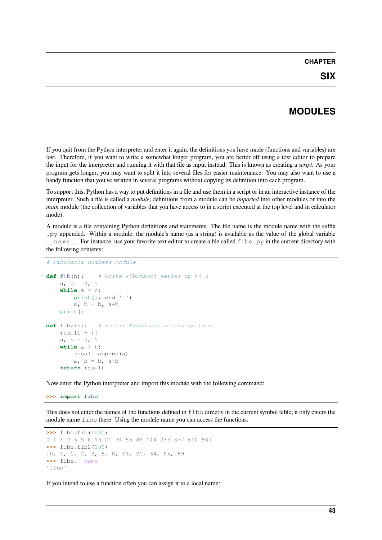### **CHAPTER**

# **MODULES**

If you quit from the Python interpreter and enter it again, the definitions you have made (functions and variables) are lost. Therefore, if you want to write a somewhat longer program, you are better off using a text editor to prepare the input for the interpreter and running it with that file as input instead. This is known as creating a *script*. As your program gets longer, you may want to split it into several files for easier maintenance. You may also want to use a handy function that you've written in several programs without copying its definition into each program.

To support this, Python has a way to put definitions in a file and use them in a script or in an interactive instance of the interpreter. Such a file is called a *module*; definitions from a module can be *imported* into other modules or into the *main* module (the collection of variables that you have access to in a script executed at the top level and in calculator mode).

A module is a file containing Python definitions and statements. The file name is the module name with the suffix .py appended. Within a module, the module's name (as a string) is available as the value of the global variable \_\_name\_\_. For instance, use your favorite text editor to create a file called fibo.py in the current directory with the following contents:

```
# Fibonacci numbers module
def fib(n): # write Fibonacci series up to n
   a, b = 0, 1
    while a < n:
       print(a, end=' ')
       a, b = b, a+bprint()
def fib2(n): # return Fibonacci series up to n
   result = []
    a, b = 0, 1
    while a < n:
       result.append(a)
       a, b = b, a+breturn result
```
Now enter the Python interpreter and import this module with the following command:

#### **>>> import fibo**

This does not enter the names of the functions defined in fibo directly in the current symbol table; it only enters the module name fibo there. Using the module name you can access the functions:

```
>>> fibo.fib(1000)
0 1 1 2 3 5 8 13 21 34 55 89 144 233 377 610 987
>>> fibo.fib2(100)
[0, 1, 1, 2, 3, 5, 8, 13, 21, 34, 55, 89]
>>> fibo.__name__
'fibo'
```
If you intend to use a function often you can assign it to a local name: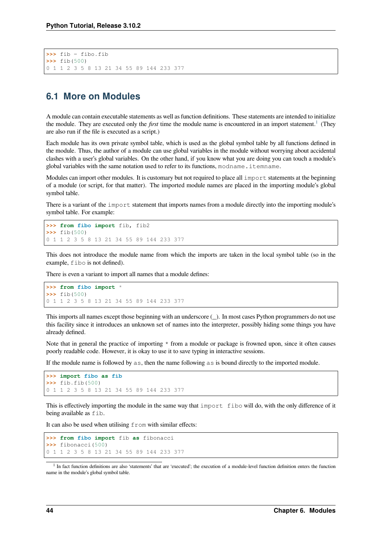### **6.1 More on Modules**

A module can contain executable statements as well as function definitions. These statements are intended to initialize the module. They are executed only the *first* time the module name is encountered in an import statement.<sup>1</sup> (They are also run if the file is executed as a script.)

Each module has its own private symbol table, which is used as the global symbol table by all functions defined in the module. Thus, the author of a module can use global variables in the module without worrying about a[cc](#page-49-0)idental clashes with a user's global variables. On the other hand, if you know what you are doing you can touch a module's global variables with the same notation used to refer to its functions, modname. itemname.

Modules can import other modules. It is customary but not required to place all import statements at the beginning of a module (or script, for that matter). The imported module names are placed in the importing module's global symbol table.

There is a variant of the import statement that imports names from a module directly into the importing module's symbol table. For example:

```
>>> from fibo import fib, fib2
>>> fib(500)
0 1 1 2 3 5 8 13 21 34 55 89 144 233 377
```
This does not introduce the module name from which the imports are taken in the local symbol table (so in the example, fibo is not defined).

There is even a variant to import all names that a module defines:

```
>>> from fibo import *
>>> fib(500)
0 1 1 2 3 5 8 13 21 34 55 89 144 233 377
```
This imports all names except those beginning with an underscore (\_). In most cases Python programmers do not use this facility since it introduces an unknown set of names into the interpreter, possibly hiding some things you have already defined.

Note that in general the practice of importing  $*$  from a module or package is frowned upon, since it often causes poorly readable code. However, it is okay to use it to save typing in interactive sessions.

If the module name is followed by as, then the name following as is bound directly to the imported module.

```
>>> import fibo as fib
>>> fib.fib(500)
0 1 1 2 3 5 8 13 21 34 55 89 144 233 377
```
This is effectively importing the module in the same way that import fibo will do, with the only difference of it being available as fib.

It can also be used when utilising  $f$  rom with similar effects:

```
>>> from fibo import fib as fibonacci
>>> fibonacci(500)
0 1 1 2 3 5 8 13 21 34 55 89 144 233 377
```
<span id="page-49-0"></span><sup>1</sup> In fact function definitions are also 'statements' that are 'executed'; the execution of a module-level function definition enters the function name in the module's global symbol table.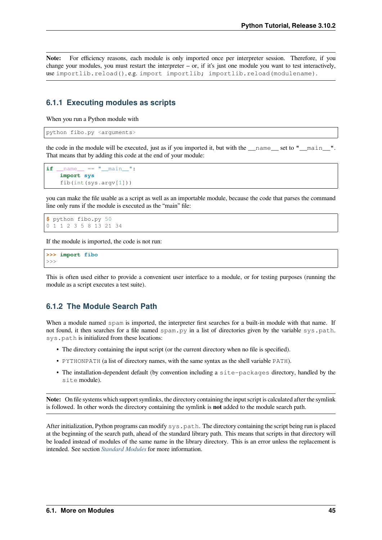**Note:** For efficiency reasons, each module is only imported once per interpreter session. Therefore, if you change your modules, you must restart the interpreter – or, if it's just one module you want to test interactively, use importlib.reload(), e.g. import importlib; importlib.reload(modulename).

### **6.1.1 Executing modules as scripts**

When you run a Python module with

```
python fibo.py <arguments>
```
the code in the module will be executed, just as if you imported it, but with the \_\_name\_\_ set to "\_\_main\_\_". That means that by adding this code at the end of your module:

```
if __name__ == " __main__":
    import sys
    fib(int(sys.argv[1]))
```
you can make the file usable as a script as well as an importable module, because the code that parses the command line only runs if the module is executed as the "main" file:

```
$ python fibo.py 50
0 1 1 2 3 5 8 13 21 34
```
If the module is imported, the code is not run:

```
>>> import fibo
>>
```
This is often used either to provide a convenient user interface to a module, or for testing purposes (running the module as a script executes a test suite).

#### **6.1.2 The Module Search Path**

When a module named spam is imported, the interpreter first searches for a built-in module with that name. If not found, it then searches for a file named spam.py in a list of directories given by the variable sys.path. sys.path is initialized from these locations:

- The directory containing the input script (or the current directory when no file is specified).
- PYTHONPATH (a list of directory names, with the same syntax as the shell variable PATH).
- The installation-dependent default (by convention including a site-packages directory, handled by the site module).

**Note:** On file systems which support symlinks, the directory containing the input script is calculated after the symlink is followed. In other words the directory containing the symlink is **not** added to the module search path.

After initialization, Python programs can modify sys.path. The directory containing the script being run is placed at the beginning of the search path, ahead of the standard library path. This means that scripts in that directory will be loaded instead of modules of the same name in the library directory. This is an error unless the replacement is intended. See section *Standard Modules* for more information.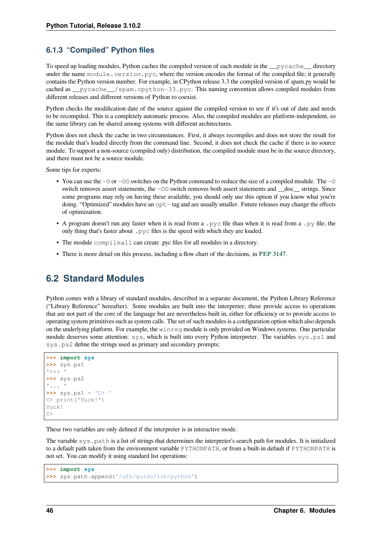### **6.1.3 "Compiled" Python files**

To speed up loading modules, Python caches the compiled version of each module in the \_\_pycache\_\_ directory under the name module.*version*.pyc, where the version encodes the format of the compiled file; it generally contains the Python version number. For example, in CPython release 3.3 the compiled version of spam.py would be cached as pycache /spam.cpython-33.pyc. This naming convention allows compiled modules from different releases and different versions of Python to coexist.

Python checks the modification date of the source against the compiled version to see if it's out of date and needs to be recompiled. This is a completely automatic process. Also, the compiled modules are platform-independent, so the same library can be shared among systems with different architectures.

Python does not check the cache in two circumstances. First, it always recompiles and does not store the result for the module that's loaded directly from the command line. Second, it does not check the cache if there is no source module. To support a non-source (compiled only) distribution, the compiled module must be in the source directory, and there must not be a source module.

Some tips for experts:

- You can use the  $-\circ$  or  $-\circ$  switches on the Python command to reduce the size of a compiled module. The  $-\circ$ switch removes assert statements, the -OO switch removes both assert statements and \_\_doc\_\_ strings. Since some programs may rely on having these available, you should only use this option if you know what you're doing. "Optimized" modules have an opt- tag and are usually smaller. Future releases may change the effects of optimization.
- A program doesn't run any faster when it is read from a . pyc file than when it is read from a . py file; the only thing that's faster about .pyc files is the speed with which they are loaded.
- The module compileall can create .pyc files for all modules in a directory.
- There is more detail on this process, including a flow chart of the decisions, in **PEP 3147**.

## **6.2 Standard Modules**

Python comes with a library of standard modules, described in a separate document, the Python Library Reference ("Library Reference" hereafter). Some modules are built into the interpreter; these provide access to operations that are not part of the core of the language but are nevertheless built in, either for efficiency or to provide access to operating system primitives such as system calls. The set of such modules is a configuration option which also depends on the underlying platform. For example, the winreg module is only provided on Windows systems. One particular module deserves some attention: sys, which is built into every Python interpreter. The variables sys.ps1 and sys.ps2 define the strings used as primary and secondary prompts:

```
>>> import sys
>>> sys.ps1
'>>> '
>>> sys.ps2
'... '
>>> sys.ps1 = 'C> '
C> print('Yuck!')
Yuck!
C>
```
These two variables are only defined if the interpreter is in interactive mode.

The variable sys.path is a list of strings that determines the interpreter's search path for modules. It is initialized to a default path taken from the environment variable PYTHONPATH, or from a built-in default if PYTHONPATH is not set. You can modify it using standard list operations:

```
>>> import sys
>>> sys.path.append('/ufs/guido/lib/python')
```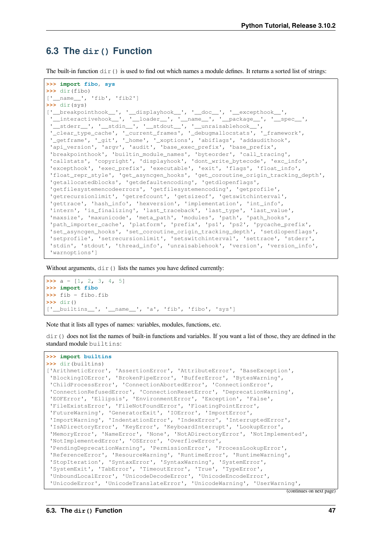### **6.3 The dir() Function**

The built-in function  $dir()$  is used to find out which names a module defines. It returns a sorted list of strings:

```
>>> import fibo, sys
>>> dir(fibo)
['__name__', 'fib', 'fib2']
>>> dir(sys)
['__breakpointhook__', '__displayhook__', '__doc__', '__excepthook__',
 '__interactivehook__', '__loader__', '__name__', '__package__', '__spec__',
 '__stderr__', '__stdin__', '__stdout__', '__unraisablehook__',
 '_clear_type_cache', '_current_frames', '_debugmallocstats', '_framework',
 '_getframe', '_git', '_home', '_xoptions', 'abiflags', 'addaudithook',
 'api_version', 'argv', 'audit', 'base_exec_prefix', 'base_prefix',
 'breakpointhook', 'builtin_module_names', 'byteorder', 'call_tracing',
 'callstats', 'copyright', 'displayhook', 'dont_write_bytecode', 'exc_info',
 'excepthook', 'exec_prefix', 'executable', 'exit', 'flags', 'float_info',
 'float_repr_style', 'get_asyncgen_hooks', 'get_coroutine_origin_tracking_depth',
 'getallocatedblocks', 'getdefaultencoding', 'getdlopenflags',
 'getfilesystemencodeerrors', 'getfilesystemencoding', 'getprofile',
 'getrecursionlimit', 'getrefcount', 'getsizeof', 'getswitchinterval',
 'gettrace', 'hash_info', 'hexversion', 'implementation', 'int_info',
 'intern', 'is_finalizing', 'last_traceback', 'last_type', 'last_value',
 'maxsize', 'maxunicode', 'meta_path', 'modules', 'path', 'path_hooks',
 'path_importer_cache', 'platform', 'prefix', 'ps1', 'ps2', 'pycache_prefix',
 'set_asyncgen_hooks', 'set_coroutine_origin_tracking_depth', 'setdlopenflags',
 'setprofile', 'setrecursionlimit', 'setswitchinterval', 'settrace', 'stderr',
 'stdin', 'stdout', 'thread_info', 'unraisablehook', 'version', 'version_info',
 'warnoptions']
```
Without arguments,  $\text{dir}(x)$  lists the names you have defined currently:

```
\Rightarrow a = [1, 2, 3, 4, 5]
>>> import fibo
>>> fib = fibo.fib
>>> dir()
['__builtins__', '__name__', 'a', 'fib', 'fibo', 'sys']
```
Note that it lists all types of names: variables, modules, functions, etc.

 $\text{dir}(x)$  does not list the names of built-in functions and variables. If you want a list of those, they are defined in the standard module builtins:

```
>>> import builtins
>>> dir(builtins)
['ArithmeticError', 'AssertionError', 'AttributeError', 'BaseException',
 'BlockingIOError', 'BrokenPipeError', 'BufferError', 'BytesWarning',
 'ChildProcessError', 'ConnectionAbortedError', 'ConnectionError',
 'ConnectionRefusedError', 'ConnectionResetError', 'DeprecationWarning',
 'EOFError', 'Ellipsis', 'EnvironmentError', 'Exception', 'False',
 'FileExistsError', 'FileNotFoundError', 'FloatingPointError',
 'FutureWarning', 'GeneratorExit', 'IOError', 'ImportError',
 'ImportWarning', 'IndentationError', 'IndexError', 'InterruptedError',
 'IsADirectoryError', 'KeyError', 'KeyboardInterrupt', 'LookupError',
 'MemoryError', 'NameError', 'None', 'NotADirectoryError', 'NotImplemented',
 'NotImplementedError', 'OSError', 'OverflowError',
 'PendingDeprecationWarning', 'PermissionError', 'ProcessLookupError',
 'ReferenceError', 'ResourceWarning', 'RuntimeError', 'RuntimeWarning',
 'StopIteration', 'SyntaxError', 'SyntaxWarning', 'SystemError',
 'SystemExit', 'TabError', 'TimeoutError', 'True', 'TypeError',
 'UnboundLocalError', 'UnicodeDecodeError', 'UnicodeEncodeError',
 'UnicodeError', 'UnicodeTranslateError', 'UnicodeWarning', 'UserWarning',
```
(continues on next page)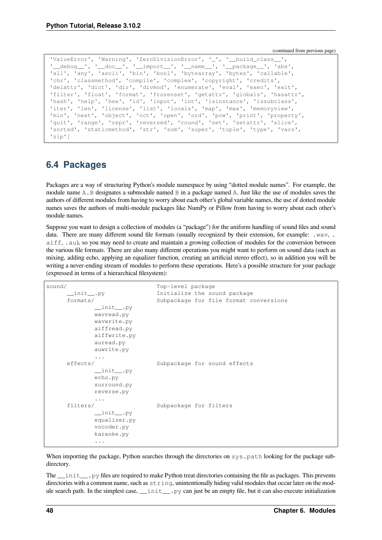(continued from previous page)

```
'ValueError', 'Warning', 'ZeroDivisionError', '_', '__build_class__',
'__debug__', '__doc__', '__import__', '__name__', '__package__', 'abs',
'all', 'any', 'ascii', 'bin', 'bool', 'bytearray', 'bytes', 'callable',
'chr', 'classmethod', 'compile', 'complex', 'copyright', 'credits',
'delattr', 'dict', 'dir', 'divmod', 'enumerate', 'eval', 'exec', 'exit',
'filter', 'float', 'format', 'frozenset', 'getattr', 'globals', 'hasattr',
'hash', 'help', 'hex', 'id', 'input', 'int', 'isinstance', 'issubclass',
'iter', 'len', 'license', 'list', 'locals', 'map', 'max', 'memoryview',
'min', 'next', 'object', 'oct', 'open', 'ord', 'pow', 'print', 'property',
'quit', 'range', 'repr', 'reversed', 'round', 'set', 'setattr', 'slice',
'sorted', 'staticmethod', 'str', 'sum', 'super', 'tuple', 'type', 'vars',
'zip']
```
### **6.4 Packages**

Packages are a way of structuring Python's module namespace by using "dotted module names". For example, the module name A. B designates a submodule named B in a package named A. Just like the use of modules saves the authors of different modules from having to worry about each other's global variable names, the use of dotted module names saves the authors of multi-module packages like NumPy or Pillow from having to worry about each other's module names.

Suppose you want to design a collection of modules (a "package") for the uniform handling of sound files and sound data. There are many different sound file formats (usually recognized by their extension, for example: .wav, . aiff, .au), so you may need to create and maintain a growing collection of modules for the conversion between the various file formats. There are also many different operations you might want to perform on sound data (such as mixing, adding echo, applying an equalizer function, creating an artificial stereo effect), so in addition you will be writing a never-ending stream of modules to perform these operations. Here's a possible structure for your package (expressed in terms of a hierarchical filesystem):

```
sound/ Top-level package
      init__.py Initialize the sound package
     formats/ Subpackage for file format conversions
            __init__.py
           wavread.py
           wavwrite.py
           aiffread.py
           aiffwrite.py
           auread.py
           auwrite.py
           ...
    effects/ Subpackage for sound effects
            __init__.py
           echo.py
           surround.py
           reverse.py
           ...
     filters/ Subpackage for filters
            __init__.py
           equalizer.py
           vocoder.py
           karaoke.py
           ...
```
When importing the package, Python searches through the directories on sys.path looking for the package subdirectory.

The \_\_init\_\_.py files are required to make Python treat directories containing the file as packages. This prevents directories with a common name, such as  $string$ , unintentionally hiding valid modules that occur later on the module search path. In the simplest case, \_\_init\_\_.py can just be an empty file, but it can also execute initialization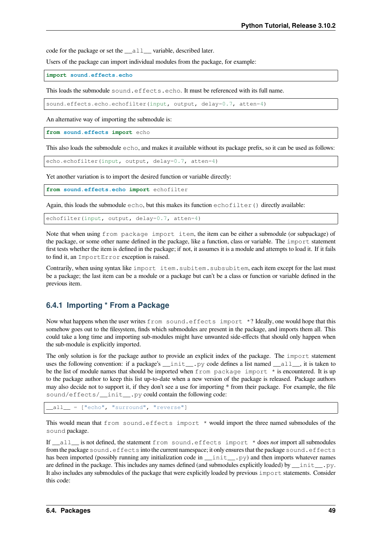code for the package or set the \_\_all\_ variable, described later.

Users of the package can import individual modules from the package, for example:

**import sound.effects.echo**

This loads the submodule sound.effects.echo. It must be referenced with its full name.

sound.effects.echo.echofilter(input, output, delay=0.7, atten=4)

An alternative way of importing the submodule is:

**from sound.effects import** echo

This also loads the submodule echo, and makes it available without its package prefix, so it can be used as follows:

echo.echofilter(input, output, delay=0.7, atten=4)

Yet another variation is to import the desired function or variable directly:

**from sound.effects.echo import** echofilter

Again, this loads the submodule echo, but this makes its function echofilter () directly available:

echofilter(input, output, delay=0.7, atten=4)

Note that when using from package import item, the item can be either a submodule (or subpackage) of the package, or some other name defined in the package, like a function, class or variable. The import statement first tests whether the item is defined in the package; if not, it assumes it is a module and attempts to load it. If it fails to find it, an ImportError exception is raised.

Contrarily, when using syntax like import item.subitem.subsubitem, each item except for the last must be a package; the last item can be a module or a package but can't be a class or function or variable defined in the previous item.

#### **6.4.1 Importing \* From a Package**

Now what happens when the user writes from sound.effects import  $*$ ? Ideally, one would hope that this somehow goes out to the filesystem, finds which submodules are present in the package, and imports them all. This could take a long time and importing sub-modules might have unwanted side-effects that should only happen when the sub-module is explicitly imported.

The only solution is for the package author to provide an explicit index of the package. The import statement uses the following convention: if a package's \_\_init\_\_.py code defines a list named \_\_all\_\_, it is taken to be the list of module names that should be imported when from package import \* is encountered. It is up to the package author to keep this list up-to-date when a new version of the package is released. Package authors may also decide not to support it, if they don't see a use for importing \* from their package. For example, the file sound/effects/\_\_init\_\_.py could contain the following code:

 $all$  =  $["echo", "surround", "reverse"]$ 

This would mean that from sound.effects import \* would import the three named submodules of the sound package.

If \_\_all\_\_ is not defined, the statement from sound.effects import \* does *not* import all submodules from the package sound.effects into the current namespace; it only ensures that the package sound.effects has been imported (possibly running any initialization code in \_\_init\_\_.py) and then imports whatever names are defined in the package. This includes any names defined (and submodules explicitly loaded) by \_\_init\_\_.py. It also includes any submodules of the package that were explicitly loaded by previous import statements. Consider this code: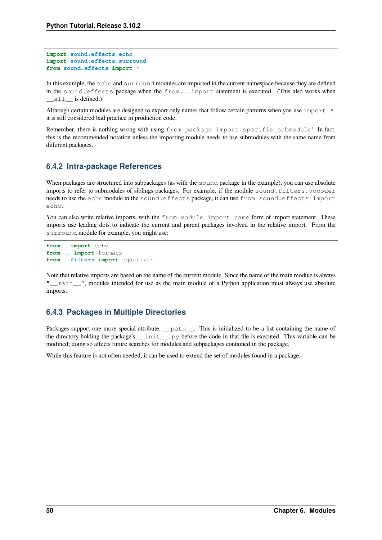```
import sound.effects.echo
import sound.effects.surround
from sound.effects import *
```
In this example, the echo and surround modules are imported in the current namespace because they are defined in the sound.effects package when the from...import statement is executed. (This also works when all is defined.)

Although certain modules are designed to export only names that follow certain patterns when you use import  $\star$ , it is still considered bad practice in production code.

Remember, there is nothing wrong with using from package import specific\_submodule! In fact, this is the recommended notation unless the importing module needs to use submodules with the same name from different packages.

### **6.4.2 Intra-package References**

When packages are structured into subpackages (as with the sound package in the example), you can use absolute imports to refer to submodules of siblings packages. For example, if the module sound.filters.vocoder needs to use the echo module in the sound.effects package, it can use from sound.effects import echo.

You can also write relative imports, with the from module import name form of import statement. These imports use leading dots to indicate the current and parent packages involved in the relative import. From the surround module for example, you might use:

```
from . import echo
from .. import formats
from ..filters import equalizer
```
Note that relative imports are based on the name of the current module. Since the name of the main module is always "\_main\_", modules intended for use as the main module of a Python application must always use absolute imports.

### **6.4.3 Packages in Multiple Directories**

Packages support one more special attribute, <u>path</u>. This is initialized to be a list containing the name of the directory holding the package's \_\_init\_\_\_.py before the code in that file is executed. This variable can be modified; doing so affects future searches for modules and subpackages contained in the package.

While this feature is not often needed, it can be used to extend the set of modules found in a package.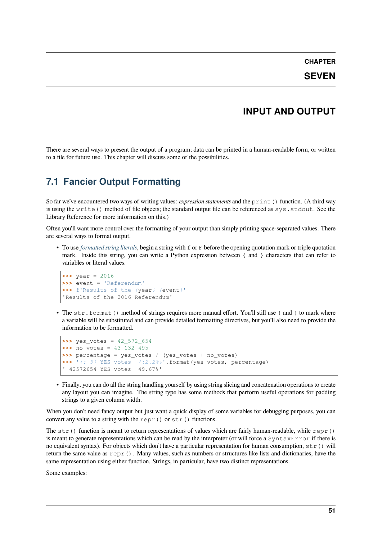### **INPUT AND OUTPUT**

There are several ways to present the output of a program; data can be printed in a human-readable form, or written to a file for future use. This chapter will discuss some of the possibilities.

### **7.1 Fancier Output Formatting**

So far we've encountered two ways of writing values: *expression statements* and the print () function. (A third way is using the write() method of file objects; the standard output file can be referenced as sys.stdout. See the Library Reference for more information on this.)

Often you'll want more control over the formatting of your output than simply printing space-separated values. There are several ways to format output.

• To use *formatted string literals*, begin a string with  $f$  or F before the opening quotation mark or triple quotation mark. Inside this string, you can write a Python expression between { and } characters that can refer to variables or literal values.

```
>>> year = 2016
>>> event = 'Referendum'
>>> f'Results of the {year} {event}'
'Results of the 2016 Referendum'
```
• The str.format() method of strings requires more manual effort. You'll still use  $\{$  and  $\}$  to mark where a variable will be substituted and can provide detailed formatting directives, but you'll also need to provide the information to be formatted.

```
>>> yes_votes = 42_572_654
>>> no_votes = 43_132_495
>>> percentage = yes_votes / (yes_votes + no_votes)
>>> '{:-9} YES votes {:2.2%}'.format(yes_votes, percentage)
' 42572654 YES votes 49.67%'
```
• Finally, you can do all the string handling yourself by using string slicing and concatenation operations to create any layout you can imagine. The string type has some methods that perform useful operations for padding strings to a given column width.

When you don't need fancy output but just want a quick display of some variables for debugging purposes, you can convert any value to a string with the repr() or  $str()$  functions.

The  $str()$  function is meant to return representations of values which are fairly human-readable, while repr() is meant to generate representations which can be read by the interpreter (or will force a SyntaxError if there is no equivalent syntax). For objects which don't have a particular representation for human consumption,  $str()$  will return the same value as  $r \in \mathcal{V}$ . Many values, such as numbers or structures like lists and dictionaries, have the same representation using either function. Strings, in particular, have two distinct representations.

Some examples: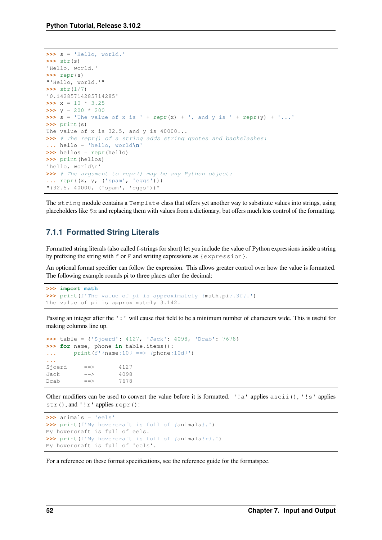```
>>> s = 'Hello, world.'
>>> str(s)
'Hello, world.'
>>> repr(s)
"'Hello, world.'"
>>> str(1/7)
'0.14285714285714285'
\Rightarrow \ge \ge \frac{10 \div 3.25}{ }\Rightarrow \Rightarrow y = 200 \div 200>>> s = 'The value of x is ' + repr(x) + ', and y is ' + repr(y) + '..'>>> print(s)
The value of x is 32.5, and y is 40000...>>> # The repr() of a string adds string quotes and backslashes:
... hello = 'hello, world\n'
>>> hellos = repr(hello)
>>> print(hellos)
'hello, world\n'
>>> # The argument to repr() may be any Python object:
... repr((x, y, ('spam', 'eggs')))
"(32.5, 40000, ('spam', 'eggs'))"
```
The string module contains a Template class that offers yet another way to substitute values into strings, using placeholders like \$x and replacing them with values from a dictionary, but offers much less control of the formatting.

#### <span id="page-57-0"></span>**7.1.1 Formatted String Literals**

Formatted string literals (also called f-strings for short) let you include the value of Python expressions inside a string by prefixing the string with  $f$  or  $F$  and writing expressions as  $\{expression\}$ .

An optional format specifier can follow the expression. This allows greater control over how the value is formatted. The following example rounds pi to three places after the decimal:

```
>>> import math
>>> print(f'The value of pi is approximately {math.pi:.3f}.')
The value of pi is approximately 3.142.
```
Passing an integer after the ':' will cause that field to be a minimum number of characters wide. This is useful for making columns line up.

```
>>> table = {'Sjoerd': 4127, 'Jack': 4098, 'Dcab': 7678}
>>> for name, phone in table.items():
... print(f'{name:10} ==> {phone:10d}')
...
Sjored ==> 4127Jack \qquad == \qquad 4098Dcab ==> 7678
```
Other modifiers can be used to convert the value before it is formatted. '!a' applies ascii(), '!s' applies str(), and '!r' applies repr():

```
>>> animals = 'eels'
>>> print(f'My hovercraft is full of {animals}.')
My hovercraft is full of eels.
>>> print(f'My hovercraft is full of {animals!r}.')
My hovercraft is full of 'eels'.
```
For a reference on these format specifications, see the reference guide for the formatspec.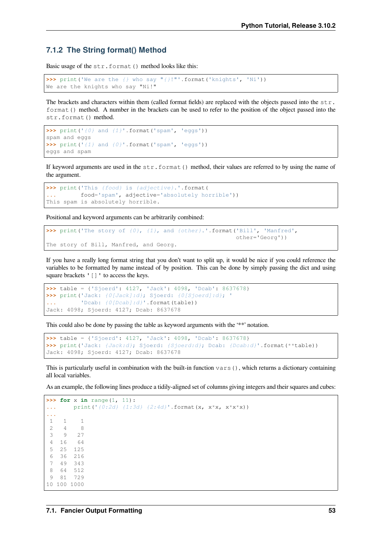#### **7.1.2 The String format() Method**

Basic usage of the str.format() method looks like this:

```
>>> print('We are the {} who say "{}!"'.format('knights', 'Ni'))
We are the knights who say "Ni!"
```
The brackets and characters within them (called format fields) are replaced with the objects passed into the str. format() method. A number in the brackets can be used to refer to the position of the object passed into the str.format() method.

```
>>> print('{0} and {1}'.format('spam', 'eggs'))
spam and eggs
>>> print('{1} and {0}'.format('spam', 'eggs'))
eggs and spam
```
If keyword arguments are used in the  $str.format()$  method, their values are referred to by using the name of the argument.

```
>>> print('This {food} is {adjective}.'.format(
... food='spam', adjective='absolutely horrible'))
This spam is absolutely horrible.
```
Positional and keyword arguments can be arbitrarily combined:

```
>>> print('The story of {0}, {1}, and {other}.'.format('Bill', 'Manfred',
                                                       other='Georg'))
The story of Bill, Manfred, and Georg.
```
If you have a really long format string that you don't want to split up, it would be nice if you could reference the variables to be formatted by name instead of by position. This can be done by simply passing the dict and using square brackets '[]' to access the keys.

```
>>> table = {'Sjoerd': 4127, 'Jack': 4098, 'Dcab': 8637678}
>>> print('Jack: {0[Jack]:d}; Sjoerd: {0[Sjoerd]:d}; '
... 'Dcab: {0[Dcab]:d}'.format(table))
Jack: 4098; Sjoerd: 4127; Dcab: 8637678
```
This could also be done by passing the table as keyword arguments with the '\*\*' notation.

```
>>> table = {'Sjoerd': 4127, 'Jack': 4098, 'Dcab': 8637678}
>>> print('Jack: {Jack:d}; Sjoerd: {Sjoerd:d}; Dcab: {Dcab:d}'.format(**table))
Jack: 4098; Sjoerd: 4127; Dcab: 8637678
```
This is particularly useful in combination with the built-in function vars(), which returns a dictionary containing all local variables.

As an example, the following lines produce a tidily-aligned set of columns giving integers and their squares and cubes:

```
>>> for x in range(1, 11):
... print('{0:2d} {1:3d} {2:4d}'.format(x, x*x, x*x*x))
...
1 1 1
2 4 8
3 9 27
4 16 64
5 25 125
6 36 216
7 49 343
8 64 512
9 81 729
10 100 1000
```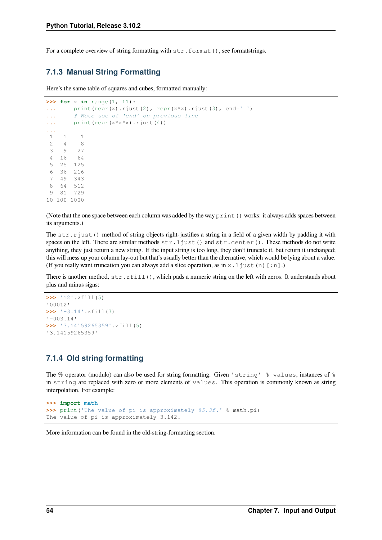For a complete overview of string formatting with  $str.format()$ , see formatstrings.

#### **7.1.3 Manual String Formatting**

Here's the same table of squares and cubes, formatted manually:

```
\Rightarrow for x in range(1, 11):
... print(repr(x).rjust(2), repr(x*x).rjust(3), end=' ')
... # Note use of 'end' on previous line
... print(repr(x*x*x).rjust(4))
...
1 1 1
2 4 8
3 9 27
4 16 64
5 25 125
6 36 216
7 49 343
8 64 512
9 81 729
10 100 1000
```
(Note that the one space between each column was added by the way print() works: it always adds spaces between its arguments.)

The  $str.rjust()$  method of string objects right-justifies a string in a field of a given width by padding it with spaces on the left. There are similar methods  $str.1$  just() and  $str.center()$ . These methods do not write anything, they just return a new string. If the input string is too long, they don't truncate it, but return it unchanged; this will mess up your column lay-out but that's usually better than the alternative, which would be lying about a value. (If you really want truncation you can always add a slice operation, as in  $x \cdot 1$  just (n) [:n].)

There is another method,  $str.zfill()$ , which pads a numeric string on the left with zeros. It understands about plus and minus signs:

```
>>> '12'.zfill(5)
'00012'
>>> '-3.14'.zfill(7)
'-003.14'
>>> '3.14159265359'.zfill(5)
'3.14159265359'
```
#### **7.1.4 Old string formatting**

The % operator (modulo) can also be used for string formatting. Given 'string' % values, instances of % in string are replaced with zero or more elements of values. This operation is commonly known as string interpolation. For example:

```
>>> import math
>>> print('The value of pi is approximately %5.3f.' % math.pi)
The value of pi is approximately 3.142.
```
More information can be found in the old-string-formatting section.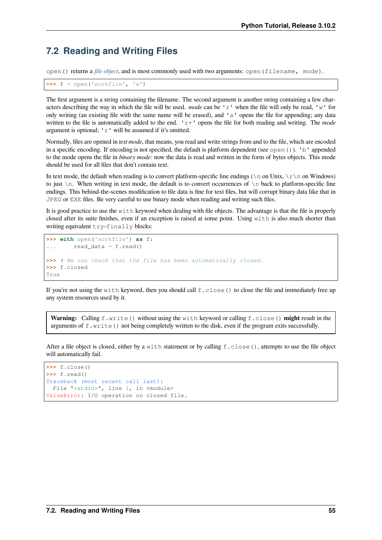## **7.2 Reading and Writing Files**

open() returns a *file object*, and is most commonly used with two arguments: open(filename, mode).

 $\Rightarrow$   $f = \text{open}('workfile', 'w')$ 

The first argument [is a string](#page-117-0) containing the filename. The second argument is another string containing a few characters describing the way in which the file will be used. *mode* can be 'r' when the file will only be read, 'w' for only writing (an existing file with the same name will be erased), and 'a' opens the file for appending; any data written to the file is automatically added to the end. 'r+' opens the file for both reading and writing. The *mode* argument is optional; 'r' will be assumed if it's omitted.

Normally, files are opened in *text mode*, that means, you read and write strings from and to the file, which are encoded in a specific encoding. If encoding is not specified, the default is platform dependent (see open()). 'b' appended to the mode opens the file in *binary mode*: now the data is read and written in the form of bytes objects. This mode should be used for all files that don't contain text.

In text mode, the default when reading is to convert platform-specific line endings ( $\ln$  on Unix,  $\ln \ln$  on Windows) to just  $\n\times$  When writing in text mode, the default is to convert occurrences of  $\n\times$  back to platform-specific line endings. This behind-the-scenes modification to file data is fine for text files, but will corrupt binary data like that in JPEG or EXE files. Be very careful to use binary mode when reading and writing such files.

It is good practice to use the with keyword when dealing with file objects. The advantage is that the file is properly closed after its suite finishes, even if an exception is raised at some point. Using with is also much shorter than writing equivalent try-finally blocks:

```
>>> with open('workfile') as f:
... read_data = f.read()
>>> # We can check that the file has been automatically closed.
>>> f.closed
True
```
If you're not using the with keyword, then you should call  $f$ . close() to close the file and immediately free up any system resources used by it.

**Warning:** Calling f.write() without using the with keyword or calling f.close() **might** result in the arguments of  $f$ .write() not being completely written to the disk, even if the program exits successfully.

After a file object is closed, either by a with statement or by calling  $f$ .close(), attempts to use the file object will automatically fail.

```
>>> f.close()
>>> f.read()
Traceback (most recent call last):
 File "<stdin>", line 1, in <module>
ValueError: I/O operation on closed file.
```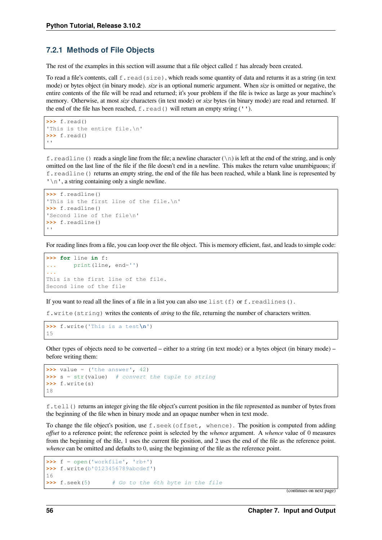#### **7.2.1 Methods of File Objects**

The rest of the examples in this section will assume that a file object called  $\epsilon$  has already been created.

To read a file's contents, call f.read(size), which reads some quantity of data and returns it as a string (in text mode) or bytes object (in binary mode). *size* is an optional numeric argument. When *size* is omitted or negative, the entire contents of the file will be read and returned; it's your problem if the file is twice as large as your machine's memory. Otherwise, at most *size* characters (in text mode) or *size* bytes (in binary mode) are read and returned. If the end of the file has been reached,  $f$ . read() will return an empty string ( $'$ ).

```
>>> f.read()
'This is the entire file.\n'
>>> f.read()
''
```
f.readline() reads a single line from the file; a newline character  $(\nabla)$  is left at the end of the string, and is only omitted on the last line of the file if the file doesn't end in a newline. This makes the return value unambiguous; if f.readline() returns an empty string, the end of the file has been reached, while a blank line is represented by  $'\n\t\$ , a string containing only a single newline.

```
>>> f.readline()
'This is the first line of the file.\n'
>>> f.readline()
'Second line of the file\n'
>>> f.readline()
''
```
For reading lines from a file, you can loop over the file object. This is memory efficient, fast, and leads to simple code:

```
>>> for line in f:
... print(line, end='')
...
This is the first line of the file.
Second line of the file
```
If you want to read all the lines of a file in a list you can also use  $list(f)$  or f.readlines().

f.write(string) writes the contents of *string* to the file, returning the number of characters written.

```
>>> f.write('This is a test\n')
15
```
Other types of objects need to be converted – either to a string (in text mode) or a bytes object (in binary mode) – before writing them:

```
>>> value = ('the answer', 42)
>>> s = str(value) # convert the tuple to string
>>> f.write(s)
18
```
f.tell() returns an integer giving the file object's current position in the file represented as number of bytes from the beginning of the file when in binary mode and an opaque number when in text mode.

To change the file object's position, use  $f$ . seek (offset, whence). The position is computed from adding *offset* to a reference point; the reference point is selected by the *whence* argument. A *whence* value of 0 measures from the beginning of the file, 1 uses the current file position, and 2 uses the end of the file as the reference point. *whence* can be omitted and defaults to 0, using the beginning of the file as the reference point.

```
>>> f = open('workfile', 'rb+')
>>> f.write(b'0123456789abcdef')
16
>>> f.seek(5) # Go to the 6th byte in the file
```
(continues on next page)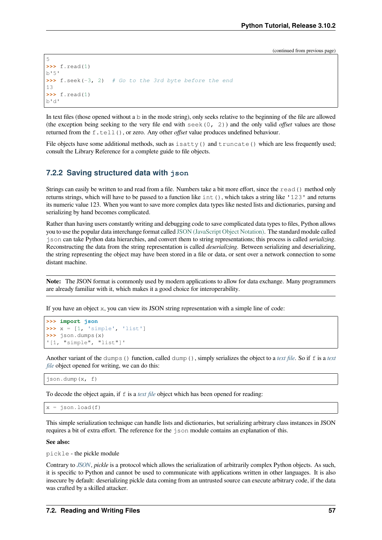```
5
>>> f.read(1)
b'5'
>>> f.seek(-3, 2) # Go to the 3rd byte before the end
13
>>> f.read(1)
b'd'
```
In text files (those opened without a b in the mode string), only seeks relative to the beginning of the file are allowed (the exception being seeking to the very file end with seek(0, 2)) and the only valid *offset* values are those returned from the f.tell(), or zero. Any other *offset* value produces undefined behaviour.

File objects have some additional methods, such as isatty () and truncate () which are less frequently used; consult the Library Reference for a complete guide to file objects.

#### **7.2.2 Saving structured data with json**

Strings can easily be written to and read from a file. Numbers take a bit more effort, since the read() method only returns strings, which will have to be passed to a function like int(), which takes a string like '123' and returns its numeric value 123. When you want to save more complex data types like nested lists and dictionaries, parsing and serializing by hand becomes complicated.

Rather than having users constantly writing and debugging code to save complicated data types to files, Python allows you to use the popular data interchange format called JSON (JavaScript Object Notation). The standard module called json can take Python data hierarchies, and convert them to string representations; this process is called *serializing*. Reconstructing the data from the string representation is called *deserializing*. Between serializing and deserializing, the string representing the object may have been stored in a file or data, or sent over a network connection to some distant machine.

**Note:** The JSON format is commonly used by modern applications to allow for data exchange. Many programmers are already familiar with it, which makes it a good choice for interoperability.

If you have an object x, you can view its JSON string representation with a simple line of code:

```
>>> import json
>>> x = [1, 'simple', 'list']
>>> json.dumps(x)
'[1, "simple", "list"]'
```
Another variant of the dumps() function, called dump(), simply serializes the object to a *text file*. So if f is a *text file* object opened for writing, we can do this:

```
json.dump(x, f)
```
[To](#page-125-0) decode the object again, if f is a *text file* object which has been opened for reading:

 $x = json.load(f)$ 

This simple serialization techniquec[an hand](#page-125-0)le lists and dictionaries, but serializing arbitrary class instances in JSON requires a bit of extra effort. The reference for the json module contains an explanation of this.

#### **See also:**

pickle - the pickle module

Contrary to *JSON*, *pickle* is a protocol which allows the serialization of arbitrarily complex Python objects. As such, it is specific to Python and cannot be used to communicate with applications written in other languages. It is also insecure by default: deserializing pickle data coming from an untrusted source can execute arbitrary code, if the data was crafted by a skilled attacker.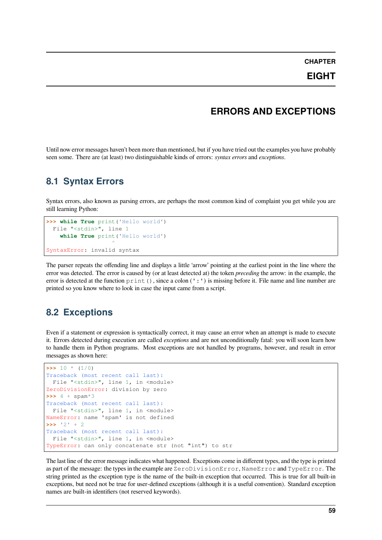## **ERRORS AND EXCEPTIONS**

Until now error messages haven't been more than mentioned, but if you have tried out the examples you have probably seen some. There are (at least) two distinguishable kinds of errors: *syntax errors* and *exceptions*.

### **8.1 Syntax Errors**

Syntax errors, also known as parsing errors, are perhaps the most common kind of complaint you get while you are still learning Python:

```
>>> while True print('Hello world')
  File "<stdin>", line 1
    while True print('Hello world')
                      \hat{\phantom{a}}SyntaxError: invalid syntax
```
The parser repeats the offending line and displays a little 'arrow' pointing at the earliest point in the line where the error was detected. The error is caused by (or at least detected at) the token *preceding* the arrow: in the example, the error is detected at the function print (), since a colon (':') is missing before it. File name and line number are printed so you know where to look in case the input came from a script.

## **8.2 Exceptions**

Even if a statement or expression is syntactically correct, it may cause an error when an attempt is made to execute it. Errors detected during execution are called *exceptions* and are not unconditionally fatal: you will soon learn how to handle them in Python programs. Most exceptions are not handled by programs, however, and result in error messages as shown here:

```
>>> 10 * (1/0)
Traceback (most recent call last):
 File "<stdin>", line 1, in <module>
ZeroDivisionError: division by zero
>>> 4 + spam*3
Traceback (most recent call last):
 File "<stdin>", line 1, in <module>
NameError: name 'spam' is not defined
\Rightarrow \frac{12!}{2!} + 2
Traceback (most recent call last):
 File "<stdin>", line 1, in <module>
TypeError: can only concatenate str (not "int") to str
```
The last line of the error message indicates what happened. Exceptions come in different types, and the type is printed as part of the message: the types in the example are ZeroDivisionError, NameError and TypeError. The string printed as the exception type is the name of the built-in exception that occurred. This is true for all built-in exceptions, but need not be true for user-defined exceptions (although it is a useful convention). Standard exception names are built-in identifiers (not reserved keywords).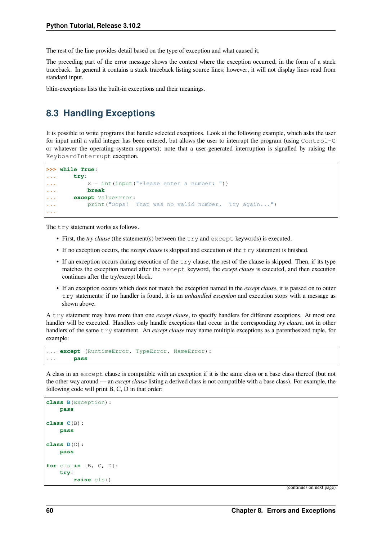The rest of the line provides detail based on the type of exception and what caused it.

The preceding part of the error message shows the context where the exception occurred, in the form of a stack traceback. In general it contains a stack traceback listing source lines; however, it will not display lines read from standard input.

bltin-exceptions lists the built-in exceptions and their meanings.

### **8.3 Handling Exceptions**

It is possible to write programs that handle selected exceptions. Look at the following example, which asks the user for input until a valid integer has been entered, but allows the user to interrupt the program (using Control-C or whatever the operating system supports); note that a user-generated interruption is signalled by raising the KeyboardInterrupt exception.

```
>>> while True:
... try:
... x = int(input("Please enter a number: "))
... break
... except ValueError:
... print("Oops! That was no valid number. Try again...")
...
```
The  $trv$  statement works as follows.

- First, the *try clause* (the statement(s) between the  $\pm ry$  and  $\pm x \cdot c$  except keywords) is executed.
- If no exception occurs, the *except clause* is skipped and execution of the try statement is finished.
- If an exception occurs during execution of the  $try$  clause, the rest of the clause is skipped. Then, if its type matches the exception named after the except keyword, the *except clause* is executed, and then execution continues after the try/except block.
- If an exception occurs which does not match the exception named in the *except clause*, it is passed on to outer try statements; if no handler is found, it is an *unhandled exception* and execution stops with a message as shown above.

A try statement may have more than one *except clause*, to specify handlers for different exceptions. At most one handler will be executed. Handlers only handle exceptions that occur in the corresponding *try clause*, not in other handlers of the same try statement. An *except clause* may name multiple exceptions as a parenthesized tuple, for example:

```
... except (RuntimeError, TypeError, NameError):
... pass
```
A class in an except clause is compatible with an exception if it is the same class or a base class thereof (but not the other way around — an *except clause* listing a derived class is not compatible with a base class). For example, the following code will print B, C, D in that order:

```
class B(Exception):
    pass
class C(B):
    pass
class D(C):
    pass
for cls in [B, C, D]:
    try:
        raise cls()
```
(continues on next page)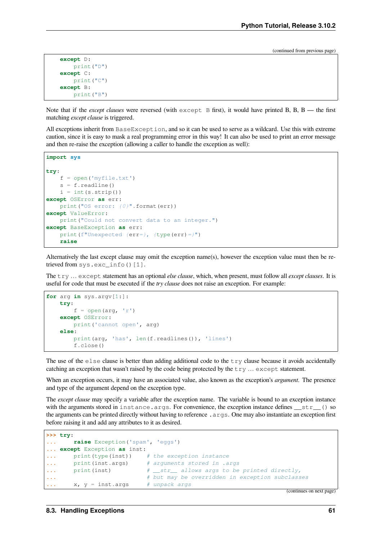(continued from previous page)

```
except D:
   print("D")
except C:
  print("C")
except B:
   print("B")
```
Note that if the *except clauses* were reversed (with except B first), it would have printed B, B, B — the first matching *except clause* is triggered.

All exceptions inherit from BaseException, and so it can be used to serve as a wildcard. Use this with extreme caution, since it is easy to mask a real programming error in this way! It can also be used to print an error message and then re-raise the exception (allowing a caller to handle the exception as well):

```
import sys
try:
    f = open('myfile.txt')s = f.readline()i = int(s.start(p())except OSError as err:
   print("OS error: \{0\}".format(err))
except ValueError:
   print("Could not convert data to an integer.")
except BaseException as err:
   print(f"Unexpected {err=}, {type(err)=}")
    raise
```
Alternatively the last except clause may omit the exception name(s), however the exception value must then be retrieved from sys.exc\_info()[1].

The try … except statement has an optional *else clause*, which, when present, must follow all *except clauses*. It is useful for code that must be executed if the *try clause* does not raise an exception. For example:

```
for arg in sys.argv[1:]:
   try:
       f = open(arg, 'r')except OSError:
       print('cannot open', arg)
    else:
       print(arg, 'has', len(f.readlines()), 'lines')
        f.close()
```
The use of the  $else$  clause is better than adding additional code to the  $try$  clause because it avoids accidentally catching an exception that wasn't raised by the code being protected by the  $\text{try} \dots$  except statement.

When an exception occurs, it may have an associated value, also known as the exception's *argument*. The presence and type of the argument depend on the exception type.

The *except clause* may specify a variable after the exception name. The variable is bound to an exception instance with the arguments stored in instance.args. For convenience, the exception instance defines  $\text{str}$  () so the arguments can be printed directly without having to reference .args. One may also instantiate an exception first before raising it and add any attributes to it as desired.

```
>>> try:
... raise Exception('spam', 'eggs')
... except Exception as inst:
... print(type(inst)) # the exception instance
... print(inst.args) # arguments stored in .args
... print(inst) # __str__ allows args to be printed directly,
... # but may be overridden in exception subclasses
... x, y = inst.args # unpack args
```
(continues on next page)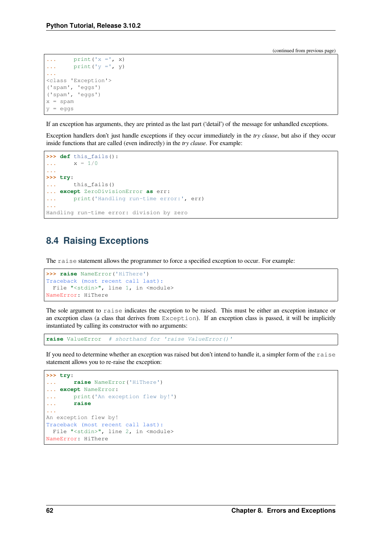(continued from previous page)

```
... print('x =', x)
... print('y =', y)
...
<class 'Exception'>
('spam', 'eggs')
('spam', 'eggs')
x = spam
y = eggs
```
If an exception has arguments, they are printed as the last part ('detail') of the message for unhandled exceptions.

Exception handlers don't just handle exceptions if they occur immediately in the *try clause*, but also if they occur inside functions that are called (even indirectly) in the *try clause*. For example:

```
>>> def this_fails():
\cdot \cdot \cdot x = 1/0...
>>> try:
... this_fails()
... except ZeroDivisionError as err:
... print('Handling run-time error:', err)
...
Handling run-time error: division by zero
```
## **8.4 Raising Exceptions**

The raise statement allows the programmer to force a specified exception to occur. For example:

```
>>> raise NameError('HiThere')
Traceback (most recent call last):
 File "<stdin>", line 1, in <module>
NameError: HiThere
```
The sole argument to raise indicates the exception to be raised. This must be either an exception instance or an exception class (a class that derives from Exception). If an exception class is passed, it will be implicitly instantiated by calling its constructor with no arguments:

**raise** ValueError *# shorthand for 'raise ValueError()'*

If you need to determine whether an exception was raised but don't intend to handle it, a simpler form of the raise statement allows you to re-raise the exception:

```
>>> try:
... raise NameError('HiThere')
... except NameError:
... print('An exception flew by!')
... raise
...
An exception flew by!
Traceback (most recent call last):
 File "<stdin>", line 2, in <module>
NameError: HiThere
```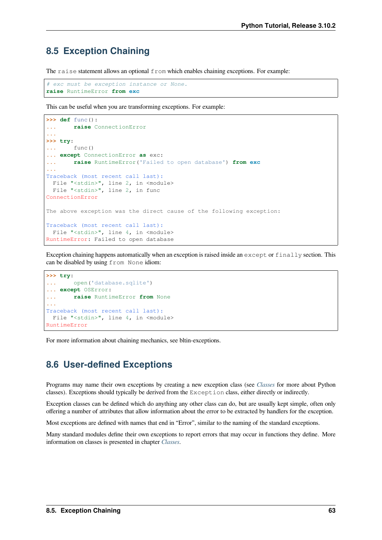## **8.5 Exception Chaining**

The raise statement allows an optional from which enables chaining exceptions. For example:

*# exc must be exception instance or None.* **raise** RuntimeError **from exc**

This can be useful when you are transforming exceptions. For example:

```
>>> def func():
... raise ConnectionError
...
>>> try:
... func()
... except ConnectionError as exc:
... raise RuntimeError('Failed to open database') from exc
...
Traceback (most recent call last):
 File "<stdin>", line 2, in <module>
File "<stdin>", line 2, in func
ConnectionError
The above exception was the direct cause of the following exception:
Traceback (most recent call last):
File "<stdin>", line 4, in <module>
RuntimeError: Failed to open database
```
Exception chaining happens automatically when an exception is raised inside an except or finally section. This can be disabled by using from None idiom:

```
>>> try:
... open('database.sqlite')
... except OSError:
... raise RuntimeError from None
...
Traceback (most recent call last):
File "<stdin>", line 4, in <module>
RuntimeError
```
For more information about chaining mechanics, see bltin-exceptions.

## **8.6 User-defined Exceptions**

Programs may name their own exceptions by creating a new exception class (see *Classes* for more about Python classes). Exceptions should typically be derived from the Exception class, either directly or indirectly.

Exception classes can be defined which do anything any other class can do, but are usually kept simple, often only offering a number of attributes that allow information about the error to be extracte[d by han](#page-72-0)dlers for the exception.

Most exceptions are defined with names that end in "Error", similar to the naming of the standard exceptions.

Many standard modules define their own exceptions to report errors that may occur in functions they define. More information on classes is presented in chapter *Classes*.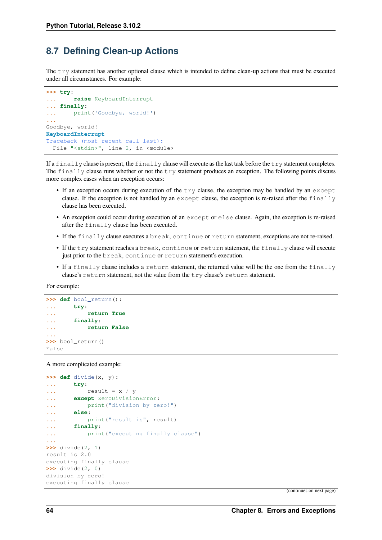### **8.7 Defining Clean-up Actions**

The try statement has another optional clause which is intended to define clean-up actions that must be executed under all circumstances. For example:

```
>>> try:
... raise KeyboardInterrupt
... finally:
... print('Goodbye, world!')
...
Goodbye, world!
KeyboardInterrupt
Traceback (most recent call last):
 File "<stdin>", line 2, in <module>
```
If a finally clause is present, the finally clause will execute as the last task before the  $try$  statement completes. The finally clause runs whether or not the try statement produces an exception. The following points discuss more complex cases when an exception occurs:

- If an exception occurs during execution of the try clause, the exception may be handled by an except clause. If the exception is not handled by an except clause, the exception is re-raised after the finally clause has been executed.
- An exception could occur during execution of an except or else clause. Again, the exception is re-raised after the finally clause has been executed.
- If the finally clause executes a break, continue or return statement, exceptions are not re-raised.
- If the try statement reaches a break, continue or return statement, the finally clause will execute just prior to the break, continue or return statement's execution.
- If a finally clause includes a return statement, the returned value will be the one from the finally clause's return statement, not the value from the try clause's return statement.

For example:

```
>>> def bool_return():
... try:
... return True
... finally:
... return False
...
>>> bool_return()
False
```
A more complicated example:

```
>>> def divide(x, y):
... try:
... result = x / y
... except ZeroDivisionError:
... print("division by zero!")
... else:
... print("result is", result)
... finally:
... print("executing finally clause")
...
>>> divide(2, 1)
result is 2.0
executing finally clause
>>> divide(2, 0)
division by zero!
executing finally clause
```
(continues on next page)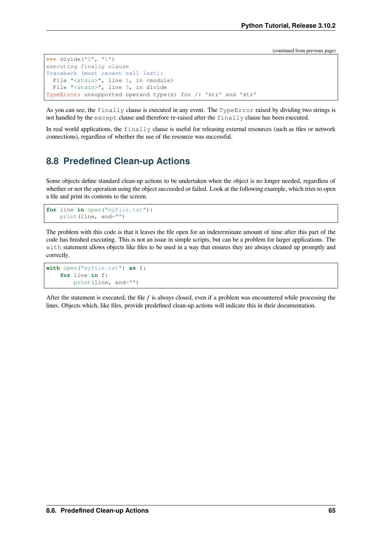(continued from previous page)

```
>>> divide("2", "1")
executing finally clause
Traceback (most recent call last):
 File "<stdin>", line 1, in <module>
 File "<stdin>", line 3, in divide
TypeError: unsupported operand type(s) for /: 'str' and 'str'
```
As you can see, the finally clause is executed in any event. The TypeError raised by dividing two strings is not handled by the except clause and therefore re-raised after the finally clause has been executed.

In real world applications, the finally clause is useful for releasing external resources (such as files or network connections), regardless of whether the use of the resource was successful.

### **8.8 Predefined Clean-up Actions**

Some objects define standard clean-up actions to be undertaken when the object is no longer needed, regardless of whether or not the operation using the object succeeded or failed. Look at the following example, which tries to open a file and print its contents to the screen.

```
for line in open("myfile.txt"):
    print(line, end="")
```
The problem with this code is that it leaves the file open for an indeterminate amount of time after this part of the code has finished executing. This is not an issue in simple scripts, but can be a problem for larger applications. The with statement allows objects like files to be used in a way that ensures they are always cleaned up promptly and correctly.

```
with open("myfile.txt") as f:
    for line in f:
        print(line, end="")
```
After the statement is executed, the file *f* is always closed, even if a problem was encountered while processing the lines. Objects which, like files, provide predefined clean-up actions will indicate this in their documentation.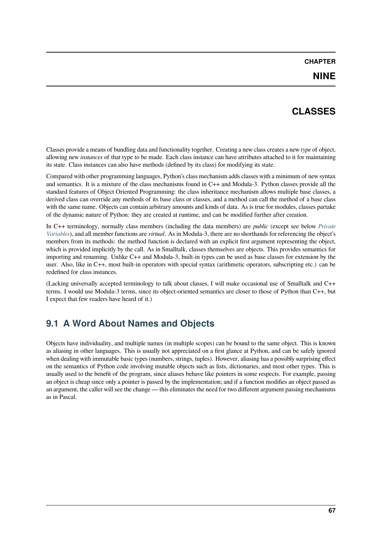# **CHAPTER NINE**

## **CLASSES**

Classes provide a means of bundling data and functionality together. Creating a new class creates a new *type* of object, allowing new *instances* of that type to be made. Each class instance can have attributes attached to it for maintaining its state. Class instances can also have methods (defined by its class) for modifying its state.

Compared with other programming languages, Python's class mechanism adds classes with a minimum of new syntax and semantics. It is a mixture of the class mechanisms found in C++ and Modula-3. Python classes provide all the standard features of Object Oriented Programming: the class inheritance mechanism allows multiple base classes, a derived class can override any methods of its base class or classes, and a method can call the method of a base class with the same name. Objects can contain arbitrary amounts and kinds of data. As is true for modules, classes partake of the dynamic nature of Python: they are created at runtime, and can be modified further after creation.

In C++ terminology, normally class members (including the data members) are *public* (except see below *Private Variables*), and all member functions are *virtual*. As in Modula-3, there are no shorthands for referencing the object's members from its methods: the method function is declared with an explicit first argument representing the object, which is provided implicitly by the call. As in Smalltalk, classes themselves are objects. This provides semantics for importing and renaming. Unlike C++ and Modula-3, built-in types can be used as base classes for extensio[n by the](#page-81-0) [user. Also](#page-81-0), like in C++, most built-in operators with special syntax (arithmetic operators, subscripting etc.) can be redefined for class instances.

(Lacking universally accepted terminology to talk about classes, I will make occasional use of Smalltalk and C++ terms. I would use Modula-3 terms, since its object-oriented semantics are closer to those of Python than C++, but I expect that few readers have heard of it.)

### **9.1 A Word About Names and Objects**

Objects have individuality, and multiple names (in multiple scopes) can be bound to the same object. This is known as aliasing in other languages. This is usually not appreciated on a first glance at Python, and can be safely ignored when dealing with immutable basic types (numbers, strings, tuples). However, aliasing has a possibly surprising effect on the semantics of Python code involving mutable objects such as lists, dictionaries, and most other types. This is usually used to the benefit of the program, since aliases behave like pointers in some respects. For example, passing an object is cheap since only a pointer is passed by the implementation; and if a function modifies an object passed as an argument, the caller will see the change — this eliminates the need for two different argument passing mechanisms as in Pascal.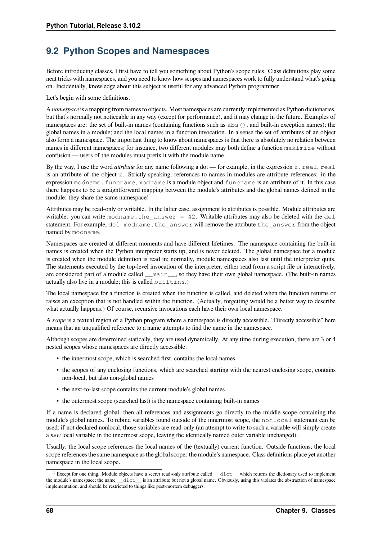# **9.2 Python Scopes and Namespaces**

Before introducing classes, I first have to tell you something about Python's scope rules. Class definitions play some neat tricks with namespaces, and you need to know how scopes and namespaces work to fully understand what's going on. Incidentally, knowledge about this subject is useful for any advanced Python programmer.

Let's begin with some definitions.

A *namespace* is a mapping from names to objects. Most namespaces are currently implemented as Python dictionaries, but that's normally not noticeable in any way (except for performance), and it may change in the future. Examples of namespaces are: the set of built-in names (containing functions such as abs(), and built-in exception names); the global names in a module; and the local names in a function invocation. In a sense the set of attributes of an object also form a namespace. The important thing to know about namespaces is that there is absolutely no relation between names in different namespaces; for instance, two different modules may both define a function maximize without confusion — users of the modules must prefix it with the module name.

By the way, I use the word *attribute* for any name following a dot — for example, in the expression z.real, real is an attribute of the object z. Strictly speaking, references to names in modules are attribute references: in the expression modname. funcname, modname is a module object and funcname is an attribute of it. In this case there happens to be a straightforward mapping between the module's attributes and the global names defined in the module: they share the same namespace!<sup>1</sup>

Attributes may be read-only or writable. In the latter case, assignment to attributes is possible. Module attributes are writable: you can write modname.the answer = 42. Writable attributes may also be deleted with the del statement. For example, del modnam[e.](#page-73-0)the\_answer will remove the attribute the\_answer from the object named by modname.

Namespaces are created at different moments and have different lifetimes. The namespace containing the built-in names is created when the Python interpreter starts up, and is never deleted. The global namespace for a module is created when the module definition is read in; normally, module namespaces also last until the interpreter quits. The statements executed by the top-level invocation of the interpreter, either read from a script file or interactively, are considered part of a module called \_\_main\_, so they have their own global namespace. (The built-in names actually also live in a module; this is called builtins.)

The local namespace for a function is created when the function is called, and deleted when the function returns or raises an exception that is not handled within the function. (Actually, forgetting would be a better way to describe what actually happens.) Of course, recursive invocations each have their own local namespace.

A *scope* is a textual region of a Python program where a namespace is directly accessible. "Directly accessible" here means that an unqualified reference to a name attempts to find the name in the namespace.

Although scopes are determined statically, they are used dynamically. At any time during execution, there are 3 or 4 nested scopes whose namespaces are directly accessible:

- the innermost scope, which is searched first, contains the local names
- the scopes of any enclosing functions, which are searched starting with the nearest enclosing scope, contains non-local, but also non-global names
- the next-to-last scope contains the current module's global names
- the outermost scope (searched last) is the namespace containing built-in names

If a name is declared global, then all references and assignments go directly to the middle scope containing the module's global names. To rebind variables found outside of the innermost scope, the nonlocal statement can be used; if not declared nonlocal, those variables are read-only (an attempt to write to such a variable will simply create a *new* local variable in the innermost scope, leaving the identically named outer variable unchanged).

Usually, the local scope references the local names of the (textually) current function. Outside functions, the local scope references the same namespace as the global scope: the module's namespace. Class definitions place yet another namespace in the local scope.

<span id="page-73-0"></span><sup>&</sup>lt;sup>1</sup> Except for one thing. Module objects have a secret read-only attribute called \_\_dict\_ which returns the dictionary used to implement the module's namespace; the name \_\_dict\_\_ is an attribute but not a global name. Obviously, using this violates the abstraction of namespace implementation, and should be restricted to things like post-mortem debuggers.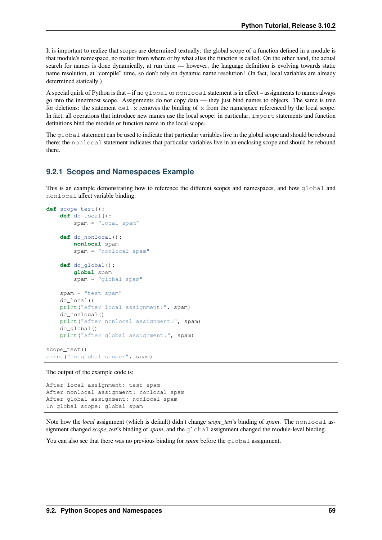It is important to realize that scopes are determined textually: the global scope of a function defined in a module is that module's namespace, no matter from where or by what alias the function is called. On the other hand, the actual search for names is done dynamically, at run time — however, the language definition is evolving towards static name resolution, at "compile" time, so don't rely on dynamic name resolution! (In fact, local variables are already determined statically.)

A special quirk of Python is that – if no global or nonlocal statement is in effect – assignments to names always go into the innermost scope. Assignments do not copy data — they just bind names to objects. The same is true for deletions: the statement  $\text{del} \times \text{r}$  removes the binding of x from the namespace referenced by the local scope. In fact, all operations that introduce new names use the local scope: in particular, import statements and function definitions bind the module or function name in the local scope.

The global statement can be used to indicate that particular variables live in the global scope and should be rebound there; the nonlocal statement indicates that particular variables live in an enclosing scope and should be rebound there.

#### **9.2.1 Scopes and Namespaces Example**

This is an example demonstrating how to reference the different scopes and namespaces, and how global and nonlocal affect variable binding:

```
def scope_test():
    def do_local():
        span = "local spam"def do_nonlocal():
       nonlocal spam
        spam = "nonlocal spam"
    def do_global():
        global spam
        span = "global spam"span = "test spam"do_local()
    print("After local assignment:", spam)
    do_nonlocal()
    print("After nonlocal assignment:", spam)
    do_global()
    print("After global assignment:", spam)
scope_test()
print("In global scope:", spam)
```
The output of the example code is:

After local assignment: test spam After nonlocal assignment: nonlocal spam After global assignment: nonlocal spam In global scope: global spam

Note how the *local* assignment (which is default) didn't change *scope* test's binding of *spam*. The nonlocal assignment changed *scope\_test*'s binding of *spam*, and the qlobal assignment changed the module-level binding.

You can also see that there was no previous binding for *spam* before the global assignment.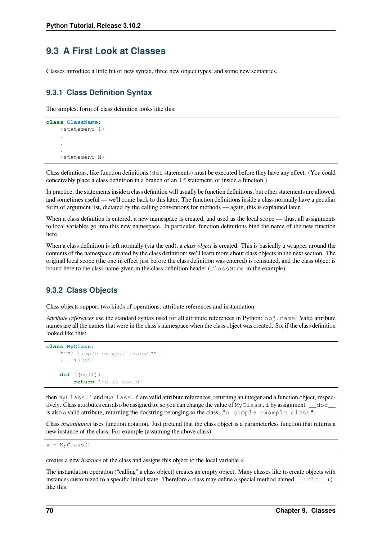## **9.3 A First Look at Classes**

Classes introduce a little bit of new syntax, three new object types, and some new semantics.

#### **9.3.1 Class Definition Syntax**

The simplest form of class definition looks like this:

```
class ClassName:
    <statement-1>
    .
    .
    .
    <statement-N>
```
Class definitions, like function definitions ( $d \in \mathsf{f}$  statements) must be executed before they have any effect. (You could conceivably place a class definition in a branch of an  $if$  statement, or inside a function.)

In practice, the statements inside a class definition will usually be function definitions, but other statements are allowed, and sometimes useful — we'll come back to this later. The function definitions inside a class normally have a peculiar form of argument list, dictated by the calling conventions for methods — again, this is explained later.

When a class definition is entered, a new namespace is created, and used as the local scope — thus, all assignments to local variables go into this new namespace. In particular, function definitions bind the name of the new function here.

When a class definition is left normally (via the end), a *class object* is created. This is basically a wrapper around the contents of the namespace created by the class definition; we'll learn more about class objects in the next section. The original local scope (the one in effect just before the class definition was entered) is reinstated, and the class object is bound here to the class name given in the class definition header (ClassName in the example).

#### **9.3.2 Class Objects**

Class objects support two kinds of operations: attribute references and instantiation.

*Attribute references* use the standard syntax used for all attribute references in Python: obj.name. Valid attribute names are all the names that were in the class's namespace when the class object was created. So, if the class definition looked like this:

```
class MyClass:
    """A simple example class"""
    i = 12345def f(self):
        return 'hello world'
```
then MyClass. i and MyClass. f are valid attribute references, returning an integer and a function object, respectively. Class attributes can also be assigned to, so you can change the value of  $MvClass$ , i by assignment.  $\dot{\phi}$ is also a valid attribute, returning the docstring belonging to the class: "A simple example class".

Class *instantiation* uses function notation. Just pretend that the class object is a parameterless function that returns a new instance of the class. For example (assuming the above class):

 $x = MyClass()$ 

creates a new *instance* of the class and assigns this object to the local variable x.

The instantiation operation ("calling" a class object) creates an empty object. Many classes like to create objects with instances customized to a specific initial state. Therefore a class may define a special method named  $\text{__init}\_\text{()},$ like this: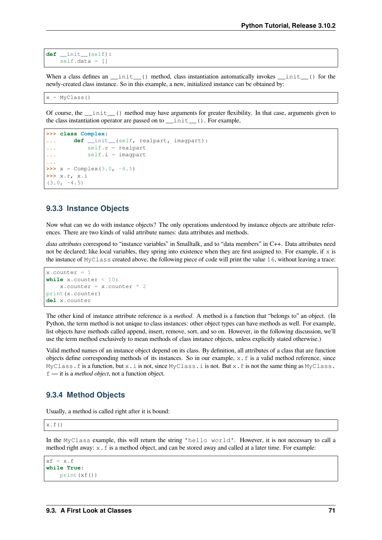**def** \_\_init\_\_(self): self.data = []

When a class defines an  $\text{unit}$  () method, class instantiation automatically invokes  $\text{unit}$  () for the newly-created class instance. So in this example, a new, initialized instance can be obtained by:

 $x = MyClass()$ 

Of course, the \_\_init\_\_() method may have arguments for greater flexibility. In that case, arguments given to the class instantiation operator are passed on to  $\text{__init__()}$ . For example,

```
>>> class Complex:
... def __init__(self, realpart, imagpart):
... self.r = realpart
... self.i = imagpart
...
\Rightarrow x = Complex(3.0, -4.5)
>>> x.r, x.i
(3.0, -4.5)
```
#### **9.3.3 Instance Objects**

Now what can we do with instance objects? The only operations understood by instance objects are attribute references. There are two kinds of valid attribute names: data attributes and methods.

*data attributes* correspond to "instance variables" in Smalltalk, and to "data members" in C++. Data attributes need not be declared; like local variables, they spring into existence when they are first assigned to. For example, if  $\times$  is the instance of MyClass created above, the following piece of code will print the value 16, without leaving a trace:

```
x counter = 1
while x.counter < 10:
    x.counter = x.counter * 2
print(x.counter)
del x.counter
```
The other kind of instance attribute reference is a *method*. A method is a function that "belongs to" an object. (In Python, the term method is not unique to class instances: other object types can have methods as well. For example, list objects have methods called append, insert, remove, sort, and so on. However, in the following discussion, we'll use the term method exclusively to mean methods of class instance objects, unless explicitly stated otherwise.)

Valid method names of an instance object depend on its class. By definition, all attributes of a class that are function objects define corresponding methods of its instances. So in our example,  $x \cdot f$  is a valid method reference, since  $MyClass. f$  is a function, but x.i is not, since  $MyClass. i$  is not. But x.f is not the same thing as  $MyClass.$ f — it is a *method object*, not a function object.

#### **9.3.4 Method Objects**

Usually, a method is called right after it is bound:

 $x$ .f()

In the MyClass example, this will return the string 'hello world'. However, it is not necessary to call a method right away:  $x \cdot f$  is a method object, and can be stored away and called at a later time. For example:

```
xf = x. fwhile True:
    print(xf())
```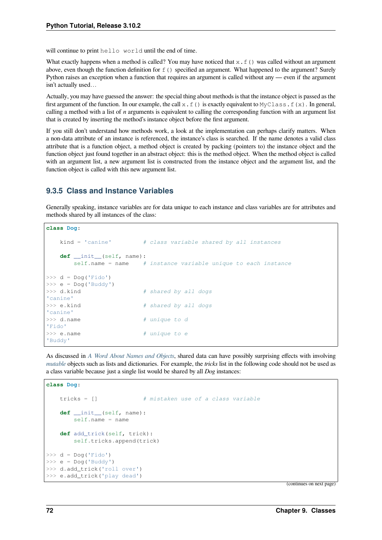will continue to print hello world until the end of time.

What exactly happens when a method is called? You may have noticed that  $x \cdot f$  () was called without an argument above, even though the function definition for  $f($ ) specified an argument. What happened to the argument? Surely Python raises an exception when a function that requires an argument is called without any — even if the argument isn't actually used…

Actually, you may have guessed the answer: the special thing about methods is that the instance object is passed as the first argument of the function. In our example, the call  $x \cdot f$  () is exactly equivalent to MyClass.  $f(x)$ . In general, calling a method with a list of *n* arguments is equivalent to calling the corresponding function with an argument list that is created by inserting the method's instance object before the first argument.

If you still don't understand how methods work, a look at the implementation can perhaps clarify matters. When a non-data attribute of an instance is referenced, the instance's class is searched. If the name denotes a valid class attribute that is a function object, a method object is created by packing (pointers to) the instance object and the function object just found together in an abstract object: this is the method object. When the method object is called with an argument list, a new argument list is constructed from the instance object and the argument list, and the function object is called with this new argument list.

#### **9.3.5 Class and Instance Variables**

Generally speaking, instance variables are for data unique to each instance and class variables are for attributes and methods shared by all instances of the class:

```
class Dog:
   kind = 'canine' # class variable shared by all instances
   def __init__(self, name):
      self.name = name # instance variable unique to each instance
\Rightarrow d = Dog('Fido')
\Rightarrow > e = Dog('Buddy')
>>> d.kind # shared by all dogs
'canine'
>>> e.kind # shared by all dogs
'canine'
>>> d.name # unique to d
'Fido'
>>> e.name # unique to e
'Buddy'
```
As discussed in *A Word About Names and Objects*, shared data can have possibly surprising effects with involving *mutable* objects such as lists and dictionaries. For example, the *tricks* list in the following code should not be used as a class variable because just a single list would be shared by all *Dog* instances:

```
class Dog:
```

```
tricks = [] # mistaken use of a class variable
    def __init__(self, name):
       self.name = name
   def add_trick(self, trick):
        self.tricks.append(trick)
>>> d = Dog('Fido')
\Rightarrow > e = Dog('Buddy')
>>> d.add_trick('roll over')
>>> e.add_trick('play dead')
```
(continues on next page)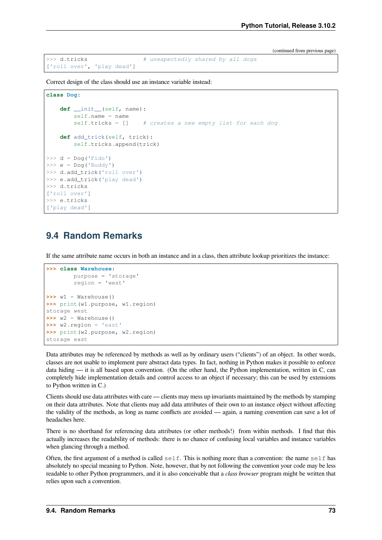(continued from previous page)

```
>>> d.tricks # unexpectedly shared by all dogs
['roll over', 'play dead']
```
Correct design of the class should use an instance variable instead:

```
class Dog:
    def __init__(self, name):
        self.name = name
        self.tricks = [] # creates a new empty list for each dog
    def add_trick(self, trick):
        self.tricks.append(trick)
>>> d = Dog('Fido')
\Rightarrow > e = Dog('Buddy')
>>> d.add_trick('roll over')
>>> e.add_trick('play dead')
>>> d.tricks
['roll over']
>>> e.tricks
['play dead']
```
### **9.4 Random Remarks**

If the same attribute name occurs in both an instance and in a class, then attribute lookup prioritizes the instance:

```
>>> class Warehouse:
       purpose = 'storage'
        region = 'west'
>>> w1 = Warehouse()
>>> print(w1.purpose, w1.region)
storage west
>>> w2 = Warehouse()
>>> w2.region = 'east'
>>> print(w2.purpose, w2.region)
storage east
```
Data attributes may be referenced by methods as well as by ordinary users ("clients") of an object. In other words, classes are not usable to implement pure abstract data types. In fact, nothing in Python makes it possible to enforce data hiding — it is all based upon convention. (On the other hand, the Python implementation, written in C, can completely hide implementation details and control access to an object if necessary; this can be used by extensions to Python written in C.)

Clients should use data attributes with care — clients may mess up invariants maintained by the methods by stamping on their data attributes. Note that clients may add data attributes of their own to an instance object without affecting the validity of the methods, as long as name conflicts are avoided — again, a naming convention can save a lot of headaches here.

There is no shorthand for referencing data attributes (or other methods!) from within methods. I find that this actually increases the readability of methods: there is no chance of confusing local variables and instance variables when glancing through a method.

Often, the first argument of a method is called  $self$ . This is nothing more than a convention: the name  $self$  has absolutely no special meaning to Python. Note, however, that by not following the convention your code may be less readable to other Python programmers, and it is also conceivable that a *class browser* program might be written that relies upon such a convention.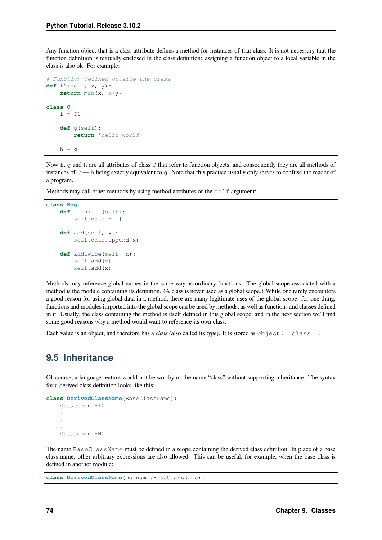Any function object that is a class attribute defines a method for instances of that class. It is not necessary that the function definition is textually enclosed in the class definition: assigning a function object to a local variable in the class is also ok. For example:

```
# Function defined outside the class
def f1(self, x, y):
    return min(x, x+y)
class C:
    f = f1def g(self):
        return 'hello world'
    h = g
```
Now f, g and h are all attributes of class C that refer to function objects, and consequently they are all methods of instances of C — h being exactly equivalent to g. Note that this practice usually only serves to confuse the reader of a program.

Methods may call other methods by using method attributes of the self argument:

```
class Bag:
    def __init__(self):
        self.data = []
    def add(self, x):
        self.data.append(x)
    def addtwice(self, x):
        self.add(x)
        self.add(x)
```
Methods may reference global names in the same way as ordinary functions. The global scope associated with a method is the module containing its definition. (A class is never used as a global scope.) While one rarely encounters a good reason for using global data in a method, there are many legitimate uses of the global scope: for one thing, functions and modules imported into the global scope can be used by methods, as well as functions and classes defined in it. Usually, the class containing the method is itself defined in this global scope, and in the next section we'll find some good reasons why a method would want to reference its own class.

Each value is an object, and therefore has a *class* (also called its *type*). It is stored as object.\_\_class\_\_.

### **9.5 Inheritance**

Of course, a language feature would not be worthy of the name "class" without supporting inheritance. The syntax for a derived class definition looks like this:

```
class DerivedClassName(BaseClassName):
    \leqstatement-1>
    .
    .
    .
    <statement-N>
```
The name BaseClassName must be defined in a scope containing the derived class definition. In place of a base class name, other arbitrary expressions are also allowed. This can be useful, for example, when the base class is defined in another module:

**class DerivedClassName**(modname.BaseClassName):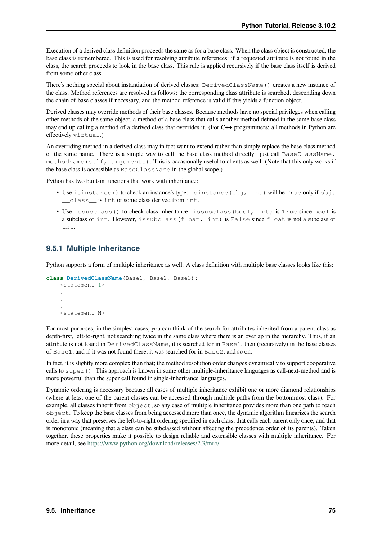Execution of a derived class definition proceeds the same as for a base class. When the class object is constructed, the base class is remembered. This is used for resolving attribute references: if a requested attribute is not found in the class, the search proceeds to look in the base class. This rule is applied recursively if the base class itself is derived from some other class.

There's nothing special about instantiation of derived classes: DerivedClassName() creates a new instance of the class. Method references are resolved as follows: the corresponding class attribute is searched, descending down the chain of base classes if necessary, and the method reference is valid if this yields a function object.

Derived classes may override methods of their base classes. Because methods have no special privileges when calling other methods of the same object, a method of a base class that calls another method defined in the same base class may end up calling a method of a derived class that overrides it. (For C++ programmers: all methods in Python are effectively virtual.)

An overriding method in a derived class may in fact want to extend rather than simply replace the base class method of the same name. There is a simple way to call the base class method directly: just call BaseClassName. methodname (self, arguments). This is occasionally useful to clients as well. (Note that this only works if the base class is accessible as BaseClassName in the global scope.)

Python has two built-in functions that work with inheritance:

- Use isinstance() to check an instance's type: isinstance(obj, int) will be True only if  $obj$ . \_\_class\_\_ is int or some class derived from int.
- Use issubclass() to check class inheritance: issubclass(bool, int) is True since bool is a subclass of int. However, issubclass(float, int) is False since float is not a subclass of int.

#### **9.5.1 Multiple Inheritance**

Python supports a form of multiple inheritance as well. A class definition with multiple base classes looks like this:

```
class DerivedClassName(Base1, Base2, Base3):
    <statement-1>
    .
    .
    .
    <statement-N>
```
For most purposes, in the simplest cases, you can think of the search for attributes inherited from a parent class as depth-first, left-to-right, not searching twice in the same class where there is an overlap in the hierarchy. Thus, if an attribute is not found in DerivedClassName, it is searched for in Base1, then (recursively) in the base classes of Base1, and if it was not found there, it was searched for in Base2, and so on.

In fact, it is slightly more complex than that; the method resolution order changes dynamically to support cooperative calls to super(). This approach is known in some other multiple-inheritance languages as call-next-method and is more powerful than the super call found in single-inheritance languages.

Dynamic ordering is necessary because all cases of multiple inheritance exhibit one or more diamond relationships (where at least one of the parent classes can be accessed through multiple paths from the bottommost class). For example, all classes inherit from object, so any case of multiple inheritance provides more than one path to reach object. To keep the base classes from being accessed more than once, the dynamic algorithm linearizes the search order in a way that preserves the left-to-right ordering specified in each class, that calls each parent only once, and that is monotonic (meaning that a class can be subclassed without affecting the precedence order of its parents). Taken together, these properties make it possible to design reliable and extensible classes with multiple inheritance. For more detail, see https://www.python.org/download/releases/2.3/mro/.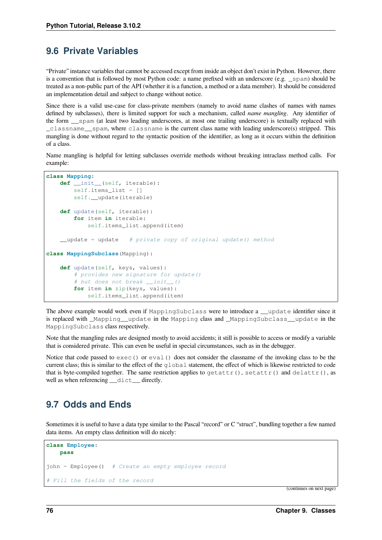### <span id="page-81-0"></span>**9.6 Private Variables**

"Private" instance variables that cannot be accessed except from inside an object don't exist in Python. However, there is a convention that is followed by most Python code: a name prefixed with an underscore (e.g. \_spam) should be treated as a non-public part of the API (whether it is a function, a method or a data member). It should be considered an implementation detail and subject to change without notice.

Since there is a valid use-case for class-private members (namely to avoid name clashes of names with names defined by subclasses), there is limited support for such a mechanism, called *name mangling*. Any identifier of the form \_\_spam (at least two leading underscores, at most one trailing underscore) is textually replaced with \_classname\_\_spam, where classname is the current class name with leading underscore(s) stripped. This mangling is done without regard to the syntactic position of the identifier, as long as it occurs within the definition of a class.

Name mangling is helpful for letting subclasses override methods without breaking intraclass method calls. For example:

```
class Mapping:
    def __init__(self, iterable):
        self.items_list = []
        self.__update(iterable)
    def update(self, iterable):
        for item in iterable:
            self.items_list.append(item)
    __update = update # private copy of original update() method
class MappingSubclass(Mapping):
    def update(self, keys, values):
        # provides new signature for update()
        # but does not break __init__()
        for item in zip(keys, values):
            self.items_list.append(item)
```
The above example would work even if MappingSubclass were to introduce a \_\_update identifier since it is replaced with \_Mapping\_\_update in the Mapping class and \_MappingSubclass\_\_update in the MappingSubclass class respectively.

Note that the mangling rules are designed mostly to avoid accidents; it still is possible to access or modify a variable that is considered private. This can even be useful in special circumstances, such as in the debugger.

Notice that code passed to  $\epsilon \times \epsilon$  () or  $\epsilon$  val() does not consider the classname of the invoking class to be the current class; this is similar to the effect of the global statement, the effect of which is likewise restricted to code that is byte-compiled together. The same restriction applies to  $\eta$  at  $\eta$ , setattr() and delattr(), as well as when referencing \_\_dict\_\_ directly.

### **9.7 Odds and Ends**

Sometimes it is useful to have a data type similar to the Pascal "record" or C "struct", bundling together a few named data items. An empty class definition will do nicely:

```
class Employee:
   pass
john = Employee() # Create an empty employee record
# Fill the fields of the record
```
(continues on next page)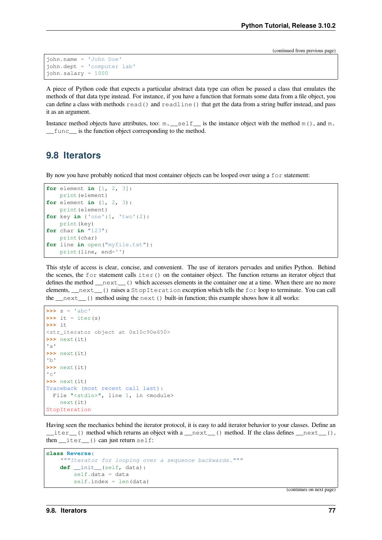(continued from previous page)

```
john.name = 'John Doe'
john.dept = 'computer lab'
john.salary = 1000
```
A piece of Python code that expects a particular abstract data type can often be passed a class that emulates the methods of that data type instead. For instance, if you have a function that formats some data from a file object, you can define a class with methods read() and readline() that get the data from a string buffer instead, and pass it as an argument.

Instance method objects have attributes, too:  $m.$  self is the instance object with the method  $m()$ , and  $m$ . func is the function object corresponding to the method.

#### **9.8 Iterators**

By now you have probably noticed that most container objects can be looped over using a for statement:

```
for element in [1, 2, 3]:
   print(element)
for element in (1, 2, 3):
   print(element)
for key in {'one':1, 'two':2}:
   print(key)
for char in "123":
   print(char)
for line in open("myfile.txt"):
   print(line, end='')
```
This style of access is clear, concise, and convenient. The use of iterators pervades and unifies Python. Behind the scenes, the for statement calls iter() on the container object. The function returns an iterator object that defines the method \_\_next\_() which accesses elements in the container one at a time. When there are no more elements, \_\_next\_() raises a StopIteration exception which tells the for loop to terminate. You can call the  $n$ next () method using the next() built-in function; this example shows how it all works:

```
\Rightarrow s = 'abc'\Rightarrow it = iter(s)
>>> it
<str_iterator object at 0x10c90e650>
>>> next(it)
'a'
>>> next(it)
'b'
>>> next(it)
^{\prime} c^{\prime}>>> next(it)
Traceback (most recent call last):
 File "<stdin>", line 1, in <module>
    next(it)
StopIteration
```
Having seen the mechanics behind the iterator protocol, it is easy to add iterator behavior to your classes. Define an  $\text{iter}$  () method which returns an object with a \_\_next\_\_() method. If the class defines \_\_next\_\_(), then \_\_iter\_\_() can just return self:

```
class Reverse:
   """Iterator for looping over a sequence backwards."""
   def __init__(self, data):
       self.data = data
       self.index = len(data)
```
(continues on next page)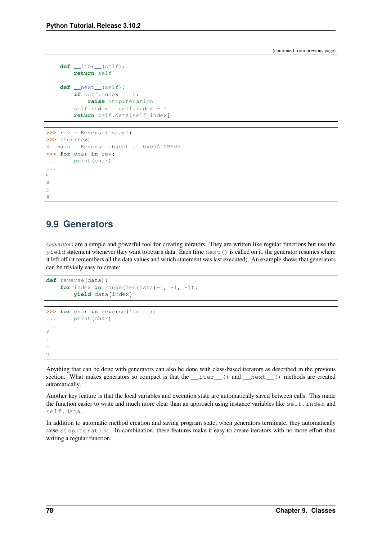```
def __iter__(self):
   return self
def __next__(self):
    if self.index == 0:
       raise StopIteration
    self.index = self.index - 1
    return self.data[self.index]
```

```
>>> rev = Reverse('spam')
>>> iter(rev)
  <__main__.Reverse object at 0x00A1DB50>
>>> for char in rev:
... print(char)
...
m
a
p
s
```
### **9.9 Generators**

*Generators* are a simple and powerful tool for creating iterators. They are written like regular functions but use the  $yield$  statement whenever they want to return data. Each time  $next()$  is called on it, the generator resumes where it left off (it remembers all the data values and which statement was last executed). An example shows that generators can be trivially easy to create:

```
def reverse(data):
    for index in range(len(data)-1, -1, -1):
        yield data[index]
```

```
>>> for char in reverse('golf'):
... print(char)
...
f
l
o
g
```
Anything that can be done with generators can also be done with class-based iterators as described in the previous section. What makes generators so compact is that the \_\_iter\_\_() and \_\_next\_\_() methods are created automatically.

Another key feature is that the local variables and execution state are automatically saved between calls. This made the function easier to write and much more clear than an approach using instance variables like self.index and self.data.

In addition to automatic method creation and saving program state, when generators terminate, they automatically raise StopIteration. In combination, these features make it easy to create iterators with no more effort than writing a regular function.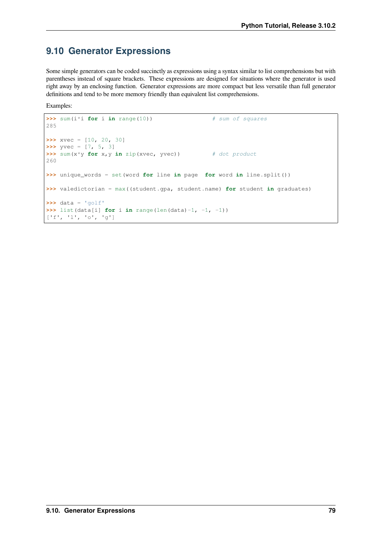## **9.10 Generator Expressions**

Some simple generators can be coded succinctly as expressions using a syntax similar to list comprehensions but with parentheses instead of square brackets. These expressions are designed for situations where the generator is used right away by an enclosing function. Generator expressions are more compact but less versatile than full generator definitions and tend to be more memory friendly than equivalent list comprehensions.

Examples:

```
>>> sum(i*i for i in range(10)) # sum of squares
285
>>> xvec = [10, 20, 30]
>>> yvec = [7, 5, 3]
>>> sum(x*y for x,y in zip(xvec, yvec)) # dot product
260
>>> unique_words = set(word for line in page for word in line.split())
>>> valedictorian = max((student.gpa, student.name) for student in graduates)
>>> data = 'golf'
>>> list(data[i] for i in range(len(data)-1, -1, -1))
['f', 'l', 'o', 'g']
```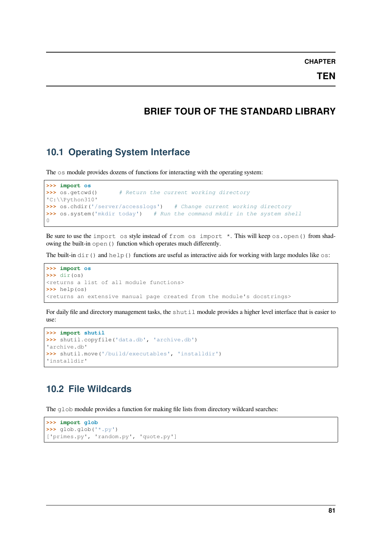# **BRIEF TOUR OF THE STANDARD LIBRARY**

## **10.1 Operating System Interface**

The os module provides dozens of functions for interacting with the operating system:

```
>>> import os
>>> os.getcwd() # Return the current working directory
'C:\\Python310'
>>> os.chdir('/server/accesslogs') # Change current working directory
>>> os.system('mkdir today') # Run the command mkdir in the system shell
\bigcap
```
Be sure to use the import os style instead of from os import  $*$ . This will keep os.open() from shadowing the built-in open() function which operates much differently.

The built-in dir() and help() functions are useful as interactive aids for working with large modules like  $\circ$ s:

```
>>> import os
>>> dir(os)
<returns a list of all module functions>
>>> help(os)
<returns an extensive manual page created from the module's docstrings>
```
For daily file and directory management tasks, the shutil module provides a higher level interface that is easier to use:

```
>>> import shutil
>>> shutil.copyfile('data.db', 'archive.db')
'archive.db'
>>> shutil.move('/build/executables', 'installdir')
'installdir'
```
### **10.2 File Wildcards**

The glob module provides a function for making file lists from directory wildcard searches:

```
>>> import glob
>>> glob.glob('*.py')
['primes.py', 'random.py', 'quote.py']
```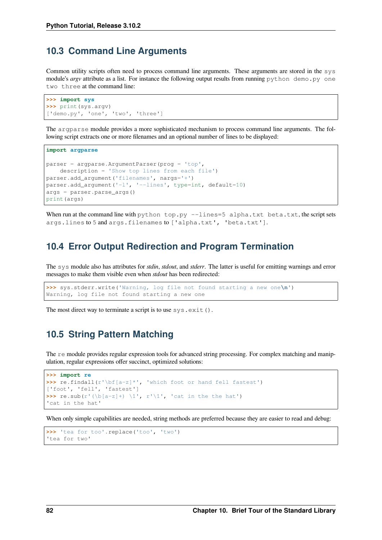#### **10.3 Command Line Arguments**

Common utility scripts often need to process command line arguments. These arguments are stored in the sys module's *argv* attribute as a list. For instance the following output results from running python demo.py one two three at the command line:

```
>>> import sys
>>> print(sys.argv)
['demo.py', 'one', 'two', 'three']
```
The argparse module provides a more sophisticated mechanism to process command line arguments. The following script extracts one or more filenames and an optional number of lines to be displayed:

```
import argparse
parser = argparse.ArgumentParser(prog = 'top',
   description = 'Show top lines from each file')
parser.add_argument('filenames', nargs='+')
parser.add_argument('-l', '--lines', type=int, default=10)
args = parser.parse_args()
print(args)
```
When run at the command line with python top.py  $-$ lines=5 alpha.txt beta.txt, the script sets args.lines to 5 and args.filenames to ['alpha.txt', 'beta.txt'].

### **10.4 Error Output Redirection and Program Termination**

The sys module also has attributes for *stdin*, *stdout*, and *stderr*. The latter is useful for emitting warnings and error messages to make them visible even when *stdout* has been redirected:

```
>>> sys.stderr.write('Warning, log file not found starting a new one\n')
Warning, log file not found starting a new one
```
The most direct way to terminate a script is to use sys.exit().

### **10.5 String Pattern Matching**

The re module provides regular expression tools for advanced string processing. For complex matching and manipulation, regular expressions offer succinct, optimized solutions:

```
>>> import re
>>> re.findall(r'\bf[a-z]*', 'which foot or hand fell fastest')
['foot', 'fell', 'fastest']
>>> re.sub(r'(\b{a-z}+) \{1', r'\}, 'cat in the the hat')
'cat in the hat'
```
When only simple capabilities are needed, string methods are preferred because they are easier to read and debug:

```
>>> 'tea for too'.replace('too', 'two')
'tea for two'
```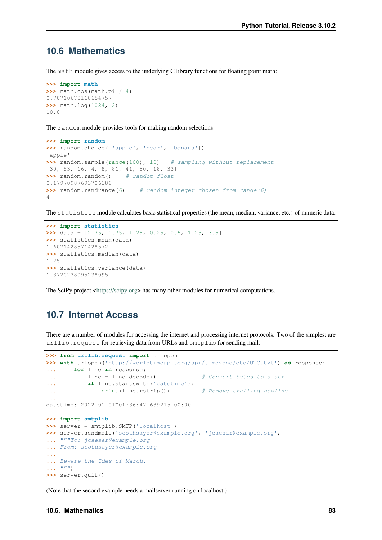## **10.6 Mathematics**

The math module gives access to the underlying C library functions for floating point math:

```
>>> import math
>>> math.cos(math.pi / 4)
0.70710678118654757
>>> math.log(1024, 2)
10.0
```
The random module provides tools for making random selections:

```
>>> import random
>>> random.choice(['apple', 'pear', 'banana'])
'apple'
>>> random.sample(range(100), 10) # sampling without replacement
[30, 83, 16, 4, 8, 81, 41, 50, 18, 33]
>>> random.random() # random float
0.17970987693706186
>>> random.randrange(6) # random integer chosen from range(6)
4
```
The statistics module calculates basic statistical properties (the mean, median, variance, etc.) of numeric data:

```
>>> import statistics
>>> data = [2.75, 1.75, 1.25, 0.25, 0.5, 1.25, 3.5]
>>> statistics.mean(data)
1.6071428571428572
>>> statistics.median(data)
1.25
>>> statistics.variance(data)
1.3720238095238095
```
The SciPy project <https://scipy.org> has many other modules for numerical computations.

### **10.7 Intern[et Access](https://scipy.org)**

There are a number of modules for accessing the internet and processing internet protocols. Two of the simplest are urllib.request for retrieving data from URLs and smtplib for sending mail:

```
>>> from urllib.request import urlopen
>>> with urlopen('http://worldtimeapi.org/api/timezone/etc/UTC.txt') as response:
... for line in response:
... line = line.decode() # Convert bytes to a str
... if line.startswith('datetime'):
... print(line.rstrip()) # Remove trailing newline
...
datetime: 2022-01-01T01:36:47.689215+00:00
>>> import smtplib
>>> server = smtplib.SMTP('localhost')
>>> server.sendmail('soothsayer@example.org', 'jcaesar@example.org',
... """To: jcaesar@example.org
... From: soothsayer@example.org
...
... Beware the Ides of March.
... """)
>>> server.quit()
```
(Note that the second example needs a mailserver running on localhost.)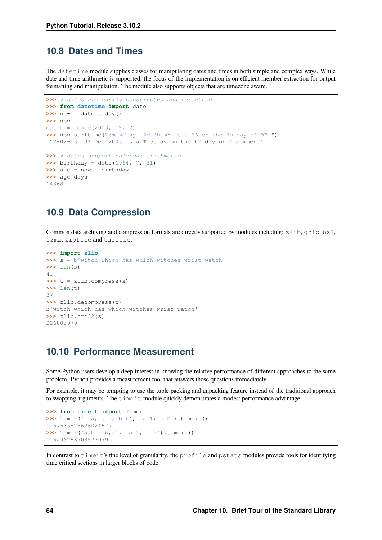### **10.8 Dates and Times**

The datetime module supplies classes for manipulating dates and times in both simple and complex ways. While date and time arithmetic is supported, the focus of the implementation is on efficient member extraction for output formatting and manipulation. The module also supports objects that are timezone aware.

```
>>> # dates are easily constructed and formatted
>>> from datetime import date
>>> now = date.today()
>>> now
datetime.date(2003, 12, 2)
>>> now.strftime("%m-%d-%y. %d %b %Y is a %A on the %d day of %B.")
'12-02-03. 02 Dec 2003 is a Tuesday on the 02 day of December.'
>>> # dates support calendar arithmetic
>>> birthday = date(1964, 7, 31)
>>> age = now - birthday
>>> age.days
14368
```
#### **10.9 Data Compression**

Common data archiving and compression formats are directly supported by modules including: zlib, gzip, bz2, lzma, zipfile and tarfile.

```
>>> import zlib
>>> s = b'witch which has which witches wrist watch'
>>> len(s)
41
\Rightarrow t = zlib.\ncompress(s)>>> len(t)
37
>>> zlib.decompress(t)
b'witch which has which witches wrist watch'
>>> zlib.crc32(s)
226805979
```
### **10.10 Performance Measurement**

Some Python users develop a deep interest in knowing the relative performance of different approaches to the same problem. Python provides a measurement tool that answers those questions immediately.

For example, it may be tempting to use the tuple packing and unpacking feature instead of the traditional approach to swapping arguments. The timeit module quickly demonstrates a modest performance advantage:

```
>>> from timeit import Timer
>>> Timer('t=a; a=b; b=t', 'a=1; b=2').timeit()
0.57535828626024577
>>> Timer('a,b = b,a', 'a=1; b=2').timeit()
0.54962537085770791
```
In contrast to timeit's fine level of granularity, the profile and pstats modules provide tools for identifying time critical sections in larger blocks of code.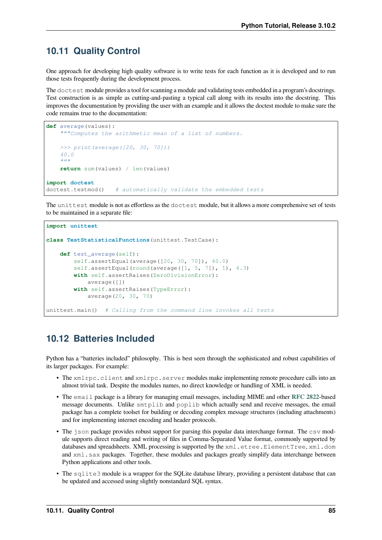## **10.11 Quality Control**

One approach for developing high quality software is to write tests for each function as it is developed and to run those tests frequently during the development process.

The doctest module provides a tool for scanning a module and validating tests embedded in a program's docstrings. Test construction is as simple as cutting-and-pasting a typical call along with its results into the docstring. This improves the documentation by providing the user with an example and it allows the doctest module to make sure the code remains true to the documentation:

```
def average(values):
    """Computes the arithmetic mean of a list of numbers.
    >>> print(average([20, 30, 70]))
    40.0
    """
    return sum(values) / len(values)
import doctest
doctest.testmod() # automatically validate the embedded tests
```
The unittest module is not as effortless as the doctest module, but it allows a more comprehensive set of tests to be maintained in a separate file:

```
import unittest
class TestStatisticalFunctions(unittest.TestCase):
   def test_average(self):
       self.assertEqual(average([20, 30, 70]), 40.0)
       self.assertEqual(round(average([1, 5, 7]), 1), 4.3)
       with self.assertRaises(ZeroDivisionError):
           average([])
       with self.assertRaises(TypeError):
           average(20, 30, 70)
unittest.main() # Calling from the command line invokes all tests
```
# **10.12 Batteries Included**

Python has a "batteries included" philosophy. This is best seen through the sophisticated and robust capabilities of its larger packages. For example:

- The xmlrpc.client and xmlrpc.server modules make implementing remote procedure calls into an almost trivial task. Despite the modules names, no direct knowledge or handling of XML is needed.
- The email package is a library for managing email messages, including MIME and other **RFC 2822**-based message documents. Unlike smtplib and poplib which actually send and receive messages, the email package has a complete toolset for building or decoding complex message structures (including attachments) and for implementing internet encoding and header protocols.
- The json package provides robust support for parsing this popular data interchange forma[t. The](https://tools.ietf.org/html/rfc2822.html) csv module supports direct reading and writing of files in Comma-Separated Value format, commonly supported by databases and spreadsheets. XML processing is supported by the  $xml$ .etree.ElementTree,  $xml$ .dom and  $xml$ .sax packages. Together, these modules and packages greatly simplify data interchange between Python applications and other tools.
- The sqlite3 module is a wrapper for the SQLite database library, providing a persistent database that can be updated and accessed using slightly nonstandard SQL syntax.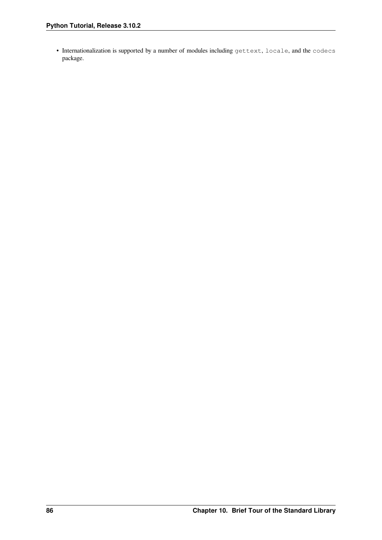• Internationalization is supported by a number of modules including gettext, locale, and the codecs package.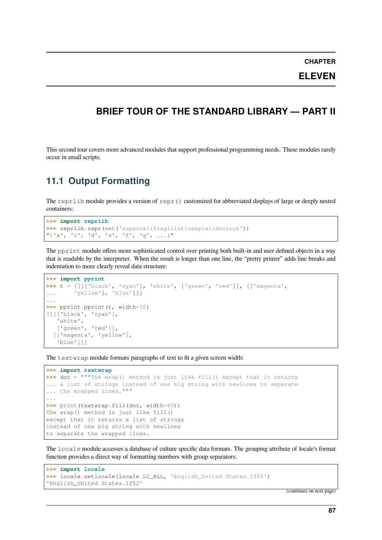### **BRIEF TOUR OF THE STANDARD LIBRARY — PART II**

This second tour covers more advanced modules that support professional programming needs. These modules rarely occur in small scripts.

### **11.1 Output Formatting**

The reprlib module provides a version of repr() customized for abbreviated displays of large or deeply nested containers:

```
>>> import reprlib
>>> reprlib.repr(set('supercalifragilisticexpialidocious'))
"{'a', 'c', 'd', 'e', 'f', 'g', ...}"
```
The pprint module offers more sophisticated control over printing both built-in and user defined objects in a way that is readable by the interpreter. When the result is longer than one line, the "pretty printer" adds line breaks and indentation to more clearly reveal data structure:

```
>>> import pprint
>>> t = [[[['black', 'cyan'], 'white', ['green', 'red']], [['magenta',
... 'yellow'], 'blue']]]
...
>>> pprint.pprint(t, width=30)
[[[['black', 'cyan'],
   'white',
   ['green', 'red']],
  [['magenta', 'yellow'],
   'blue']]]
```
The textwrap module formats paragraphs of text to fit a given screen width:

```
>>> import textwrap
>>> doc = """The wrap() method is just like fill() except that it returns
... a list of strings instead of one big string with newlines to separate
... the wrapped lines."""
...
>>> print(textwrap.fill(doc, width=40))
The wrap() method is just like fill()
except that it returns a list of strings
instead of one big string with newlines
to separate the wrapped lines.
```
The locale module accesses a database of culture specific data formats. The grouping attribute of locale's format function provides a direct way of formatting numbers with group separators:

**>>> import locale >>>** locale.setlocale(locale.LC\_ALL, 'English\_United States.1252') 'English\_United States.1252'

(continues on next page)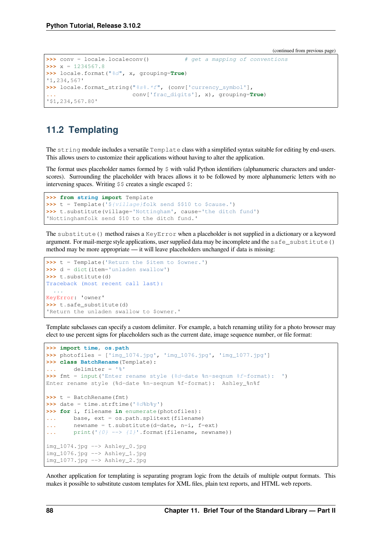(continued from previous page)

```
>>> conv = locale.localeconv() # get a mapping of conventions
>>> x = 1234567.8
>>> locale.format("%d", x, grouping=True)
'1,234,567'
>>> locale.format_string("%s%.*f", (conv['currency_symbol'],
                        ... conv['frac_digits'], x), grouping=True)
'$1,234,567.80'
```
### **11.2 Templating**

The string module includes a versatile Template class with a simplified syntax suitable for editing by end-users. This allows users to customize their applications without having to alter the application.

The format uses placeholder names formed by  $\frac{1}{2}$  with valid Python identifiers (alphanumeric characters and underscores). Surrounding the placeholder with braces allows it to be followed by more alphanumeric letters with no intervening spaces. Writing  $\$$ \$ creates a single escaped \$:

```
>>> from string import Template
>>> t = Template('${village}folk send $$10 to $cause.')
>>> t.substitute(village='Nottingham', cause='the ditch fund')
'Nottinghamfolk send $10 to the ditch fund.'
```
The substitute() method raises a KeyError when a placeholder is not supplied in a dictionary or a keyword argument. For mail-merge style applications, user supplied data may be incomplete and the safe\_substitute() method may be more appropriate — it will leave placeholders unchanged if data is missing:

```
>>> t = Template('Return the $item to $owner.')
>>> d = dict(item='unladen swallow')
>>> t.substitute(d)
Traceback (most recent call last):
  ...
KeyError: 'owner'
>>> t.safe_substitute(d)
'Return the unladen swallow to $owner.'
```
Template subclasses can specify a custom delimiter. For example, a batch renaming utility for a photo browser may elect to use percent signs for placeholders such as the current date, image sequence number, or file format:

```
>>> import time, os.path
>>> photofiles = ['img_1074.jpg', 'img_1076.jpg', 'img_1077.jpg']
>>> class BatchRename(Template):
... delimiter = '%'
>>> fmt = input('Enter rename style (%d-date %n-seqnum %f-format): ')
Enter rename style (%d-date %n-seqnum %f-format): Ashley_%n%f
>>> t = BatchRename(fmt)
>>> date = time.strftime('%d%b%y')
>>> for i, filename in enumerate(photofiles):
... base, ext = os.path.splitext(filename)
... newname = t.substitute(d=date, n=i, f=ext)
... print('{0} --> {1}'.format(filename, newname))
img_1074.jpg --> Ashley_0.jpg
img_1076.jpg --> Ashley_1.jpg
img_1077.jpg --> Ashley_2.jpg
```
Another application for templating is separating program logic from the details of multiple output formats. This makes it possible to substitute custom templates for XML files, plain text reports, and HTML web reports.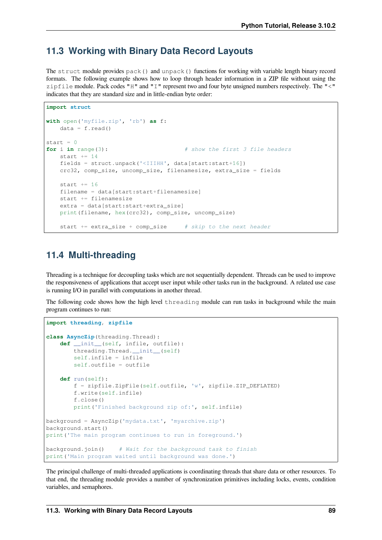#### **11.3 Working with Binary Data Record Layouts**

The struct module provides pack() and unpack() functions for working with variable length binary record formats. The following example shows how to loop through header information in a ZIP file without using the zipfile module. Pack codes "H" and "I" represent two and four byte unsigned numbers respectively. The "<" indicates that they are standard size and in little-endian byte order:

```
import struct
with open('myfile.zip', 'rb') as f:
   data = f.read()start = 0for i in range(3): # show the first 3 file headers
   start += 14fields = struct.unpack('<IIIHH', data[start:start+16])
   crc32, comp_size, uncomp_size, filenamesize, extra_size = fields
   start += 16filename = data[start:start+filenamesize]
   start += filenamesize
   extra = data[start:start+extra_size]
   print(filename, hex(crc32), comp_size, uncomp_size)
   start += extra_size + comp_size # skip to the next header
```
#### **11.4 Multi-threading**

Threading is a technique for decoupling tasks which are not sequentially dependent. Threads can be used to improve the responsiveness of applications that accept user input while other tasks run in the background. A related use case is running I/O in parallel with computations in another thread.

The following code shows how the high level threading module can run tasks in background while the main program continues to run:

```
import threading, zipfile
class AsyncZip(threading.Thread):
   def __init__(self, infile, outfile):
       threading.Thread.__init__(self)
       self.infile = infile
       self.outfile = outfile
    def run(self):
       f = zipfile.ZipFile(self.outfile, 'w', zipfile.ZIP_DEFLATED)
       f.write(self.infile)
        f.close()
       print('Finished background zip of:', self.infile)
background = AsyncZip('mydata.txt', 'myarchive.zip')
background.start()
print('The main program continues to run in foreground.')
background.join() # Wait for the background task to finish
print('Main program waited until background was done.')
```
The principal challenge of multi-threaded applications is coordinating threads that share data or other resources. To that end, the threading module provides a number of synchronization primitives including locks, events, condition variables, and semaphores.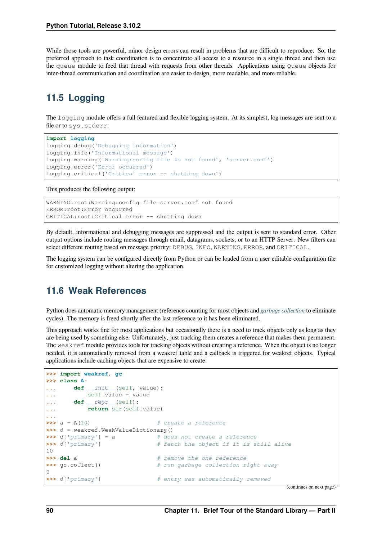While those tools are powerful, minor design errors can result in problems that are difficult to reproduce. So, the preferred approach to task coordination is to concentrate all access to a resource in a single thread and then use the queue module to feed that thread with requests from other threads. Applications using Queue objects for inter-thread communication and coordination are easier to design, more readable, and more reliable.

# **11.5 Logging**

The logging module offers a full featured and flexible logging system. At its simplest, log messages are sent to a file or to sys.stderr:

```
import logging
logging.debug('Debugging information')
logging.info('Informational message')
logging.warning('Warning:config file %s not found', 'server.conf')
logging.error('Error occurred')
logging.critical('Critical error -- shutting down')
```
This produces the following output:

```
WARNING:root:Warning:config file server.conf not found
ERROR:root:Error occurred
CRITICAL:root:Critical error -- shutting down
```
By default, informational and debugging messages are suppressed and the output is sent to standard error. Other output options include routing messages through email, datagrams, sockets, or to an HTTP Server. New filters can select different routing based on message priority: DEBUG, INFO, WARNING, ERROR, and CRITICAL.

The logging system can be configured directly from Python or can be loaded from a user editable configuration file for customized logging without altering the application.

### **11.6 Weak References**

Python does automatic memory management (reference counting for most objects and *garbage collection* to eliminate cycles). The memory is freed shortly after the last reference to it has been eliminated.

This approach works fine for most applications but occasionally there is a need to track objects only as long as they are being used by something else. Unfortunately, just tracking them creates a reference that makes them permanent. The weakref module provides tools for tracking objects without creating a referenc[e. When the object](#page-118-1) is no longer needed, it is automatically removed from a weakref table and a callback is triggered for weakref objects. Typical applications include caching objects that are expensive to create:

```
>>> import weakref, gc
>>> class A:
... def __init__(self, value):
... self.value = value
... def __repr__(self):
... return str(self.value)
...
>>> a = A(10) # create a reference
>>> d = weakref.WeakValueDictionary()
>>> d['primary'] = a # does not create a reference
>>> d['primary'] # fetch the object if it is still alive
10
>>> del a # remove the one reference
>>> gc.collect() # run garbage collection right away
\Omega>>> d['primary'] # entry was automatically removed
```
(continues on next page)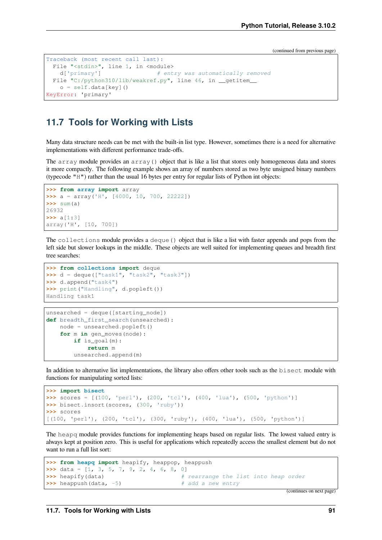(continued from previous page)

```
Traceback (most recent call last):
 File "<stdin>", line 1, in <module>
   d['primary'] # entry was automatically removed
 File "C:/python310/lib/weakref.py", line 46, in __getitem__
   o = self.data[key]()
KeyError: 'primary'
```
### **11.7 Tools for Working with Lists**

Many data structure needs can be met with the built-in list type. However, sometimes there is a need for alternative implementations with different performance trade-offs.

The array module provides an array() object that is like a list that stores only homogeneous data and stores it more compactly. The following example shows an array of numbers stored as two byte unsigned binary numbers (typecode "H") rather than the usual 16 bytes per entry for regular lists of Python int objects:

```
>>> from array import array
>>> a = array('H', [4000, 10, 700, 22222])
>>> sum(a)
26932
>>> a[1:3]
array('H', [10, 700])
```
The collections module provides a deque() object that is like a list with faster appends and pops from the left side but slower lookups in the middle. These objects are well suited for implementing queues and breadth first tree searches:

```
>>> from collections import deque
>>> d = deque(["task1", "task2", "task3"])
>>> d.append("task4")
>>> print("Handling", d.popleft())
Handling task1
```

```
unsearched = deque([starting_node])
def breadth_first_search(unsearched):
    node = unsearched.popleft()
    for m in gen_moves(node):
        if is_goal(m):
            return m
        unsearched.append(m)
```
In addition to alternative list implementations, the library also offers other tools such as the bisect module with functions for manipulating sorted lists:

```
>>> import bisect
>>> scores = [(100, 'perl'), (200, 'tcl'), (400, 'lua'), (500, 'python')]
>>> bisect.insort(scores, (300, 'ruby'))
>>> scores
[(100, 'perl'), (200, 'tcl'), (300, 'ruby'), (400, 'lua'), (500, 'python')]
```
The heapq module provides functions for implementing heaps based on regular lists. The lowest valued entry is always kept at position zero. This is useful for applications which repeatedly access the smallest element but do not want to run a full list sort:

```
>>> from heapq import heapify, heappop, heappush
>>> data = [1, 3, 5, 7, 9, 2, 4, 6, 8, 0]
>>> heapify(data) # rearrange the list into heap order
>>> heappush(data, -5) # add a new entry
```
(continues on next page)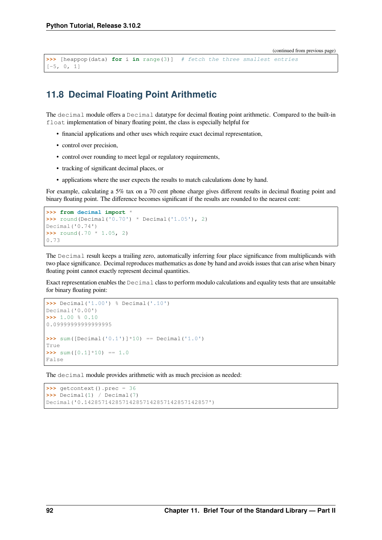(continued from previous page)

```
>>> [heappop(data) for i in range(3)] # fetch the three smallest entries
[-5, 0, 1]
```
### **11.8 Decimal Floating Point Arithmetic**

The decimal module offers a Decimal datatype for decimal floating point arithmetic. Compared to the built-in float implementation of binary floating point, the class is especially helpful for

- financial applications and other uses which require exact decimal representation,
- control over precision,
- control over rounding to meet legal or regulatory requirements,
- tracking of significant decimal places, or
- applications where the user expects the results to match calculations done by hand.

For example, calculating a 5% tax on a 70 cent phone charge gives different results in decimal floating point and binary floating point. The difference becomes significant if the results are rounded to the nearest cent:

```
>>> from decimal import *
>>> round(Decimal('0.70') * Decimal('1.05'), 2)
Decimal('0.74')
>>> round(.70 * 1.05, 2)
0.73
```
The Decimal result keeps a trailing zero, automatically inferring four place significance from multiplicands with two place significance. Decimal reproduces mathematics as done by hand and avoids issues that can arise when binary floating point cannot exactly represent decimal quantities.

Exact representation enables the Decimal class to perform modulo calculations and equality tests that are unsuitable for binary floating point:

```
>>> Decimal('1.00') % Decimal('.10')
Decimal('0.00')
>>> 1.00 % 0.10
0.09999999999999995
>>> sum([Decimal('0.1')]*10) == Decimal('1.0')
True
\Rightarrow sum([0.1]*10) == 1.0
False
```
The decimal module provides arithmetic with as much precision as needed:

```
>>> getcontext().prec = 36
>>> Decimal(1) / Decimal(7)
Decimal('0.142857142857142857142857142857142857')
```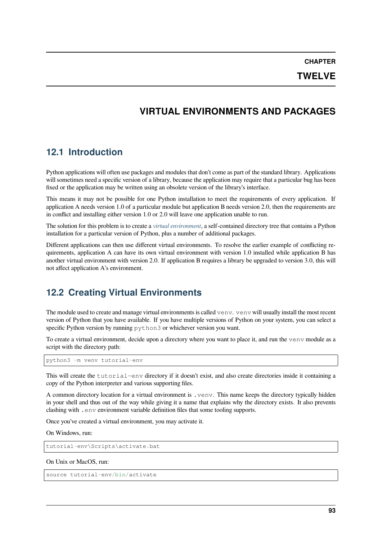### **VIRTUAL ENVIRONMENTS AND PACKAGES**

### **12.1 Introduction**

Python applications will often use packages and modules that don't come as part of the standard library. Applications will sometimes need a specific version of a library, because the application may require that a particular bug has been fixed or the application may be written using an obsolete version of the library's interface.

This means it may not be possible for one Python installation to meet the requirements of every application. If application A needs version 1.0 of a particular module but application B needs version 2.0, then the requirements are in conflict and installing either version 1.0 or 2.0 will leave one application unable to run.

The solution for this problem is to create a *virtual environment*, a self-contained directory tree that contains a Python installation for a particular version of Python, plus a number of additional packages.

Different applications can then use different virtual environments. To resolve the earlier example of conflicting requirements, application A can have its own virtual environment with version 1.0 installed while application B has another virtual environment with version2[.0. If application B](#page-126-0) requires a library be upgraded to version 3.0, this will not affect application A's environment.

### **12.2 Creating Virtual Environments**

The module used to create and manage virtual environments is called venv. venv will usually install the most recent version of Python that you have available. If you have multiple versions of Python on your system, you can select a specific Python version by running python3 or whichever version you want.

To create a virtual environment, decide upon a directory where you want to place it, and run the venv module as a script with the directory path:

python3 -m venv tutorial-env

This will create the tutorial-env directory if it doesn't exist, and also create directories inside it containing a copy of the Python interpreter and various supporting files.

A common directory location for a virtual environment is .venv. This name keeps the directory typically hidden in your shell and thus out of the way while giving it a name that explains why the directory exists. It also prevents clashing with .env environment variable definition files that some tooling supports.

Once you've created a virtual environment, you may activate it.

On Windows, run:

tutorial-env\Scripts\activate.bat

On Unix or MacOS, run:

source tutorial-env/bin/activate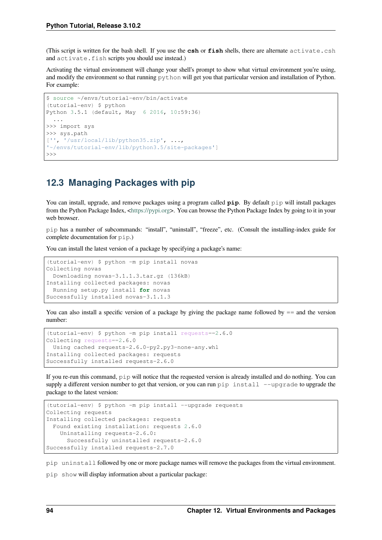(This script is written for the bash shell. If you use the **csh** or **fish** shells, there are alternate activate.csh and activate.fish scripts you should use instead.)

Activating the virtual environment will change your shell's prompt to show what virtual environment you're using, and modify the environment so that running python will get you that particular version and installation of Python. For example:

```
$ source ~/envs/tutorial-env/bin/activate
(tutorial-env) $ python
Python 3.5.1 (default, May 6 2016, 10:59:36)
  ...
>>> import sys
>>> sys.path
['', '/usr/local/lib/python35.zip', ...,
'~/envs/tutorial-env/lib/python3.5/site-packages']
>>>
```
### **12.3 Managing Packages with pip**

You can install, upgrade, and remove packages using a program called **pip**. By default pip will install packages from the Python Package Index, <https://pypi.org>. You can browse the Python Package Index by going to it in your web browser.

pip has a number of subcommands: "install", "uninstall", "freeze", etc. (Consult the installing-index guide for complete documentation for pip[.\)](https://pypi.org)

You can install the latest version of a package by specifying a package's name:

```
(tutorial-env) $ python -m pip install novas
Collecting novas
 Downloading novas-3.1.1.3.tar.gz (136kB)
Installing collected packages: novas
 Running setup.py install for novas
Successfully installed novas-3.1.1.3
```
You can also install a specific version of a package by giving the package name followed by  $=$  and the version number:

```
(tutorial-env) $ python -m pip install requests==2.6.0
Collecting requests==2.6.0
 Using cached requests-2.6.0-py2.py3-none-any.whl
Installing collected packages: requests
Successfully installed requests-2.6.0
```
If you re-run this command, pip will notice that the requested version is already installed and do nothing. You can supply a different version number to get that version, or you can run pip install --upgrade to upgrade the package to the latest version:

```
(tutorial-env) $ python -m pip install --upgrade requests
Collecting requests
Installing collected packages: requests
 Found existing installation: requests 2.6.0
   Uninstalling requests-2.6.0:
      Successfully uninstalled requests-2.6.0
Successfully installed requests-2.7.0
```
pip uninstall followed by one or more package names will remove the packages from the virtual environment.

pip show will display information about a particular package: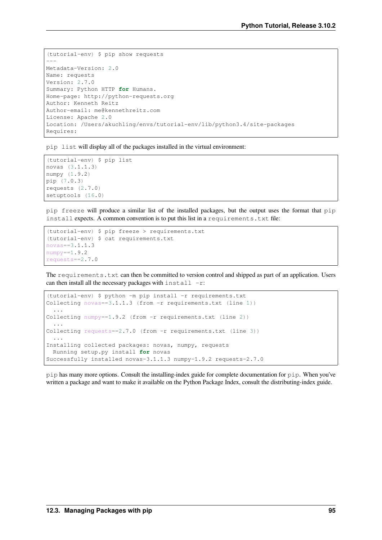```
(tutorial-env) $ pip show requests
---
Metadata-Version: 2.0
Name: requests
Version: 2.7.0
Summary: Python HTTP for Humans.
Home-page: http://python-requests.org
Author: Kenneth Reitz
Author-email: me@kennethreitz.com
License: Apache 2.0
Location: /Users/akuchling/envs/tutorial-env/lib/python3.4/site-packages
Requires:
```
pip list will display all of the packages installed in the virtual environment:

```
(tutorial-env) $ pip list
novas (3.1.1.3)
numpy (1.9.2)
pip (7.0.3)
requests (2.7.0)
setuptools (16.0)
```
pip freeze will produce a similar list of the installed packages, but the output uses the format that pip install expects. A common convention is to put this list in a requirements.txt file:

```
(tutorial-env) $ pip freeze > requirements.txt
(tutorial-env) $ cat requirements.txt
novas==3.1.1.3
numpy==1.9.2
requests==2.7.0
```
The requirements.txt can then be committed to version control and shipped as part of an application. Users can then install all the necessary packages with  $install -r$ :

```
(tutorial-env) $ python -m pip install -r requirements.txt
Collecting novas==3.1.1.3 (from -r requirements.txt (line 1))
  ...
Collecting numpy==1.9.2 (from -r requirements.txt (line 2))
  ...
Collecting requests==2.7.0 (from -r requirements.txt (line 3))
  ...
Installing collected packages: novas, numpy, requests
 Running setup.py install for novas
Successfully installed novas-3.1.1.3 numpy-1.9.2 requests-2.7.0
```
pip has many more options. Consult the installing-index guide for complete documentation for pip. When you've written a package and want to make it available on the Python Package Index, consult the distributing-index guide.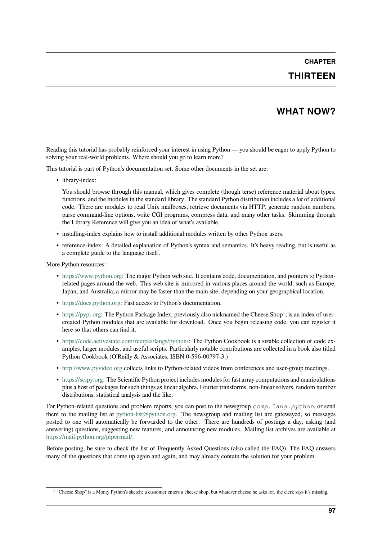### **WHAT NOW?**

Reading this tutorial has probably reinforced your interest in using Python — you should be eager to apply Python to solving your real-world problems. Where should you go to learn more?

This tutorial is part of Python's documentation set. Some other documents in the set are:

• library-index:

You should browse through this manual, which gives complete (though terse) reference material about types, functions, and the modules in the standard library. The standard Python distribution includes a *lot* of additional code. There are modules to read Unix mailboxes, retrieve documents via HTTP, generate random numbers, parse command-line options, write CGI programs, compress data, and many other tasks. Skimming through the Library Reference will give you an idea of what's available.

- installing-index explains how to install additional modules written by other Python users.
- reference-index: A detailed explanation of Python's syntax and semantics. It's heavy reading, but is useful as a complete guide to the language itself.

More Python resources:

- https://www.python.org: The major Python web site. It contains code, documentation, and pointers to Pythonrelated pages around the web. This web site is mirrored in various places around the world, such as Europe, Japan, and Australia; a mirror may be faster than the main site, depending on your geographical location.
- [https://docs.python.org:](https://www.python.org) Fast access to Python's documentation.
- https://pypi.org: The Python Package Index, previously also nicknamed the Cheese Shop<sup>1</sup>, is an index of usercreated Python modules that are available for download. Once you begin releasing code, you can register it [here so that others can fi](https://docs.python.org)nd it.
- https://code.activestate.com/recipes/langs/python/: The Python Cookbook is a sizable [co](#page-102-0)llection of code ex[amples, larger m](https://pypi.org)odules, and useful scripts. Particularly notable contributions are collected in a book also titled Python Cookbook (O'Reilly & Associates, ISBN 0-596-00797-3.)
- http://www.pyvideo.org [collects links to Python-re](https://code.activestate.com/recipes/langs/python/)lated videos from conferences and user-group meetings.
- https://scipy.org: The Scientific Python project includes modules for fast array computations and manipulations plus a host of packages for such things as linear algebra, Fourier transforms, non-linear solvers, random number [distributions, statistical a](http://www.pyvideo.org)nalysis and the like.

For Python-related questions and problem reports, you can post to the newsgroup *comp.lang.python*, or send them [to the mailing lis](https://scipy.org)t at python-list@python.org. The newsgroup and mailing list are gatewayed, so messages posted to one will automatically be forwarded to the other. There are hundreds of postings a day, asking (and answering) questions, suggesting new features, and announcing new modules. Mailing list archives are available at https://mail.python.org/pipermail/.

Before posting, be sure to [check the list of Frequen](mailto:python-list@python.org)tly Asked Questions (also called the FAQ). The FAQ answers many of the questions that come up again and again, and may already contain the solution for your problem.

<span id="page-102-0"></span><sup>&</sup>lt;sup>1</sup> "Cheese Shop" is a Monty Python's sketch: a customer enters a cheese shop, but whatever cheese he asks for, the clerk says it's missing.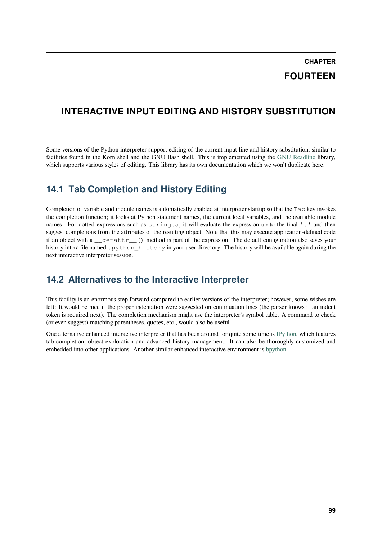## **INTERACTIVE INPUT EDITING AND HISTORY SUBSTITUTION**

Some versions of the Python interpreter support editing of the current input line and history substitution, similar to facilities found in the Korn shell and the GNU Bash shell. This is implemented using the GNU Readline library, which supports various styles of editing. This library has its own documentation which we won't duplicate here.

## **14.1 Tab Completion and History Editing**

Completion of variable and module names is automatically enabled at interpreter startup so that the Tab key invokes the completion function; it looks at Python statement names, the current local variables, and the available module names. For dotted expressions such as  $string.a$ , it will evaluate the expression up to the final '.' and then suggest completions from the attributes of the resulting object. Note that this may execute application-defined code if an object with a  $q$ getattr $($ ) method is part of the expression. The default configuration also saves your history into a file named .python\_history in your user directory. The history will be available again during the next interactive interpreter session.

## **14.2 Alternatives to the Interactive Interpreter**

This facility is an enormous step forward compared to earlier versions of the interpreter; however, some wishes are left: It would be nice if the proper indentation were suggested on continuation lines (the parser knows if an indent token is required next). The completion mechanism might use the interpreter's symbol table. A command to check (or even suggest) matching parentheses, quotes, etc., would also be useful.

One alternative enhanced interactive interpreter that has been around for quite some time is IPython, which features tab completion, object exploration and advanced history management. It can also be thoroughly customized and embedded into other applications. Another similar enhanced interactive environment is bpython.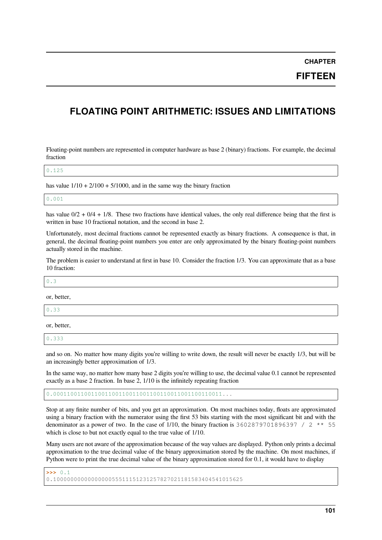# **FLOATING POINT ARITHMETIC: ISSUES AND LIMITATIONS**

Floating-point numbers are represented in computer hardware as base 2 (binary) fractions. For example, the decimal fraction

0.125

has value  $1/10 + 2/100 + 5/1000$ , and in the same way the binary fraction

#### 0.001

has value  $0/2 + 0/4 + 1/8$ . These two fractions have identical values, the only real difference being that the first is written in base 10 fractional notation, and the second in base 2.

Unfortunately, most decimal fractions cannot be represented exactly as binary fractions. A consequence is that, in general, the decimal floating-point numbers you enter are only approximated by the binary floating-point numbers actually stored in the machine.

The problem is easier to understand at first in base 10. Consider the fraction 1/3. You can approximate that as a base 10 fraction:

0.3

or, better,

0.33

or, better,

0.333

and so on. No matter how many digits you're willing to write down, the result will never be exactly 1/3, but will be an increasingly better approximation of 1/3.

In the same way, no matter how many base 2 digits you're willing to use, the decimal value 0.1 cannot be represented exactly as a base 2 fraction. In base 2, 1/10 is the infinitely repeating fraction

0.0001100110011001100110011001100110011001100110011...

Stop at any finite number of bits, and you get an approximation. On most machines today, floats are approximated using a binary fraction with the numerator using the first 53 bits starting with the most significant bit and with the denominator as a power of two. In the case of 1/10, the binary fraction is  $3602879701896397 / 2 \times 55$ which is close to but not exactly equal to the true value of  $1/10$ .

Many users are not aware of the approximation because of the way values are displayed. Python only prints a decimal approximation to the true decimal value of the binary approximation stored by the machine. On most machines, if Python were to print the true decimal value of the binary approximation stored for 0.1, it would have to display

**>>>** 0.1 0.1000000000000000055511151231257827021181583404541015625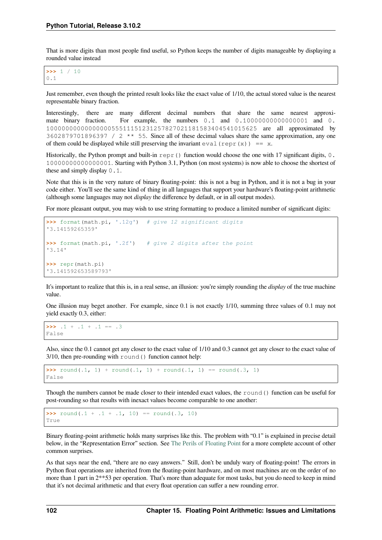That is more digits than most people find useful, so Python keeps the number of digits manageable by displaying a rounded value instead

**>>>** 1 / 10 0.1

Just remember, even though the printed result looks like the exact value of 1/10, the actual stored value is the nearest representable binary fraction.

Interestingly, there are many different decimal numbers that share the same nearest approximate binary fraction. For example, the numbers 0.1 and 0.100000000000000001 and 0. 1000000000000000055511151231257827021181583404541015625 are all approximated by 3602879701896397 / 2 \*\* 55. Since all of these decimal values share the same approximation, any one of them could be displayed while still preserving the invariant  $\epsilon$  val (repr(x)) == x.

Historically, the Python prompt and built-in repr() function would choose the one with 17 significant digits, 0. 10000000000000001. Starting with Python 3.1, Python (on most systems) is now able to choose the shortest of these and simply display 0.1.

Note that this is in the very nature of binary floating-point: this is not a bug in Python, and it is not a bug in your code either. You'll see the same kind of thing in all languages that support your hardware's floating-point arithmetic (although some languages may not *display* the difference by default, or in all output modes).

For more pleasant output, you may wish to use string formatting to produce a limited number of significant digits:

```
>>> format(math.pi, '.12g') # give 12 significant digits
'3.14159265359'
>>> format(math.pi, '.2f') # give 2 digits after the point
'3.14'
>>> repr(math.pi)
'3.141592653589793'
```
It's important to realize that this is, in a real sense, an illusion: you're simply rounding the *display* of the true machine value.

One illusion may beget another. For example, since 0.1 is not exactly 1/10, summing three values of 0.1 may not yield exactly 0.3, either:

```
\rightarrow \rightarrow .1 + .1 + .1 == .3
False
```
Also, since the 0.1 cannot get any closer to the exact value of 1/10 and 0.3 cannot get any closer to the exact value of  $3/10$ , then pre-rounding with round () function cannot help:

**>>>** round(.1, 1) + round(.1, 1) + round(.1, 1) == round(.3, 1) False

Though the numbers cannot be made closer to their intended exact values, the round() function can be useful for post-rounding so that results with inexact values become comparable to one another:

```
\Rightarrow \Rightarrow \text{round}(.1 + .1 + .1, 10) == \text{round}(.3, 10)True
```
Binary floating-point arithmetic holds many surprises like this. The problem with "0.1" is explained in precise detail below, in the "Representation Error" section. See The Perils of Floating Point for a more complete account of other common surprises.

As that says near the end, "there are no easy answers." Still, don't be unduly wary of floating-point! The errors in Python float operations are inherited from the floating-point hardware, and on most machines are on the order of no more than 1 part in 2\*\*53 per operation. That's [more than adequate for most t](https://www.lahey.com/float.htm)asks, but you do need to keep in mind that it's not decimal arithmetic and that every float operation can suffer a new rounding error.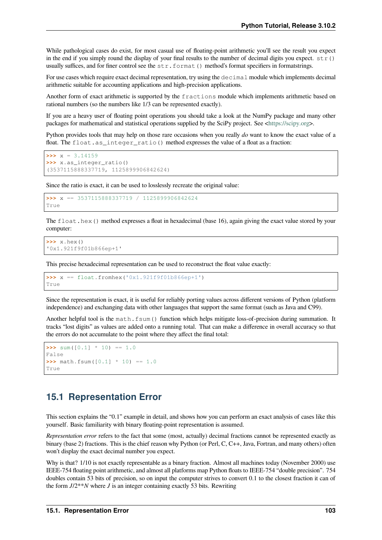While pathological cases do exist, for most casual use of floating-point arithmetic you'll see the result you expect in the end if you simply round the display of your final results to the number of decimal digits you expect.  $str()$ usually suffices, and for finer control see the  $str.format()$  method's format specifiers in formatstrings.

For use cases which require exact decimal representation, try using the decimal module which implements decimal arithmetic suitable for accounting applications and high-precision applications.

Another form of exact arithmetic is supported by the fractions module which implements arithmetic based on rational numbers (so the numbers like 1/3 can be represented exactly).

If you are a heavy user of floating point operations you should take a look at the NumPy package and many other packages for mathematical and statistical operations supplied by the SciPy project. See <https://scipy.org>.

Python provides tools that may help on those rare occasions when you really *do* want to know the exact value of a float. The float.as\_integer\_ratio() method expresses the value of a float as a fraction:

```
>>> x = 3.14159
>>> x.as_integer_ratio()
(3537115888337719, 1125899906842624)
```
Since the ratio is exact, it can be used to losslessly recreate the original value:

```
>>> x == 3537115888337719 / 1125899906842624
True
```
The float.hex() method expresses a float in hexadecimal (base 16), again giving the exact value stored by your computer:

```
>>> x.hex()
'0x1.921f9f01b866ep+1'
```
This precise hexadecimal representation can be used to reconstruct the float value exactly:

```
>>> x == float.fromhex('0x1.921f9f01b866ep+1')
True
```
Since the representation is exact, it is useful for reliably porting values across different versions of Python (platform independence) and exchanging data with other languages that support the same format (such as Java and C99).

Another helpful tool is the math.fsum() function which helps mitigate loss-of-precision during summation. It tracks "lost digits" as values are added onto a running total. That can make a difference in overall accuracy so that the errors do not accumulate to the point where they affect the final total:

```
\Rightarrow sum([0.1] * 10) == 1.0
False
>>> math.fsum([0.1] * 10) == 1.0
True
```
# **15.1 Representation Error**

This section explains the "0.1" example in detail, and shows how you can perform an exact analysis of cases like this yourself. Basic familiarity with binary floating-point representation is assumed.

*Representation error* refers to the fact that some (most, actually) decimal fractions cannot be represented exactly as binary (base 2) fractions. This is the chief reason why Python (or Perl, C, C++, Java, Fortran, and many others) often won't display the exact decimal number you expect.

Why is that? 1/10 is not exactly representable as a binary fraction. Almost all machines today (November 2000) use IEEE-754 floating point arithmetic, and almost all platforms map Python floats to IEEE-754 "double precision". 754 doubles contain 53 bits of precision, so on input the computer strives to convert 0.1 to the closest fraction it can of the form  $J/2^{**}N$  where *J* is an integer containing exactly 53 bits. Rewriting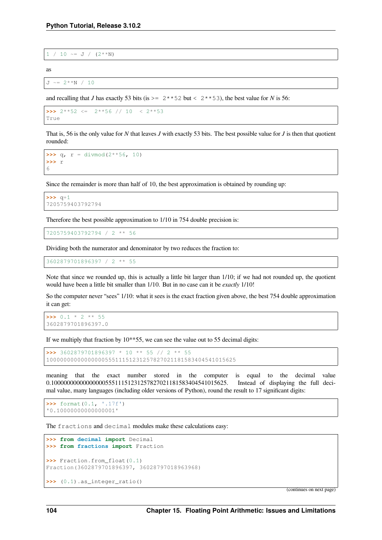```
1 / 10 \sim = J / (2**N)
```
as

```
J \sim = 2**N / 10
```
and recalling that *J* has exactly 53 bits (is  $>= 2 \times 52$  but  $< 2 \times 53$ ), the best value for *N* is 56:

**>>>**  $2^{**}52 \le 2^{**}56$  // 10  $\le 2^{**}53$ True

That is, 56 is the only value for *N* that leaves *J* with exactly 53 bits. The best possible value for *J* is then that quotient rounded:

```
>>> q, r = \text{divmod}(2**56, 10)>>> r
6
```
Since the remainder is more than half of 10, the best approximation is obtained by rounding up:

```
>>> q+1
7205759403792794
```
Therefore the best possible approximation to 1/10 in 754 double precision is:

7205759403792794 / 2 \*\* 56

Dividing both the numerator and denominator by two reduces the fraction to:

3602879701896397 / 2 \*\* 55

Note that since we rounded up, this is actually a little bit larger than 1/10; if we had not rounded up, the quotient would have been a little bit smaller than 1/10. But in no case can it be *exactly* 1/10!

So the computer never "sees" 1/10: what it sees is the exact fraction given above, the best 754 double approximation it can get:

```
>>> 0.1 * 2 ** 55
3602879701896397.0
```
If we multiply that fraction by  $10^{**}$ 55, we can see the value out to 55 decimal digits:

```
>>> 3602879701896397 * 10 ** 55 // 2 ** 55
1000000000000000055511151231257827021181583404541015625
```
meaning that the exact number stored in the computer is equal to the decimal value 0.1000000000000000055511151231257827021181583404541015625. Instead of displaying the full decimal value, many languages (including older versions of Python), round the result to 17 significant digits:

```
>>> format(0.1, '.17f')
'0.10000000000000001'
```
**>>>** (0.1).as\_integer\_ratio()

The fractions and decimal modules make these calculations easy:

```
>>> from decimal import Decimal
>>> from fractions import Fraction
>>> Fraction.from_float(0.1)
Fraction(3602879701896397, 36028797018963968)
```

```
(continues on next page)
```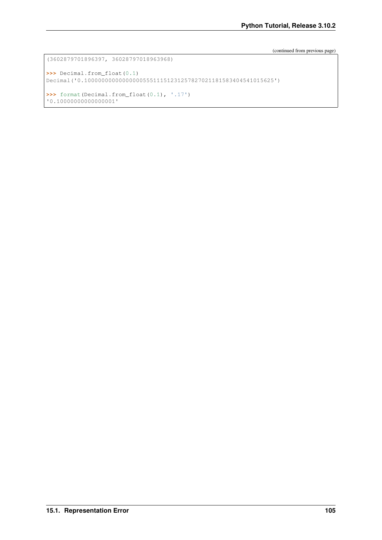(continued from previous page)

```
(3602879701896397, 36028797018963968)
```

```
>>> Decimal.from_float(0.1)
Decimal('0.1000000000000000055511151231257827021181583404541015625')
```

```
>>> format(Decimal.from_float(0.1), '.17')
'0.10000000000000001'
```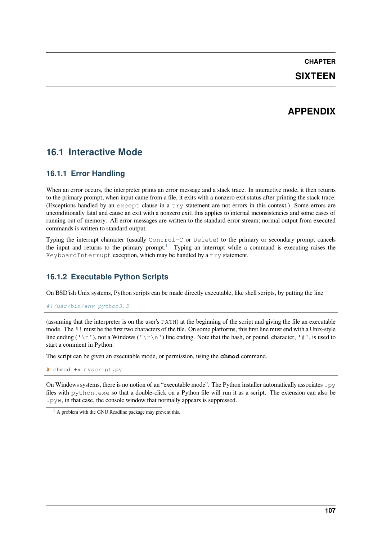# **APPENDIX**

# **16.1 Interactive Mode**

### **16.1.1 Error Handling**

When an error occurs, the interpreter prints an error message and a stack trace. In interactive mode, it then returns to the primary prompt; when input came from a file, it exits with a nonzero exit status after printing the stack trace. (Exceptions handled by an except clause in a try statement are not errors in this context.) Some errors are unconditionally fatal and cause an exit with a nonzero exit; this applies to internal inconsistencies and some cases of running out of memory. All error messages are written to the standard error stream; normal output from executed commands is written to standard output.

Typing the interrupt character (usually Control-C or Delete) to the primary or secondary prompt cancels the input and returns to the primary prompt.<sup>1</sup> Typing an interrupt while a command is executing raises the KeyboardInterrupt exception, which may be handled by a try statement.

## **16.1.2 Executable Python Script[s](#page-112-0)**

On BSD'ish Unix systems, Python scripts can be made directly executable, like shell scripts, by putting the line

*#!/usr/bin/env python3.5*

(assuming that the interpreter is on the user's PATH) at the beginning of the script and giving the file an executable mode. The #! must be the first two characters of the file. On some platforms, this first line must end with a Unix-style line ending ('\n'), not a Windows ('\r\n') line ending. Note that the hash, or pound, character, '#', is used to start a comment in Python.

The script can be given an executable mode, or permission, using the **chmod** command.

**\$** chmod +x myscript.py

On Windows systems, there is no notion of an "executable mode". The Python installer automatically associates .py files with python.exe so that a double-click on a Python file will run it as a script. The extension can also be .pyw, in that case, the console window that normally appears is suppressed.

<span id="page-112-0"></span><sup>&</sup>lt;sup>1</sup> A problem with the GNU Readline package may prevent this.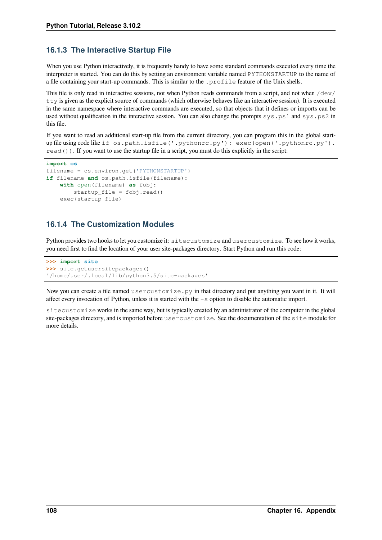## **16.1.3 The Interactive Startup File**

When you use Python interactively, it is frequently handy to have some standard commands executed every time the interpreter is started. You can do this by setting an environment variable named PYTHONSTARTUP to the name of a file containing your start-up commands. This is similar to the .profile feature of the Unix shells.

This file is only read in interactive sessions, not when Python reads commands from a script, and not when  $/$ dev/ tty is given as the explicit source of commands (which otherwise behaves like an interactive session). It is executed in the same namespace where interactive commands are executed, so that objects that it defines or imports can be used without qualification in the interactive session. You can also change the prompts sys.ps1 and sys.ps2 in this file.

If you want to read an additional start-up file from the current directory, you can program this in the global startup file using code like if os.path.isfile('.pythonrc.py'): exec(open('.pythonrc.py'). read()). If you want to use the startup file in a script, you must do this explicitly in the script:

```
import os
filename = os.environ.get('PYTHONSTARTUP')
if filename and os.path.isfile(filename):
    with open(filename) as fobj:
       startup_file = fobj.read()
    exec(startup_file)
```
# **16.1.4 The Customization Modules**

Python provides two hooks to let you customize it: sitecustomize and usercustomize. To see how it works, you need first to find the location of your user site-packages directory. Start Python and run this code:

```
>>> import site
>>> site.getusersitepackages()
'/home/user/.local/lib/python3.5/site-packages'
```
Now you can create a file named usercustomize.py in that directory and put anything you want in it. It will affect every invocation of Python, unless it is started with the -s option to disable the automatic import.

sitecustomize works in the same way, but is typically created by an administrator of the computer in the global site-packages directory, and is imported before usercustomize. See the documentation of the site module for more details.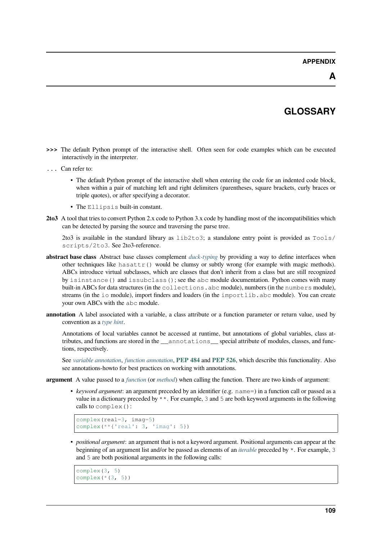**A**

# **GLOSSARY**

- **>>>** The default Python prompt of the interactive shell. Often seen for code examples which can be executed interactively in the interpreter.
- **...** Can refer to:
	- The default Python prompt of the interactive shell when entering the code for an indented code block, when within a pair of matching left and right delimiters (parentheses, square brackets, curly braces or triple quotes), or after specifying a decorator.
	- The Ellipsis built-in constant.
- **2to3** A tool that tries to convert Python 2.x code to Python 3.x code by handling most of the incompatibilities which can be detected by parsing the source and traversing the parse tree.

2to3 is available in the standard library as lib2to3; a standalone entry point is provided as Tools/ scripts/2to3. See 2to3-reference.

- **abstract base class** Abstract base classes complement *duck-typing* by providing a way to define interfaces when other techniques like hasattr() would be clumsy or subtly wrong (for example with magic methods). ABCs introduce virtual subclasses, which are classes that don't inherit from a class but are still recognized by isinstance() and issubclass(); see the abc module documentation. Python comes with many built-in ABCs for data structures (in the collec[tions.abc](#page-117-0) module), numbers (in the numbers module), streams (in the io module), import finders and loaders (in the importlib.abc module). You can create your own ABCs with the abc module.
- <span id="page-114-0"></span>**annotation** A label associated with a variable, a class attribute or a function parameter or return value, used by convention as a *type hint*.

<span id="page-114-2"></span>Annotations of local variables cannot be accessed at runtime, but annotations of global variables, class attributes, and functions are stored in the \_\_annotations\_\_ special attribute of modules, classes, and functions, respectiv[ely.](#page-125-0)

See *variable annotation*, *function annotation*, **PEP 484** and **PEP 526**, which describe this functionality. Also see annotations-howto for best practices on working with annotations.

**argument** A value passed to a *function* (or *method*) when calling the function. There are two kinds of argument:

• *[keyword argument](#page-126-0)*: [an argument preced](#page-118-0)[ed by an id](https://www.python.org/dev/peps/pep-0484)enti[fier \(e.g.](https://www.python.org/dev/peps/pep-0526) name=) in a function call or passed as a value in a dictionary preceded by  $*$ . For example, 3 and 5 are both keyword arguments in the following calls to complex[\(\)](#page-118-1):

```
complex(real=3, imag=5)
complex(**{'real': 3, 'imag': 5})
```
• *positional argument*: an argument that is not a keyword argument. Positional arguments can appear at the beginning of an argument list and/or be passed as elements of an *iterable* preceded by \*. For example, 3 and 5 are both positional arguments in the following calls:

```
complex(3, 5)
complex(*(3, 5))
```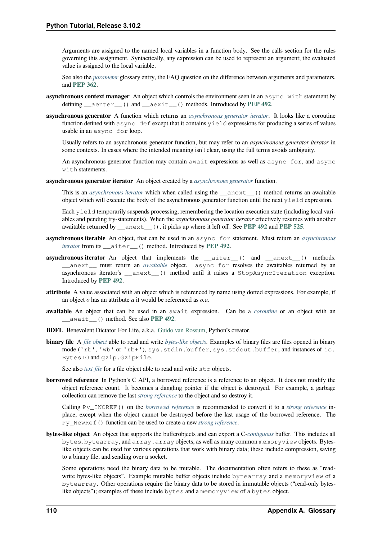Arguments are assigned to the named local variables in a function body. See the calls section for the rules governing this assignment. Syntactically, any expression can be used to represent an argument; the evaluated value is assigned to the local variable.

See also the *parameter* glossary entry, the FAQ question on the difference between arguments and parameters, and **PEP 362**.

- **asynchronous context manager** An object which controls the environment seen in an async with statement by defining \_\_[aenter\\_](#page-122-0)\_() and \_\_aexit\_\_() methods. Introduced by **PEP 492**.
- **asynchro[nous gene](https://www.python.org/dev/peps/pep-0362)rator** A function which returns an *asynchronous generator iterator*. It looks like a coroutine function defined with async def except that it contains yield expressions for producing a series of values usable in an async for loop.

<span id="page-115-1"></span>Usually refers to an asynchronous generator function, but may refer to an *[asynchro](https://www.python.org/dev/peps/pep-0492)nous generator iterator* in some contexts. In cases where the intended meani[ng isn't clear, using the full terms](#page-115-0) avoids ambiguity.

An asynchronous generator function may contain await expressions as well as async for, and async with statements.

**asynchronous generator iterator** An object created by a *asynchronous generator* function.

This is an *asynchronous iterator* which when called using the \_\_anext\_\_() method returns an awaitable object which will execute the body of the asynchronous generator function until the next yield expression.

<span id="page-115-0"></span>Each yield temporarily suspends processing, reme[mbering the location exe](#page-115-1)cution state (including local variables and [pending try-statements](#page-115-2)). When the *asynchronous generator iterator* effectively resumes with another awaitable returned by \_\_anext\_\_(), it picks up where it left off. See **PEP 492** and **PEP 525**.

- **asynchronous iterable** An object, that can be used in an async for statement. Must return an *asynchronous iterator* from its \_\_aiter\_\_() method. Introduced by **PEP 492**.
- **asynchronous iterator** An object that implements the \_\_aiter\_() [and](https://www.python.org/dev/peps/pep-0492) \_\_anext\_() methods. \_\_anext\_\_ must return an *awaitable* object. async for resolves the awaitables returned by an asynchronous iterator's \_\_anext\_\_() method until [it raises](https://www.python.org/dev/peps/pep-0492) a StopAsyncIteration [exception.](#page-115-2) [Introdu](#page-115-2)ced by **PEP 492**.
- <span id="page-115-2"></span>**attribute** A value associated with an object which is referenced by name using dotted expressions. For example, if an object *o* has an attribute *a* it [would be r](#page-115-3)eferenced as *o.a*.
- **awaitable** An obje[ct that can](https://www.python.org/dev/peps/pep-0492) be used in an await expression. Can be a *coroutine* or an object with an \_\_await\_\_() method. See also **PEP 492**.
- **BDFL** Benevolent Dictator For Life, a.k.a. Guido van Rossum, Python's creator.
- <span id="page-115-3"></span>**binary file** A *file object* able to read and write *bytes-like objects*. Examples of bina[ry files ar](#page-116-0)e files opened in binary mode ('rb', 'wb' or 'rb+'), [sys.std](https://www.python.org/dev/peps/pep-0492)in.buffer, sys.stdout.buffer, and instances of io. BytesIO and gzip.GzipFile.

<span id="page-115-6"></span>Seealso *[text file](#page-117-1)* for a file object able to r[ead and write](#page-115-4)  $str$  objects.

**borrowed reference** In Python's C API, a borrowed reference is a reference to an object. It does not modify the object reference count. It becomes a dangling pointer if the object is destroyed. For example, a garbage collectio[n can re](#page-125-1)move the last *strong reference* to the object and so destroy it.

<span id="page-115-5"></span>Calling Py\_INCREF() on the *borrowed reference* is recommended to convert it to a *strong reference* inplace, except when the object cannot be destroyed before the last usage of the borrowed reference. The Py\_NewRef() function can [be used to creat](#page-125-2)e a new *strong reference*.

**bytes-like object** An object that supports the bufferobjects and can export a C-*contiguous* buffer. This includes all bytes, bytearray, and array. array objects, as well as many common memoryview [objects. By](#page-125-2)teslike objects can be used for various operations that w[ork with binary d](#page-125-2)ata; these include compression, saving to a binary file, and sending over a socket.

<span id="page-115-4"></span>Some operations need the binary data to be mutable. The documentat[ion often r](#page-116-1)efers to these as "readwrite bytes-like objects". Example mutable buffer objects include bytearray and a memoryview of a bytearray. Other operations require the binary data to be stored in immutable objects ("read-only byteslike objects"); examples of these include bytes and a memoryview of a bytes object.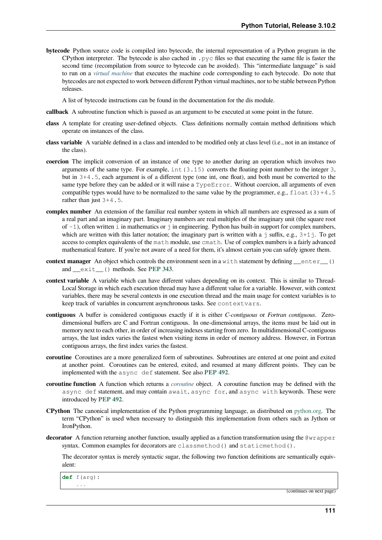**bytecode** Python source code is compiled into bytecode, the internal representation of a Python program in the CPython interpreter. The bytecode is also cached in  $.pyc$  files so that executing the same file is faster the second time (recompilation from source to bytecode can be avoided). This "intermediate language" is said to run on a *virtual machine* that executes the machine code corresponding to each bytecode. Do note that bytecodes are not expected to work between different Python virtual machines, nor to be stable between Python releases.

<span id="page-116-2"></span>A list of byt[ecode instruction](#page-126-1)s can be found in the documentation for the dis module.

- **callback** A subroutine function which is passed as an argument to be executed at some point in the future.
- **class** A template for creating user-defined objects. Class definitions normally contain method definitions which operate on instances of the class.
- **class variable** A variable defined in a class and intended to be modified only at class level (i.e., not in an instance of the class).
- **coercion** The implicit conversion of an instance of one type to another during an operation which involves two arguments of the same type. For example, int (3.15) converts the floating point number to the integer 3, but in 3+4.5, each argument is of a different type (one int, one float), and both must be converted to the same type before they can be added or it will raise a TypeError. Without coercion, all arguments of even compatible types would have to be normalized to the same value by the programmer, e.g.,  $f$ loat (3)+4.5 rather than just  $3+4$ . 5.
- **complex number** An extension of the familiar real number system in which all numbers are expressed as a sum of a real part and an imaginary part. Imaginary numbers are real multiples of the imaginary unit (the square root of  $-1$ ), often written i in mathematics or  $\dot{\uparrow}$  in engineering. Python has built-in support for complex numbers, which are written with this latter notation; the imaginary part is written with a j suffix, e.g.,  $3+1$ j. To get access to complex equivalents of the math module, use cmath. Use of complex numbers is a fairly advanced mathematical feature. If you're not aware of a need for them, it's almost certain you can safely ignore them.
- **context manager** An object which controls the environment seen in a with statement by defining \_\_enter\_\_() and \_\_exit\_\_() methods. See **PEP 343**.
- **context variable** A variable which can have different values depending on its context. This is similar to Thread-Local Storage in which each execution thread may have a different value for a variable. However, with context variables, there may be several contexts in one execution thread and the main usage for context variables is to keep track of variables in concurr[ent asynch](https://www.python.org/dev/peps/pep-0343)ronous tasks. See contextvars.
- **contiguous** A buffer is considered contiguous exactly if it is either *C-contiguous* or *Fortran contiguous*. Zerodimensional buffers are C and Fortran contiguous. In one-dimensional arrays, the items must be laid out in memory next to each other, in order of increasing indexes starting from zero. In multidimensional C-contiguous arrays, the last index varies the fastest when visiting items in order of memory address. However, in Fortran contiguous arrays, the first index varies the fastest.
- <span id="page-116-1"></span>**coroutine** Coroutines are a more generalized form of subroutines. Subroutines are entered at one point and exited at another point. Coroutines can be entered, exited, and resumed at many different points. They can be implemented with the async def statement. See also **PEP 492**.
- <span id="page-116-0"></span>**coroutine function** A function which returns a *coroutine* object. A coroutine function may be defined with the async def statement, and may contain await, async for, and async with keywords. These were introduced by **PEP 492**.
- **CPython** The canonical implementation of the Python progr[amming la](https://www.python.org/dev/peps/pep-0492)nguage, as distributed on python.org. The term "CPython" is used when necessaryt[o distingu](#page-116-0)ish this implementation from others such as Jython or IronPython.
- **decorator** A functi[on returnin](https://www.python.org/dev/peps/pep-0492)g another function, usually applied as a function transformation using the [@wrap](https://www.python.org)per syntax. Common examples for decorators are classmethod() and staticmethod().

The decorator syntax is merely syntactic sugar, the following two function definitions are semantically equivalent:

**def** f(arg): ...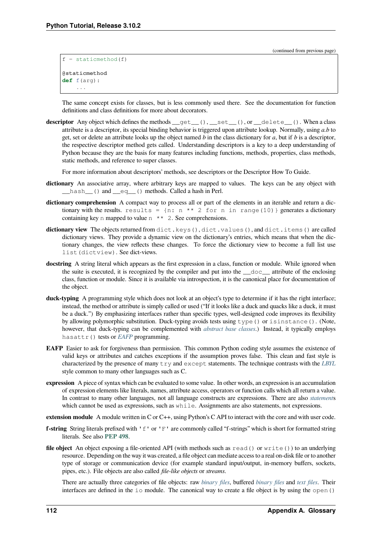```
f =staticmethod(f)
@staticmethod
def f(arg):
    ...
```
The same concept exists for classes, but is less commonly used there. See the documentation for function definitions and class definitions for more about decorators.

descriptor Any object which defines the methods \_get\_(), \_set\_(), or \_delete\_(). When a class attribute is a descriptor, its special binding behavior is triggered upon attribute lookup. Normally, using *a.b* to get, set or delete an attribute looks up the object named *b* in the class dictionary for *a*, but if *b* is a descriptor, the respective descriptor method gets called. Understanding descriptors is a key to a deep understanding of Python because they are the basis for many features including functions, methods, properties, class methods, static methods, and reference to super classes.

For more information about descriptors' methods, see descriptors or the Descriptor How To Guide.

- **dictionary** An associative array, where arbitrary keys are mapped to values. The keys can be any object with \_\_hash\_\_() and \_\_eq\_\_() methods. Called a hash in Perl.
- **dictionary comprehension** A compact way to process all or part of the elements in an iterable and return a dictionary with the results. results =  $\{n: n * * 2 \text{ for } n \text{ in } range(10)\}$  generates a dictionary containing key n mapped to value  $n \times 2$ . See comprehensions.
- dictionary view The objects returned from dict.keys(), dict.values(), and dict.items() are called dictionary views. They provide a dynamic view on the dictionary's entries, which means that when the dictionary changes, the view reflects these changes. To force the dictionary view to become a full list use list(dictview). See dict-views.
- **docstring** A string literal which appears as the first expression in a class, function or module. While ignored when the suite is executed, it is recognized by the compiler and put into the  $\_\text{doc}\_\text{attribute}$  attribute of the enclosing class, function or module. Since it is available via introspection, it is the canonical place for documentation of the object.
- **duck-typing** A programming style which does not look at an object's type to determine if it has the right interface; instead, the method or attribute is simply called or used ("If it looks like a duck and quacks like a duck, it must be a duck.") By emphasizing interfaces rather than specific types, well-designed code improves its flexibility by allowing polymorphic substitution. Duck-typing avoids tests using type() or isinstance(). (Note, however, that duck-typing can be complemented with *abstract base classes*.) Instead, it typically employs hasattr() tests or *EAFP* programming.
- <span id="page-117-0"></span>**EAFP** Easier to ask for forgiveness than permission. This common Python coding style assumes the existence of valid keys or attributes and catches exceptions if the assumption proves false. This clean and fast style is characterized by the presence of many try and except [statements. The tec](#page-114-0)hnique contrasts with the *LBYL* style common to man[y other](#page-117-2) languages such as C.
- <span id="page-117-2"></span>**expression** A piece of syntax which can be evaluated to some value. In other words, an expression is an accumulation of expression elements like literals, names, attribute access, operators or function calls which all return a value. In contrast to many other languages, not all language constructs are expressions. There are also *state[ment](#page-121-0)*s which cannot be used as expressions, such as while. Assignments are also statements, not expressions.

<span id="page-117-3"></span>**extension module** A module written in C or C++, using Python's C API to interact with the core and with user code.

- **f-string** String literals prefixed with 'f' or 'F' are commonly called "f-strings" which is short for form[atted string](#page-125-3) literals. See also **PEP 498**.
- **file object** An object exposing a file-oriented API (with methods such as read() or write()) to an underlying resource. Depending on the way it was created, a file object can mediate access to a real on-disk file or to another type of storage or communication device (for example standard input/output, in-memory buffers, sockets, pipes, etc.). File [objects ar](https://www.python.org/dev/peps/pep-0498)e also called *file-like objects* or *streams*.

<span id="page-117-1"></span>There are actually three categories of file objects: raw *binary files*, buffered *binary files* and *text files*. Their interfaces are defined in the io module. The canonical way to create a file object is by using the open ()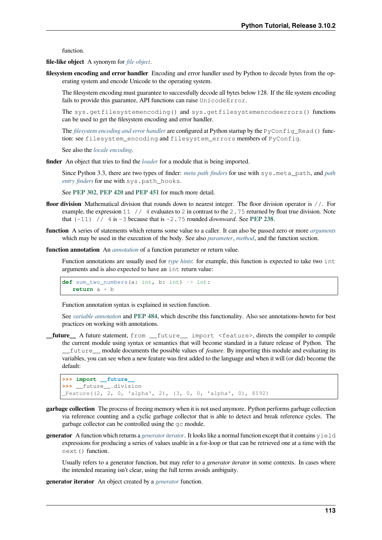function.

#### **file-like object** A synonym for *file object*.

**filesystem encoding and error handler** Encoding and error handler used by Python to decode bytes from the operating system and encode Unicode to the operating system.

The filesystem encoding [must guara](#page-117-1)ntee to successfully decode all bytes below 128. If the file system encoding fails to provide this guarantee, API functions can raise UnicodeError.

<span id="page-118-2"></span>The sys.getfilesystemencoding() and sys.getfilesystemencodeerrors() functions can be used to get the filesystem encoding and error handler.

The *filesystem encoding and error handler* are configured at Python startup by the PyConfig\_Read() function: see filesystem\_encoding and filesystem\_errors members of PyConfig.

See also the *locale encoding*.

**finder** An [object that tries to find the](#page-118-2) *loader* for a module that is being imported.

Since Python 3.3, there are two types of finder: *meta path finders* for use with sys.meta\_path, and *path entry finders* [for use with](#page-121-1) sys.path\_hooks.

<span id="page-118-4"></span>See **PEP 302**, **PEP 420** and **P[EP 451](#page-121-2)** for much more detail.

- **floor division** Mathematical division that rounds dow[n to nearest integ](#page-121-3)er. The floor division operator is //. [For](#page-123-0) [example, the](#page-123-0) expression 11 // 4 evaluates to 2 in contrast to the 2.75 returned by float true division. Note that  $(-11)$  [// 4](https://www.python.org/dev/peps/pep-0420) is  $-3$  be[cause that](https://www.python.org/dev/peps/pep-0451) is  $-2.75$  rounded *downward*. See PEP 238.
- **function** A series of statements which returns some value to a caller. It can also be passed zero or more *arguments* which may be used in the execution of the body. See also *parameter*, *method*, and the function section.
- **function annotation** An *annotation* of a function parameter or return value.

<span id="page-118-1"></span>Function annotations are usually used for *type hints*: for example, this function is expected to tak[e two](#page-114-1) int arguments and is also expected to have an int return val[ue:](#page-122-0)

<span id="page-118-0"></span>**def** sum\_two\_nu[mbers\(a:](#page-114-2) int, b: int) -> int: **return** a + b

Function annotation syntax is explained in section function.

See *variable annotation* and **PEP 484**, which describe this functionality. Also see annotations-howto for best practices on working with annotations.

**\_\_future\_\_** A future statement, from \_\_future\_\_ import <feature>, directs the compiler to compile the current module using syntax or semantics that will become standard in a future release of Python. The \_\_[future\\_\\_](#page-126-0) module doc[uments the](https://www.python.org/dev/peps/pep-0484) possible values of *feature*. By importing this module and evaluating its variables, you can see when a new feature was first added to the language and when it will (or did) become the default:

```
>>> import future
>>> __future__.division
_Feature((2, 2, 0, 'alpha', 2), (3, 0, 0, 'alpha', 0), 8192)
```
- **garbage collection** The process of freeing memory when it is not used anymore. Python performs garbage collection via reference counting and a cyclic garbage collector that is able to detect and break reference cycles. The garbage collector can be controlled using the gc module.
- **generator** A function which returns a *generator iterator*. It looks like a normal function except that it contains yield expressions for producing a series of values usable in a for-loop or that can be retrieved one at a time with the next() function.

<span id="page-118-6"></span><span id="page-118-5"></span>Usually refers to a generator function, but may refer to a *generator iterator* in some contexts. In cases where the intended meaning isn't clear[, using the full ter](#page-118-3)ms avoids ambiguity.

<span id="page-118-3"></span>**generator iterator** An object created by a *generator* function.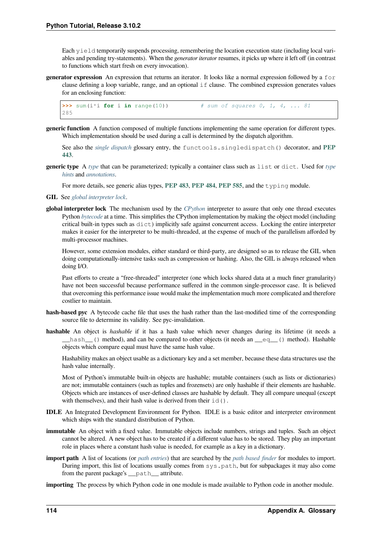Each yield temporarily suspends processing, remembering the location execution state (including local variables and pending try-statements). When the *generator iterator* resumes, it picks up where it left off (in contrast to functions which start fresh on every invocation).

**generator expression** An expression that returns an iterator. It looks like a normal expression followed by a for clause defining a loop variable, range, and an optional if clause. The combined expression generates values for an enclosing function:

**>>>** sum(i\*i **for** i **in** range(10)) *# sum of squares 0, 1, 4, ... 81* 285

**generic function** A function composed of multiple functions implementing the same operation for different types. Which implementation should be used during a call is determined by the dispatch algorithm.

<span id="page-119-3"></span>See also the *single dispatch* glossary entry, the functools.singledispatch() decorator, and **PEP 443**.

**generic type** A *type* that can be parameterized; typically a container class such as list or dict. Used for *type hints* and *an[notations](#page-125-4)*.

[For](https://www.python.org/dev/peps/pep-0443) more details, see generic alias types, **PEP 483**, **PEP 484**, **PEP 585**, and the typing module.

- **GIL** See *global [inter](#page-125-5)preter lock*.
- **globa[l inte](#page-125-0)rpr[eter lock](#page-114-2)** The mechanism used by the *CPython* interpreter to assure that only one thread executes Python *bytecode* at a time. This simplifie[s the CPyt](https://www.python.org/dev/peps/pep-0483)[hon implem](https://www.python.org/dev/peps/pep-0484)[entation b](https://www.python.org/dev/peps/pep-0585)y making the object model (including critical built-in types such as dict) implicitly safe against concurrent access. Locking the entire interpreter ma[kes it easier for the int](#page-119-0)erpreter to be multi-threaded, at the expense of much of the parallelism afforded by multi-processor machines.

<span id="page-119-0"></span>Howev[er, some e](#page-116-2)xtension modules, either standard or third-party, are designed so as to release the GIL when doing computationally-intensive tasks such as compression or hashing. Also, the GIL is always released when doing I/O.

Past efforts to create a "free-threaded" interpreter (one which locks shared data at a much finer granularity) have not been successful because performance suffered in the common single-processor case. It is believed that overcoming this performance issue would make the implementation much more complicated and therefore costlier to maintain.

- **hash-based pyc** A bytecode cache file that uses the hash rather than the last-modified time of the corresponding source file to determine its validity. See pyc-invalidation.
- **hashable** An object is *hashable* if it has a hash value which never changes during its lifetime (it needs a  $_{\text{hash}}$  () method), and can be compared to other objects (it needs an  $_{\text{seq}}$  () method). Hashable objects which compare equal must have the same hash value.

Hashability makes an object usable as a dictionary key and a set member, because these data structures use the hash value internally.

Most of Python's immutable built-in objects are hashable; mutable containers (such as lists or dictionaries) are not; immutable containers (such as tuples and frozensets) are only hashable if their elements are hashable. Objects which are instances of user-defined classes are hashable by default. They all compare unequal (except with themselves), and their hash value is derived from their  $id()$ .

- **IDLE** An Integrated Development Environment for Python. IDLE is a basic editor and interpreter environment which ships with the standard distribution of Python.
- **immutable** An object with a fixed value. Immutable objects include numbers, strings and tuples. Such an object cannot be altered. A new object has to be created if a different value has to be stored. They play an important role in places where a constant hash value is needed, for example as a key in a dictionary.
- <span id="page-119-1"></span>**import path** A list of locations (or *path entries*) that are searched by the *path based finder* for modules to import. During import, this list of locations usually comes from sys.path, but for subpackages it may also come from the parent package's \_\_path\_\_ attribute.
- <span id="page-119-2"></span>**importing** The process by which P[ython code i](#page-123-1)n one module is made ava[ilable to Python co](#page-123-2)de in another module.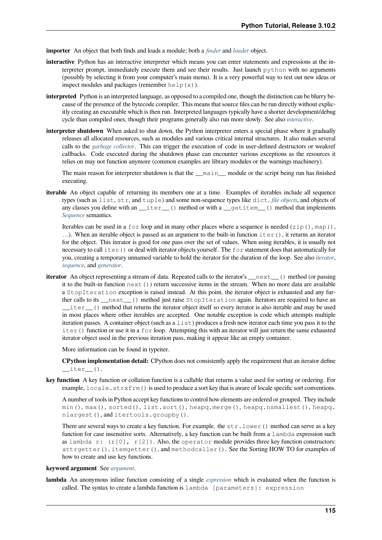**importer** An object that both finds and loads a module; both a *finder* and *loader* object.

- **interactive** Python has an interactive interpreter which means you can enter statements and expressions at the interpreter prompt, immediately execute them and see their results. Just launch python with no arguments (possibly by selecting it from your computer's main men[u\). It i](#page-118-4)s av[ery pow](#page-121-2)erful way to test out new ideas or inspect modules and packages (remember help $(x)$ ).
- <span id="page-120-0"></span>**interpreted** Python is an interpreted language, as opposed to a compiled one, though the distinction can be blurry because of the presence of the bytecode compiler. This means that source files can be run directly without explicitly creating an executable which is then run. Interpreted languages typically have a shorter development/debug cycle than compiled ones, though their programs generally also run more slowly. See also *interactive*.
- **interpreter shutdown** When asked to shut down, the Python interpreter enters a special phase where it gradually releases all allocated resources, such as modules and various critical internal structures. It also makes several calls to the *garbage collector*. This can trigger the execution of code in user-defined destructors or weakref callbacks. Code executed during the shutdown phase can encounter various exceptions [as the res](#page-120-0)ources it relies on may not function anymore (common examples are library modules or the warnings machinery).

Themain r[eason for interpret](#page-118-5)er shutdown is that the \_\_main\_\_ module or the script being run has finished executing.

**iterable** An object capable of returning its members one at a time. Examples of iterables include all sequence types (such as list, str, and tuple) and some non-sequence types like dict, *file objects*, and objects of any classes you define with an \_\_iter\_\_() method or with a \_\_getitem\_\_() method that implements *Sequence* semantics.

<span id="page-120-2"></span>Iterables can be used in a for loop and in many other places where a sequence is needed ( $z$ ip(), map(), ...). When an iterable object is passed as an argument to the built-in function  $\text{iter}($ )[, it ret](#page-117-1)urns an iterator for the object. This iterator is good for one pass over the set of values. When using iterables, it is usually not [necessary](#page-124-0) to call iter() or deal with iterator objects yourself. The for statement does that automatically for you, creating a temporary unnamed variable to hold the iterator for the duration of the loop. See also *iterator*, *sequence*, and *generator*.

<span id="page-120-1"></span>**iterator** An object representing a stream of data. Repeated calls to the iterator's \_next\_() method (or passing it to the built-in function  $next()$  return successive items in the stream. When no more data are available a StopIteration exception is raised instead. At this point, the iterator object is exhausted and [any fur](#page-120-1)[ther calls](#page-124-0) to its [\\_\\_next](#page-118-6)\_\_() method just raise StopIteration again. Iterators are required to have an \_\_iter\_\_() method that returns the iterator object itself so every iterator is also iterable and may be used in most places where other iterables are accepted. One notable exception is code which attempts multiple iteration passes. A container object (such as a list) produces a fresh new iterator each time you pass it to the iter() function or use it in a for loop. Attempting this with an iterator will just return the same exhausted iterator object used in the previous iteration pass, making it appear like an empty container.

More information can be found in typeiter.

**CPython implementation detail:** CPython does not consistently apply the requirement that an iterator define iter ().

**key function** A key function or collation function is a callable that returns a value used for sorting or ordering. For example,  $locale.strxfrm()$  is used to produce a sort key that is aware of locale specific sort conventions.

A number of tools in Python accept key functions to control how elements are ordered or grouped. They include min(), max(), sorted(), list.sort(), heapq.merge(), heapq.nsmallest(), heapq. nlargest(), and itertools.groupby().

There are several ways to create a key function. For example, the  $str. lower$  () method can serve as a key function for case insensitive sorts. Alternatively, a key function can be built from a lambda expression such as lambda r:  $(r[0], r[2])$ . Also, the operator module provides three key function constructors: attrgetter(), itemgetter(), and methodcaller(). See the Sorting HOW TO for examples of how to create and use key functions.

#### **keyword argument** See *argument*.

**lambda** An anonymous inline function consisting of a single *expression* which is evaluated when the function is called. The syntax to create a lambda function is lambda [parameters]: expression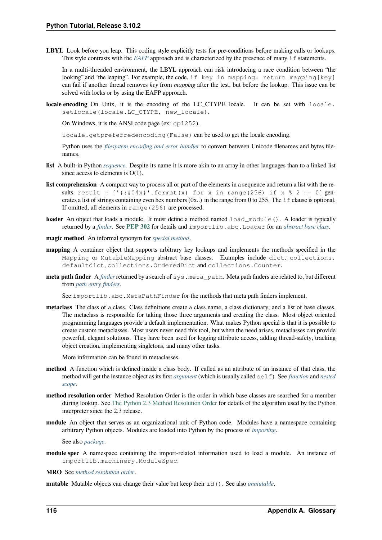**LBYL** Look before you leap. This coding style explicitly tests for pre-conditions before making calls or lookups. This style contrasts with the *EAFP* approach and is characterized by the presence of many if statements.

<span id="page-121-0"></span>In a multi-threaded environment, the LBYL approach can risk introducing a race condition between "the looking" and "the leaping". For example, the code, if key in mapping: return mapping [key] can fail if another thread removes *key* from *mapping* after the test, but before the lookup. This issue can be solved with locks or by usin[g the E](#page-117-2)AFP approach.

**locale encoding** On Unix, it is the encoding of the LC CTYPE locale. It can be set with locale. setlocale(locale.LC\_CTYPE, new\_locale).

On Windows, it is the ANSI code page (ex: cp1252).

<span id="page-121-1"></span>locale.getpreferredencoding(False) can be used to get the locale encoding.

Python uses the *filesystem encoding and error handler* to convert between Unicode filenames and bytes filenames.

- **list** A built-in Python *sequence*. Despite its name it is more akin to an array in other languages than to a linked list sinceaccess to elements is  $O(1)$ .
- **list comprehension** A compact way to process all or part of the elements in a sequence and return a list with the results. result =  $['{\cdot}; #04x]'$ . format(x) for x in range(256) if x  $\frac{1}{6}$  2 == 0] generates a list of st[rings cont](#page-124-0)aining even hex numbers  $(0x.)$  in the range from 0 to 255. The  $\pm$  f clause is optional. If omitted, all elements in range(256) are processed.
- **loader** An object that loads a module. It must define a method named load\_module(). A loader is typically returned by a *finder*. See **PEP 302** for details and importlib.abc.Loader for an *abstract base class*.

**magic method** An informal synonym for *special method*.

- <span id="page-121-2"></span>**mapping** A container object that supports arbitrary key lookups and implements the methods specified in the Mapping or [Mut](#page-118-4)abl[eMappin](https://www.python.org/dev/peps/pep-0302)g abstract base classes. Examples include dict, [collections](#page-114-0). defaultdict, collections[.OrderedDic](#page-125-6)t and collections.Counter.
- **meta path finder** A *finder* returned by a search of sys.meta\_path. Meta path finders are related to, but different from *path entry finders*.

<span id="page-121-3"></span>See importlib.abc.MetaPathFinder for the methods that meta path finders implement.

**metaclass** The class [of a c](#page-118-4)lass. Class definitions create a class name, a class dictionary, and a list of base classes. The [metaclass is respo](#page-123-0)nsible for taking those three arguments and creating the class. Most object oriented programming languages provide a default implementation. What makes Python special is that it is possible to create custom metaclasses. Most users never need this tool, but when the need arises, metaclasses can provide powerful, elegant solutions. They have been used for logging attribute access, adding thread-safety, tracking object creation, implementing singletons, and many other tasks.

More information can be found in metaclasses.

- **method** A function which is defined inside a class body. If called as an attribute of an instance of that class, the method will get the instance object as its first *argument* (which is usually called self). See *function* and *nested scope*.
- **method resolution order** Method Resolution Order is the order in which base classes are searched for a member during lookup. See The Python 2.3 Method [Resolutio](#page-114-1)n Order for details of the algorithm [used by t](#page-118-1)he [Python](#page-122-1) [interp](#page-122-1)reter since the 2.3 release.
- **module** An object that serves as an organizational unit of Python code. Modules have a namespace containing arbitrary Python ob[jects. Modules are loaded into Python by t](https://www.python.org/download/releases/2.3/mro/)he process of *importing*.

<span id="page-121-4"></span>See also *package*.

**module spec** A namespace containing the import-related information used to load a module. An instance of importlib.machinery.ModuleSpec.

**MRO** See *me[thod reso](#page-122-2)lution order*.

**mutable** Mutable objects can change their value but keep their id(). See also *immutable*.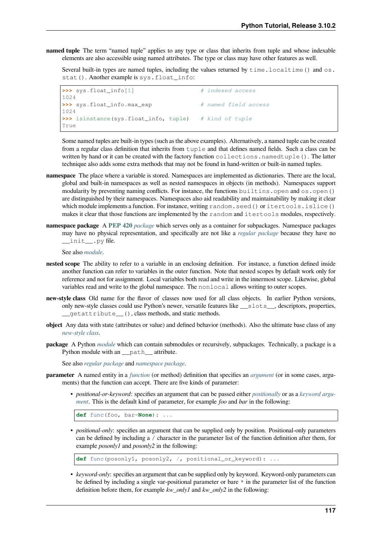**named tuple** The term "named tuple" applies to any type or class that inherits from tuple and whose indexable elements are also accessible using named attributes. The type or class may have other features as well.

Several built-in types are named tuples, including the values returned by time.localtime() and os. stat(). Another example is sys.float\_info:

| $\rightarrow \rightarrow$ sys.float_info[1]<br>  1024                                 | # indexed access     |
|---------------------------------------------------------------------------------------|----------------------|
|                                                                                       |                      |
| >>> sys.float_info.max_exp                                                            | # named field access |
| 1024                                                                                  |                      |
| $\rightarrow\rightarrow\rightarrow$ isinstance(sys.float_info, tuple) # kind of tuple |                      |
| l True                                                                                |                      |

Some named tuples are built-in types (such as the above examples). Alternatively, a named tuple can be created from a regular class definition that inherits from tuple and that defines named fields. Such a class can be written by hand or it can be created with the factory function collections.namedtuple(). The latter technique also adds some extra methods that may not be found in hand-written or built-in named tuples.

- **namespace** The place where a variable is stored. Namespaces are implemented as dictionaries. There are the local, global and built-in namespaces as well as nested namespaces in objects (in methods). Namespaces support modularity by preventing naming conflicts. For instance, the functions builtins.open and os.open() are distinguished by their namespaces. Namespaces also aid readability and maintainability by making it clear which module implements a function. For instance, writing random.seed() or itertools.islice() makes it clear that those functions are implemented by the random and itertools modules, respectively.
- **namespace package** A **PEP 420** *package* which serves only as a container for subpackages. Namespace packages may have no physical representation, and specifically are not like a *regular package* because they have no \_\_init\_\_.py file.

<span id="page-122-4"></span>See also *module*.

- **nested scope** The abilit[y to refer](https://www.python.org/dev/peps/pep-0420) [to a var](#page-122-2)iable in an enclosing definition. [For instance, a f](#page-124-1)unction defined inside another function can refer to variables in the outer function. Note that nested scopes by default work only for reference and not for assignment. Local variables both read and write in the innermost scope. Likewise, global variable[s read an](#page-121-4)d write to the global namespace. The nonlocal allows writing to outer scopes.
- <span id="page-122-1"></span>**new-style class** Old name for the flavor of classes now used for all class objects. In earlier Python versions, only new-style classes could use Python's newer, versatile features like \_\_slots\_\_, descriptors, properties, \_\_getattribute\_\_(), class methods, and static methods.
- <span id="page-122-3"></span>**object** Any data with state (attributes or value) and defined behavior (methods). Also the ultimate base class of any *new-style class*.
- **package** A Python *module* which can contain submodules or recursively, subpackages. Technically, a package is a Python module with an \_\_path\_\_ attribute.

<span id="page-122-2"></span>[See also](#page-122-3) *regular package* and *namespace package*.

- **parameter** A nam[ed entity](#page-121-4) in a *function* (or method) definition that specifies an *argument* (or in some cases, arguments) that the function can accept. There are five kinds of parameter:
	- *po[sitional-or-keywo](#page-124-1)rd*: [specifies an argumen](#page-122-4)t that can be passed either *positionally* or as a *keyword argument*. This is the def[ault kind](#page-118-1) of parameter, for example *foo* and *bar* [in the follo](#page-114-1)wing:

<span id="page-122-0"></span>**def** func(foo, bar=**None**): ...

• *[positi](#page-114-1)onal-only*: specifies an argument that can be supplied only by po[sition. Posit](#page-114-1)ional-o[nly parameters](#page-114-1) can be defined by including a / character in the parameter list of the function definition after them, for example *posonly1* and *posonly2* in the following:

**def** func(posonly1, posonly2, /, positional\_or\_keyword): ...

• *keyword-only*: specifies an argument that can be supplied only by keyword. Keyword-only parameters can be defined by including a single var-positional parameter or bare  $\star$  in the parameter list of the function definition before them, for example *kw\_only1* and *kw\_only2* in the following: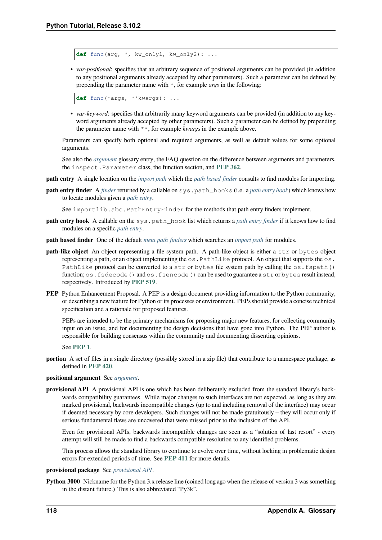```
def func(arg, *, kw_only1, kw_only2): ...
```
• *var-positional*: specifies that an arbitrary sequence of positional arguments can be provided (in addition to any positional arguments already accepted by other parameters). Such a parameter can be defined by prepending the parameter name with \*, for example *args* in the following:

```
def func(*args, **kwargs): ...
```
• *var-keyword*: specifies that arbitrarily many keyword arguments can be provided (in addition to any keyword arguments already accepted by other parameters). Such a parameter can be defined by prepending the parameter name with \*\*, for example *kwargs* in the example above.

Parameters can specify both optional and required arguments, as well as default values for some optional arguments.

See also the *argument* glossary entry, the FAQ question on the difference between arguments and parameters, the inspect.Parameter class, the function section, and **PEP 362**.

- **path entry** A single location on the *import path* which the *path based finder* consults to find modules for importing.
- **path entry [finder](#page-114-1)** A *finder* returned by a callable on sys.path\_hooks (i.e. a *path entry hook*) which knows how to locate modules given a *path entry*.

<span id="page-123-1"></span><span id="page-123-0"></span>See importlib.abc.Pa[thEntryFi](#page-119-2)nder for [the methods that](#page-123-2) path entry finders implement.

- **path entry hook** A [callable](#page-118-4) on the sys.path\_hook list which returns a *path [entry finder](#page-123-3)* if it knows how to find modules on a specific *pat[h entry](#page-123-1)*.
- **path based finder** One of the default *meta path finders* which searches an *import path* for modules.
- <span id="page-123-3"></span><span id="page-123-2"></span>**path-likeobject** An object representing a file system path. A path-like o[bject is either a](#page-123-0) str or bytes object representing a path, o[r an object](#page-123-1) implementing the  $\circ s$ . PathLike protocol. An object that supports the  $\circ s$ . PathLike protocol can be converted to a str or bytes file system path by calling the  $\circ s$ . fspath() function;  $\circ s$ . fsdecode() and  $\circ s$ . fsencode() can be used to [guarantee a](#page-119-2) str or bytes result instead, respectively. Introduced by **PEP 519**.
- **PEP** Python Enhancement Proposal. A PEP is a design document providing information to the Python community, or describing a new feature for Python or its processes or environment. PEPs should provide a concise technical specification and a rational[e for propo](https://www.python.org/dev/peps/pep-0519)sed features.

PEPs are intended to be the primary mechanisms for proposing major new features, for collecting community input on an issue, and for documenting the design decisions that have gone into Python. The PEP author is responsible for building consensus within the community and documenting dissenting opinions.

See **PEP 1**.

**portion** A set of files in a single directory (possibly stored in a zip file) that contribute to a namespace package, as defined in **PEP 420**.

#### **positional [argum](https://www.python.org/dev/peps/pep-0001)ent** See *argument*.

**provisional API** A provisional API is one which has been deliberately excluded from the standard library's backwards co[mpatibility](https://www.python.org/dev/peps/pep-0420) guarantees. While major changes to such interfaces are not expected, as long as they are marked provisional, backwards incompatible changes (up to and including removal of the interface) may occur if deemed necessary [by core d](#page-114-1)evelopers. Such changes will not be made gratuitously – they will occur only if serious fundamental flaws are uncovered that were missed prior to the inclusion of the API.

Even for provisional APIs, backwards incompatible changes are seen as a "solution of last resort" - every attempt will still be made to find a backwards compatible resolution to any identified problems.

This process allows the standard library to continue to evolve over time, without locking in problematic design errors for extended periods of time. See **PEP 411** for more details.

#### **provisional package** See *provisional API*.

**Python 3000** Nickname for the Python 3.x release line (coined long ago when the release of version 3 was something in the distant future.) This is also abbrev[iated "Py3](https://www.python.org/dev/peps/pep-0411)k".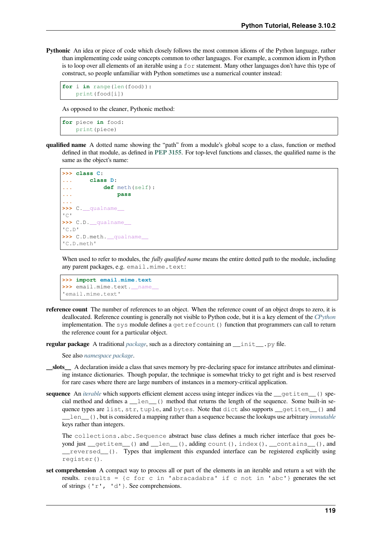**Pythonic** An idea or piece of code which closely follows the most common idioms of the Python language, rather than implementing code using concepts common to other languages. For example, a common idiom in Python is to loop over all elements of an iterable using a for statement. Many other languages don't have this type of construct, so people unfamiliar with Python sometimes use a numerical counter instead:

```
for i in range(len(food)):
    print(food[i])
```
As opposed to the cleaner, Pythonic method:

```
for piece in food:
    print(piece)
```
**qualified name** A dotted name showing the "path" from a module's global scope to a class, function or method defined in that module, as defined in **PEP 3155**. For top-level functions and classes, the qualified name is the same as the object's name:

```
>>> class C:
... class D:
... def meth(self):
... pass
...
>>> C.__qualname__
C<sub>1</sub>>>> C.D.__qualname__
'C.D'
>>> C.D.meth.__qualname__
'C.D.meth'
```
When used to refer to modules, the *fully qualified name* means the entire dotted path to the module, including any parent packages, e.g. email.mime.text:

```
>>> import email.mime.text
>>> email.mime.text.__name__
'email.mime.text'
```
- **reference count** The number of references to an object. When the reference count of an object drops to zero, it is deallocated. Reference counting is generally not visible to Python code, but it is a key element of the *CPython* implementation. The sys module defines a  $q$ etrefcount() function that programmers can call to return the reference count for a particular object.
- **regular package** A traditional *package*, such as a directory containing an *\_\_init\_\_.py* file.

<span id="page-124-1"></span>See also *namespace package*.

- **\_\_slots\_\_** A declaration inside a class that saves memory by pre-declaring space for instance attributes and eliminating instance dictionaries. [Though](#page-122-2) popular, the technique is somewhat tricky to get right and is best reserved for rare [cases where there ar](#page-122-4)e large numbers of instances in a memory-critical application.
- **sequence** An *iterable* which supports efficient element access using integer indices via the \_\_getitem\_\_() special method and defines a \_\_len\_\_() method that returns the length of the sequence. Some built-in sequence types are list, str, tuple, and bytes. Note that dict also supports \_\_getitem\_\_() and \_\_len\_\_(), but is considered a mapping rather than a sequence because the lookups use arbitrary *immutable* keys rat[her than](#page-120-2) integers.

<span id="page-124-0"></span>The collections.abc.Sequence abstract base class defines a much richer interface that goes beyond just \_\_getitem\_() and \_\_len\_(), adding count(), index(), \_\_contains\_(), and \_\_reversed\_\_(). Types that implement this expanded interface can be registered expli[citly using](#page-119-1) register().

**set comprehension** A compact way to process all or part of the elements in an iterable and return a set with the results. results = {c for c in 'abracadabra' if c not in 'abc'} generates the set of strings {'r', 'd'}. See comprehensions.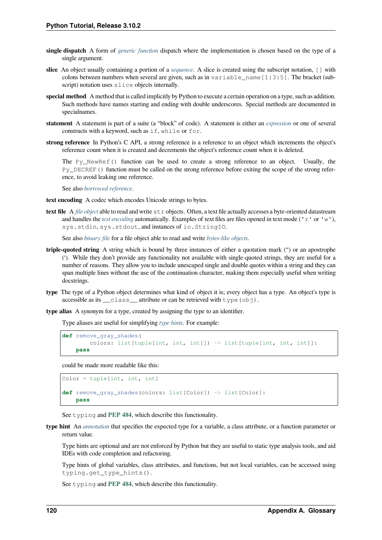- **single dispatch** A form of *generic function* dispatch where the implementation is chosen based on the type of a single argument.
- <span id="page-125-4"></span>**slice** An object usually containing a portion of a *sequence*. A slice is created using the subscript notation, [] with colons between numbers when several are given, such as in  $variable_name[1:3:5]$ . The bracket (subscript) notation uses slice [objects in](#page-119-3)ternally.
- **special method** A method that is called implicitly by Python to execute a certain operation on a type, such as addition. Such methods have names starting and end[ing with](#page-124-0) double underscores. Special methods are documented in specialnames.
- <span id="page-125-6"></span>**statement** A statement is part of a suite (a "block" of code). A statement is either an *expression* or one of several constructs with a keyword, such as if, while or for.
- **strong reference** In Python's C API, a strong reference is a reference to an object which increments the object's reference count when it is created and decrements the object's reference count w[hen it is del](#page-117-3)eted.

<span id="page-125-3"></span><span id="page-125-2"></span>The Py\_NewRef() function can be used to create a strong reference to an object. Usually, the Py\_DECREF() function must be called on the strong reference before exiting the scope of the strong reference, to avoid leaking one reference.

See also *borrowed reference*.

**text encoding** A codec which encodes Unicode strings to bytes.

**text file** A *file object* able to read and write str objects. Often, a text file actually accesses a byte-oriented datastream and handles the *[text encoding](#page-115-5)* automatically. Examples of text files are files opened in text mode ( $'r'$  or  $'w'$ ), sys.stdin, sys.stdout, and instances of io.StringIO.

<span id="page-125-7"></span><span id="page-125-1"></span>See also *[binary](#page-117-1) file* for a file object able to read and write *bytes-like objects*.

- **triple-quoted string** [A string whi](#page-125-7)ch is bound by three instances of either a quotation mark (") or an apostrophe ('). While they don't provide any functionality not available with single-quoted strings, they are useful for a number of reasons. They allow you to include unescaped single and double quotes within a string and they can span mu[ltiple lines](#page-115-6) without the use of the continuation ch[aracter, making t](#page-115-4)hem especially useful when writing docstrings.
- **type** The type of a Python object determines what kind of object it is; every object has a type. An object's type is accessible as its \_\_class\_\_ attribute or can be retrieved with type (obj).

**type alias** A synonym for a type, created by assigning the type to an identifier.

<span id="page-125-5"></span>Type aliases are useful for simplifying *type hints*. For example:

```
def remove_gray_shades(
       colors: list[tuple[int, int, int]]) -> list[tuple[int, int, int]]:
   pass
```
could be made more readable like this:

```
Color = tuple(int, int, int]def remove_gray_shades(colors: list[Color]) -> list[Color]:
   pass
```
See typing and **PEP 484**, which describe this functionality.

**type hint** An *annotation* that specifies the expected type for a variable, a class attribute, or a function parameter or return value.

Type hints are opt[ional and](https://www.python.org/dev/peps/pep-0484) are not enforced by Python but they are useful to static type analysis tools, and aid IDEs w[ith code com](#page-114-2)pletion and refactoring.

<span id="page-125-0"></span>Type hints of global variables, class attributes, and functions, but not local variables, can be accessed using typing.get\_type\_hints().

See typing and **PEP 484**, which describe this functionality.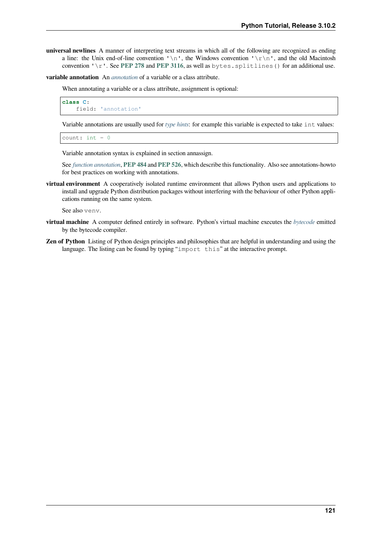**universal newlines** A manner of interpreting text streams in which all of the following are recognized as ending a line: the Unix end-of-line convention '\n', the Windows convention '\n\n', and the old Macintosh convention '\r'. See **PEP 278** and **PEP 3116**, as well as bytes.splitlines() for an additional use.

**variable annotation** An *annotation* of a variable or a class attribute.

When annotating a variable or a class attribute, assignment is optional:

```
class C:
    field: 'annotation'
```
Variable annotations are usually used for *type hints*: for example this variable is expected to take int values:

count:  $int = 0$ 

Variable annotation syntax is explained i[n section a](#page-125-0)nnassign.

See *function annotation*, **PEP 484** and **PEP 526**, which describe this functionality. Also see annotations-howto for best practices on working with annotations.

**virtual environment** A cooperatively isolated runtime environment that allows Python users and applications to install and upgrade Python distributio[n packages](https://www.python.org/dev/peps/pep-0526) without interfering with the behaviour of other Python applicati[ons running on the s](#page-118-0)[ame system](https://www.python.org/dev/peps/pep-0484).

See also venv.

- **virtual machine** A computer defined entirely in software. Python's virtual machine executes the *bytecode* emitted by the bytecode compiler.
- <span id="page-126-1"></span>**Zen of Python** Listing of Python design principles and philosophies that are helpful in understanding and using the language. The listing can be found by typing "import this" at the interactive prompt.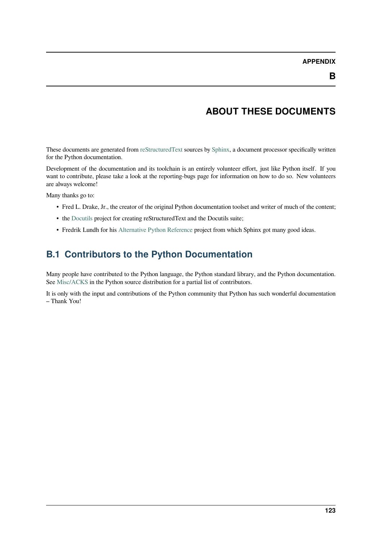**B**

# **ABOUT THESE DOCUMENTS**

These documents are generated from reStructuredText sources by Sphinx, a document processor specifically written for the Python documentation.

Development of the documentation and its toolchain is an entirely volunteer effort, just like Python itself. If you want to contribute, please take a loo[k at the reporting-](http://docutils.sourceforge.net/rst.html)bugs page [for info](http://sphinx-doc.org/)rmation on how to do so. New volunteers are always welcome!

Many thanks go to:

- Fred L. Drake, Jr., the creator of the original Python documentation toolset and writer of much of the content;
- the Docutils project for creating reStructuredText and the Docutils suite;
- Fredrik Lundh for his Alternative Python Reference project from which Sphinx got many good ideas.

# **B.1 C[ontrib](http://docutils.sourceforge.net/)utor[s to the Python Do](http://effbot.org/zone/pyref.htm)cumentation**

Many people have contributed to the Python language, the Python standard library, and the Python documentation. See Misc/ACKS in the Python source distribution for a partial list of contributors.

It is only with the input and contributions of the Python community that Python has such wonderful documentation – Thank You!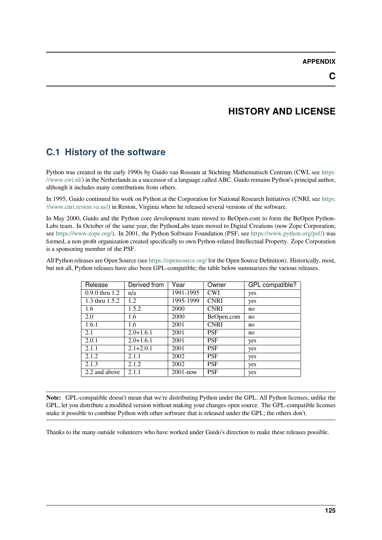**C**

# **HISTORY AND LICENSE**

# **C.1 History of the software**

Python was created in the early 1990s by Guido van Rossum at Stichting Mathematisch Centrum (CWI, see https: //www.cwi.nl/) in the Netherlands as a successor of a language called ABC. Guido remains Python's principal author, although it includes many contributions from others.

In 1995, Guido continued his work on Python at the Corporation for National Research Initiatives (CNRI, see [https:](https://www.cwi.nl/) [//www.cnri.res](https://www.cwi.nl/)ton.va.us/) in Reston, Virginia where he released several versions of the software.

In May 2000, Guido and the Python core development team moved to BeOpen.com to form the BeOpen Python-Labs team. In October of the same year, the PythonLabs team moved to Digital Creations (now Zope Corporation; see https://www.zope.org/). In 2001, the Python Software Foundation (PSF, see https://www.python.org/psf[/\) was](https://www.cnri.reston.va.us/) [formed, a non-profit orga](https://www.cnri.reston.va.us/)nization created specifically to own Python-related Intellectual Property. Zope Corporation is a sponsoring member of the PSF.

All Python releases are Open Source (see https://opensource.org/ for the Open Source Definition). Historically, most, but [not all, Python releases](https://www.zope.org/) have also been GPL-compatible; the table below sum[marizes the various releases.](https://www.python.org/psf/)

| Release            | Derived from  | Year         | Owner       | GPL compatible? |
|--------------------|---------------|--------------|-------------|-----------------|
| $0.9.0$ thru $1.2$ | n/a           | 1991-1995    | <b>CWI</b>  | yes             |
| 1.3 thru 1.5.2     | 1.2           | 1995-1999    | <b>CNRI</b> | yes             |
| 1.6                | 1.5.2         | 2000         | <b>CNRI</b> | no              |
| 2.0                | 1.6           | 2000         | BeOpen.com  | no              |
| 1.6.1              | 1.6           | 2001         | <b>CNRI</b> | no              |
| 2.1                | $2.0 + 1.6.1$ | 2001         | <b>PSF</b>  | no              |
| 2.0.1              | $2.0 + 1.6.1$ | 2001         | <b>PSF</b>  | yes             |
| 2.1.1              | $2.1 + 2.0.1$ | 2001         | <b>PSF</b>  | yes             |
| 2.1.2              | 2.1.1         | 2002         | <b>PSF</b>  | yes             |
| 2.1.3              | 2.1.2         | 2002         | <b>PSF</b>  | yes             |
| 2.2 and above      | 2.1.1         | $2001 - now$ | <b>PSF</b>  | yes             |

**Note:** GPL-compatible doesn't mean that we're distributing Python under the GPL. All Python licenses, unlike the GPL, let you distribute a modified version without making your changes open source. The GPL-compatible licenses make it possible to combine Python with other software that is released under the GPL; the others don't.

Thanks to the many outside volunteers who have worked under Guido's direction to make these releases possible.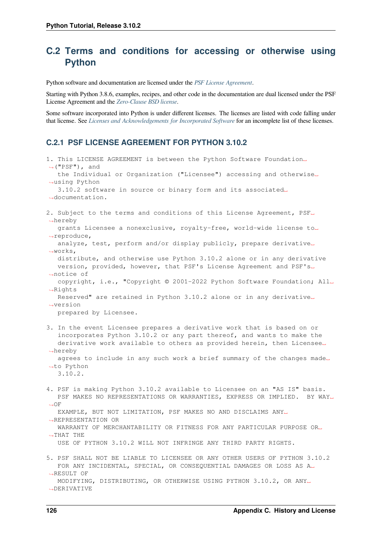# **C.2 Terms and conditions for accessing or otherwise using Python**

Python software and documentation are licensed under the *PSF License Agreement*.

Starting with Python 3.8.6, examples, recipes, and other code in the documentation are dual licensed under the PSF License Agreement and the *Zero-Clause BSD license*.

Some software incorporated into Python is under different [licenses. The licenses](#page-131-0) are listed with code falling under that license. See *Licenses and Acknowledgements for Incorporated Software* for an incomplete list of these licenses.

#### **C.2.1 PSF LICENSE AGREEMENT FOR PYTHON 3.10.2**

<span id="page-131-0"></span>1. This LIC[ENSE AGREEMENT is between the Python So](#page-135-0)ftware Foundation␣ *,→*("PSF"), and the Individual or Organization ("Licensee") accessing and otherwise␣ *,→*using Python 3.10.2 software in source or binary form and its associated␣ *,→*documentation. 2. Subject to the terms and conditions of this License Agreement, PSF␣ *,→*hereby grants Licensee a nonexclusive, royalty-free, world-wide license to␣ *,→*reproduce, analyze, test, perform and/or display publicly, prepare derivative. *,→*works, distribute, and otherwise use Python 3.10.2 alone or in any derivative version, provided, however, that PSF's License Agreement and PSF's\_ *,→*notice of copyright, i.e., "Copyright © 2001-2022 Python Software Foundation; All\_ *,→*Rights Reserved" are retained in Python 3.10.2 alone or in any derivative␣ *,→*version prepared by Licensee. 3. In the event Licensee prepares a derivative work that is based on or incorporates Python 3.10.2 or any part thereof, and wants to make the derivative work available to others as provided herein, then Licensee␣ *,→*hereby agrees to include in any such work a brief summary of the changes made␣ *,→*to Python 3.10.2. 4. PSF is making Python 3.10.2 available to Licensee on an "AS IS" basis. PSF MAKES NO REPRESENTATIONS OR WARRANTIES, EXPRESS OR IMPLIED. BY WAY. *,→*OF EXAMPLE, BUT NOT LIMITATION, PSF MAKES NO AND DISCLAIMS ANY␣ *,→*REPRESENTATION OR WARRANTY OF MERCHANTABILITY OR FITNESS FOR ANY PARTICULAR PURPOSE OR␣ *,→*THAT THE USE OF PYTHON 3.10.2 WILL NOT INFRINGE ANY THIRD PARTY RIGHTS. 5. PSF SHALL NOT BE LIABLE TO LICENSEE OR ANY OTHER USERS OF PYTHON 3.10.2 FOR ANY INCIDENTAL, SPECIAL, OR CONSEQUENTIAL DAMAGES OR LOSS AS A␣ *,→*RESULT OF MODIFYING, DISTRIBUTING, OR OTHERWISE USING PYTHON 3.10.2, OR ANY␣

*,→*DERIVATIVE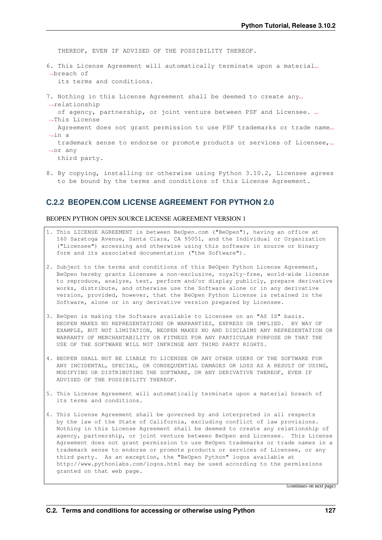THEREOF, EVEN IF ADVISED OF THE POSSIBILITY THEREOF.

6. This License Agreement will automatically terminate upon a material␣ *,→*breach of its terms and conditions. 7. Nothing in this License Agreement shall be deemed to create any␣ *,→*relationship of agency, partnership, or joint venture between PSF and Licensee. ␣ *,→*This License Agreement does not grant permission to use PSF trademarks or trade name␣ *,→*in a trademark sense to endorse or promote products or services of Licensee, \_ *,→*or any third party.

8. By copying, installing or otherwise using Python 3.10.2, Licensee agrees to be bound by the terms and conditions of this License Agreement.

#### **C.2.2 BEOPEN.COM LICENSE AGREEMENT FOR PYTHON 2.0**

#### BEOPEN PYTHON OPEN SOURCE LICENSE AGREEMENT VERSION 1

- 1. This LICENSE AGREEMENT is between BeOpen.com ("BeOpen"), having an office at 160 Saratoga Avenue, Santa Clara, CA 95051, and the Individual or Organization ("Licensee") accessing and otherwise using this software in source or binary form and its associated documentation ("the Software").
- 2. Subject to the terms and conditions of this BeOpen Python License Agreement, BeOpen hereby grants Licensee a non-exclusive, royalty-free, world-wide license to reproduce, analyze, test, perform and/or display publicly, prepare derivative works, distribute, and otherwise use the Software alone or in any derivative version, provided, however, that the BeOpen Python License is retained in the Software, alone or in any derivative version prepared by Licensee.
- 3. BeOpen is making the Software available to Licensee on an "AS IS" basis. BEOPEN MAKES NO REPRESENTATIONS OR WARRANTIES, EXPRESS OR IMPLIED. BY WAY OF EXAMPLE, BUT NOT LIMITATION, BEOPEN MAKES NO AND DISCLAIMS ANY REPRESENTATION OR WARRANTY OF MERCHANTABILITY OR FITNESS FOR ANY PARTICULAR PURPOSE OR THAT THE USE OF THE SOFTWARE WILL NOT INFRINGE ANY THIRD PARTY RIGHTS.
- 4. BEOPEN SHALL NOT BE LIABLE TO LICENSEE OR ANY OTHER USERS OF THE SOFTWARE FOR ANY INCIDENTAL, SPECIAL, OR CONSEQUENTIAL DAMAGES OR LOSS AS A RESULT OF USING, MODIFYING OR DISTRIBUTING THE SOFTWARE, OR ANY DERIVATIVE THEREOF, EVEN IF ADVISED OF THE POSSIBILITY THEREOF.
- 5. This License Agreement will automatically terminate upon a material breach of its terms and conditions.
- 6. This License Agreement shall be governed by and interpreted in all respects by the law of the State of California, excluding conflict of law provisions. Nothing in this License Agreement shall be deemed to create any relationship of agency, partnership, or joint venture between BeOpen and Licensee. This License Agreement does not grant permission to use BeOpen trademarks or trade names in a trademark sense to endorse or promote products or services of Licensee, or any third party. As an exception, the "BeOpen Python" logos available at http://www.pythonlabs.com/logos.html may be used according to the permissions granted on that web page.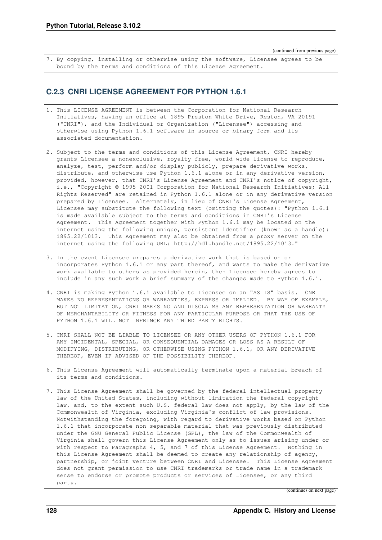(continued from previous page)

7. By copying, installing or otherwise using the software, Licensee agrees to be bound by the terms and conditions of this License Agreement.

## **C.2.3 CNRI LICENSE AGREEMENT FOR PYTHON 1.6.1**

- 1. This LICENSE AGREEMENT is between the Corporation for National Research Initiatives, having an office at 1895 Preston White Drive, Reston, VA 20191 ("CNRI"), and the Individual or Organization ("Licensee") accessing and otherwise using Python 1.6.1 software in source or binary form and its associated documentation.
- 2. Subject to the terms and conditions of this License Agreement, CNRI hereby grants Licensee a nonexclusive, royalty-free, world-wide license to reproduce, analyze, test, perform and/or display publicly, prepare derivative works, distribute, and otherwise use Python 1.6.1 alone or in any derivative version, provided, however, that CNRI's License Agreement and CNRI's notice of copyright, i.e., "Copyright © 1995-2001 Corporation for National Research Initiatives; All Rights Reserved" are retained in Python 1.6.1 alone or in any derivative version prepared by Licensee. Alternately, in lieu of CNRI's License Agreement, Licensee may substitute the following text (omitting the quotes): "Python 1.6.1 is made available subject to the terms and conditions in CNRI's License Agreement. This Agreement together with Python 1.6.1 may be located on the internet using the following unique, persistent identifier (known as a handle): 1895.22/1013. This Agreement may also be obtained from a proxy server on the internet using the following URL: http://hdl.handle.net/1895.22/1013."
- 3. In the event Licensee prepares a derivative work that is based on or incorporates Python 1.6.1 or any part thereof, and wants to make the derivative work available to others as provided herein, then Licensee hereby agrees to include in any such work a brief summary of the changes made to Python 1.6.1.
- 4. CNRI is making Python 1.6.1 available to Licensee on an "AS IS" basis. CNRI MAKES NO REPRESENTATIONS OR WARRANTIES, EXPRESS OR IMPLIED. BY WAY OF EXAMPLE, BUT NOT LIMITATION, CNRI MAKES NO AND DISCLAIMS ANY REPRESENTATION OR WARRANTY OF MERCHANTABILITY OR FITNESS FOR ANY PARTICULAR PURPOSE OR THAT THE USE OF PYTHON 1.6.1 WILL NOT INFRINGE ANY THIRD PARTY RIGHTS.
- 5. CNRI SHALL NOT BE LIABLE TO LICENSEE OR ANY OTHER USERS OF PYTHON 1.6.1 FOR ANY INCIDENTAL, SPECIAL, OR CONSEQUENTIAL DAMAGES OR LOSS AS A RESULT OF MODIFYING, DISTRIBUTING, OR OTHERWISE USING PYTHON 1.6.1, OR ANY DERIVATIVE THEREOF, EVEN IF ADVISED OF THE POSSIBILITY THEREOF.
- 6. This License Agreement will automatically terminate upon a material breach of its terms and conditions.
- 7. This License Agreement shall be governed by the federal intellectual property law of the United States, including without limitation the federal copyright law, and, to the extent such U.S. federal law does not apply, by the law of the Commonwealth of Virginia, excluding Virginia's conflict of law provisions. Notwithstanding the foregoing, with regard to derivative works based on Python 1.6.1 that incorporate non-separable material that was previously distributed under the GNU General Public License (GPL), the law of the Commonwealth of Virginia shall govern this License Agreement only as to issues arising under or with respect to Paragraphs 4, 5, and 7 of this License Agreement. Nothing in this License Agreement shall be deemed to create any relationship of agency, partnership, or joint venture between CNRI and Licensee. This License Agreement does not grant permission to use CNRI trademarks or trade name in a trademark sense to endorse or promote products or services of Licensee, or any third party.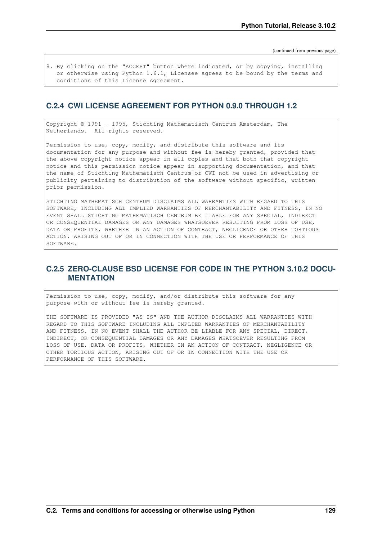(continued from previous page)

8. By clicking on the "ACCEPT" button where indicated, or by copying, installing or otherwise using Python 1.6.1, Licensee agrees to be bound by the terms and conditions of this License Agreement.

## **C.2.4 CWI LICENSE AGREEMENT FOR PYTHON 0.9.0 THROUGH 1.2**

Copyright © 1991 - 1995, Stichting Mathematisch Centrum Amsterdam, The Netherlands. All rights reserved.

Permission to use, copy, modify, and distribute this software and its documentation for any purpose and without fee is hereby granted, provided that the above copyright notice appear in all copies and that both that copyright notice and this permission notice appear in supporting documentation, and that the name of Stichting Mathematisch Centrum or CWI not be used in advertising or publicity pertaining to distribution of the software without specific, written prior permission.

STICHTING MATHEMATISCH CENTRUM DISCLAIMS ALL WARRANTIES WITH REGARD TO THIS SOFTWARE, INCLUDING ALL IMPLIED WARRANTIES OF MERCHANTABILITY AND FITNESS, IN NO EVENT SHALL STICHTING MATHEMATISCH CENTRUM BE LIABLE FOR ANY SPECIAL, INDIRECT OR CONSEQUENTIAL DAMAGES OR ANY DAMAGES WHATSOEVER RESULTING FROM LOSS OF USE, DATA OR PROFITS, WHETHER IN AN ACTION OF CONTRACT, NEGLIGENCE OR OTHER TORTIOUS ACTION, ARISING OUT OF OR IN CONNECTION WITH THE USE OR PERFORMANCE OF THIS SOFTWARE.

## **C.2.5 ZERO-CLAUSE BSD LICENSE FOR CODE IN THE PYTHON 3.10.2 DOCU-MENTATION**

Permission to use, copy, modify, and/or distribute this software for any purpose with or without fee is hereby granted.

THE SOFTWARE IS PROVIDED "AS IS" AND THE AUTHOR DISCLAIMS ALL WARRANTIES WITH REGARD TO THIS SOFTWARE INCLUDING ALL IMPLIED WARRANTIES OF MERCHANTABILITY AND FITNESS. IN NO EVENT SHALL THE AUTHOR BE LIABLE FOR ANY SPECIAL, DIRECT, INDIRECT, OR CONSEQUENTIAL DAMAGES OR ANY DAMAGES WHATSOEVER RESULTING FROM LOSS OF USE, DATA OR PROFITS, WHETHER IN AN ACTION OF CONTRACT, NEGLIGENCE OR OTHER TORTIOUS ACTION, ARISING OUT OF OR IN CONNECTION WITH THE USE OR PERFORMANCE OF THIS SOFTWARE.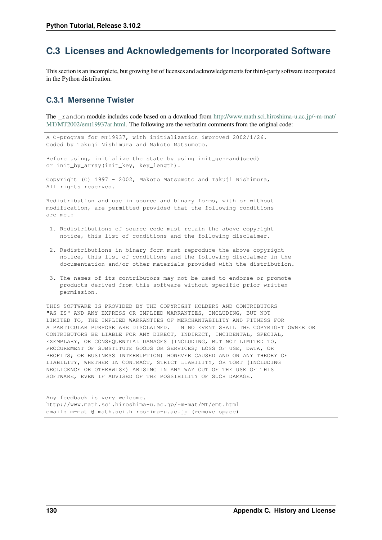# **C.3 Licenses and Acknowledgements for Incorporated Software**

<span id="page-135-0"></span>This section is an incomplete, but growing list of licenses and acknowledgements for third-party software incorporated in the Python distribution.

## **C.3.1 Mersenne Twister**

The random module includes code based on a download from http://www.math.sci.hiroshima-u.ac.jp/~m-mat/ MT/MT2002/emt19937ar.html. The following are the verbatim comments from the original code:

```
A C-program for MT19937, with initialization improved 2002/1/26.
Coded by Takuji Nishimura and Makoto Matsumoto.
Before using, initialize the state by using init_genrand(seed)
or init_by_array(init_key, key_length).
Copyright (C) 1997 - 2002, Makoto Matsumoto and Takuji Nishimura,
All rights reserved.
Redistribution and use in source and binary forms, with or without
modification, are permitted provided that the following conditions
are met:
1. Redistributions of source code must retain the above copyright
   notice, this list of conditions and the following disclaimer.
 2. Redistributions in binary form must reproduce the above copyright
   notice, this list of conditions and the following disclaimer in the
   documentation and/or other materials provided with the distribution.
3. The names of its contributors may not be used to endorse or promote
    products derived from this software without specific prior written
   permission.
THIS SOFTWARE IS PROVIDED BY THE COPYRIGHT HOLDERS AND CONTRIBUTORS
"AS IS" AND ANY EXPRESS OR IMPLIED WARRANTIES, INCLUDING, BUT NOT
LIMITED TO, THE IMPLIED WARRANTIES OF MERCHANTABILITY AND FITNESS FOR
A PARTICULAR PURPOSE ARE DISCLAIMED. IN NO EVENT SHALL THE COPYRIGHT OWNER OR
CONTRIBUTORS BE LIABLE FOR ANY DIRECT, INDIRECT, INCIDENTAL, SPECIAL,
EXEMPLARY, OR CONSEQUENTIAL DAMAGES (INCLUDING, BUT NOT LIMITED TO,
PROCUREMENT OF SUBSTITUTE GOODS OR SERVICES; LOSS OF USE, DATA, OR
PROFITS; OR BUSINESS INTERRUPTION) HOWEVER CAUSED AND ON ANY THEORY OF
LIABILITY, WHETHER IN CONTRACT, STRICT LIABILITY, OR TORT (INCLUDING
NEGLIGENCE OR OTHERWISE) ARISING IN ANY WAY OUT OF THE USE OF THIS
SOFTWARE, EVEN IF ADVISED OF THE POSSIBILITY OF SUCH DAMAGE.
Any feedback is very welcome.
```
http://www.math.sci.hiroshima-u.ac.jp/~m-mat/MT/emt.html email: m-mat @ math.sci.hiroshima-u.ac.jp (remove space)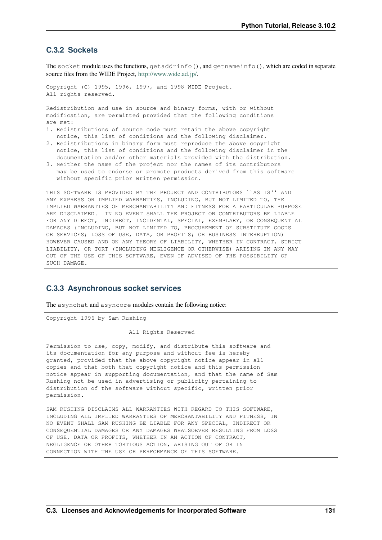## **C.3.2 Sockets**

The socket module uses the functions, getaddrinfo(), and getnameinfo(), which are coded in separate source files from the WIDE Project, http://www.wide.ad.jp/.

```
Copyright (C) 1995, 1996, 1997, and 1998 WIDE Project.
All rights reserved.
Redistribution and use in source and binary forms, with or without
modification, are permitted provided that the following conditions
are met:
1. Redistributions of source code must retain the above copyright
   notice, this list of conditions and the following disclaimer.
2. Redistributions in binary form must reproduce the above copyright
  notice, this list of conditions and the following disclaimer in the
  documentation and/or other materials provided with the distribution.
3. Neither the name of the project nor the names of its contributors
  may be used to endorse or promote products derived from this software
  without specific prior written permission.
THIS SOFTWARE IS PROVIDED BY THE PROJECT AND CONTRIBUTORS ``AS IS'' AND
ANY EXPRESS OR IMPLIED WARRANTIES, INCLUDING, BUT NOT LIMITED TO, THE
IMPLIED WARRANTIES OF MERCHANTABILITY AND FITNESS FOR A PARTICULAR PURPOSE
ARE DISCLAIMED. IN NO EVENT SHALL THE PROJECT OR CONTRIBUTORS BE LIABLE
FOR ANY DIRECT, INDIRECT, INCIDENTAL, SPECIAL, EXEMPLARY, OR CONSEQUENTIAL
DAMAGES (INCLUDING, BUT NOT LIMITED TO, PROCUREMENT OF SUBSTITUTE GOODS
OR SERVICES; LOSS OF USE, DATA, OR PROFITS; OR BUSINESS INTERRUPTION)
HOWEVER CAUSED AND ON ANY THEORY OF LIABILITY, WHETHER IN CONTRACT, STRICT
LIABILITY, OR TORT (INCLUDING NEGLIGENCE OR OTHERWISE) ARISING IN ANY WAY
OUT OF THE USE OF THIS SOFTWARE, EVEN IF ADVISED OF THE POSSIBILITY OF
SUCH DAMAGE.
```
### **C.3.3 Asynchronous socket services**

The asynchat and asyncore modules contain the following notice:

Copyright 1996 by Sam Rushing

All Rights Reserved

Permission to use, copy, modify, and distribute this software and its documentation for any purpose and without fee is hereby granted, provided that the above copyright notice appear in all copies and that both that copyright notice and this permission notice appear in supporting documentation, and that the name of Sam Rushing not be used in advertising or publicity pertaining to distribution of the software without specific, written prior permission.

SAM RUSHING DISCLAIMS ALL WARRANTIES WITH REGARD TO THIS SOFTWARE, INCLUDING ALL IMPLIED WARRANTIES OF MERCHANTABILITY AND FITNESS, IN NO EVENT SHALL SAM RUSHING BE LIABLE FOR ANY SPECIAL, INDIRECT OR CONSEQUENTIAL DAMAGES OR ANY DAMAGES WHATSOEVER RESULTING FROM LOSS OF USE, DATA OR PROFITS, WHETHER IN AN ACTION OF CONTRACT, NEGLIGENCE OR OTHER TORTIOUS ACTION, ARISING OUT OF OR IN CONNECTION WITH THE USE OR PERFORMANCE OF THIS SOFTWARE.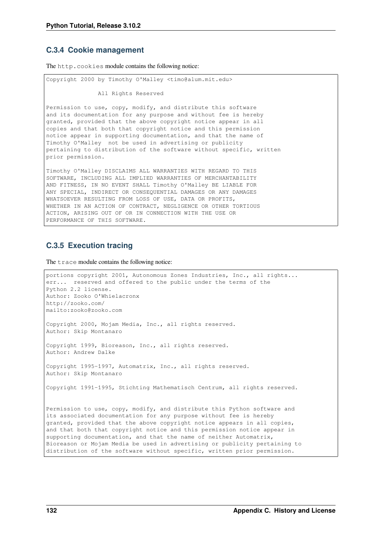### **C.3.4 Cookie management**

The http.cookies module contains the following notice:

```
Copyright 2000 by Timothy O'Malley <timo@alum.mit.edu>
               All Rights Reserved
Permission to use, copy, modify, and distribute this software
and its documentation for any purpose and without fee is hereby
granted, provided that the above copyright notice appear in all
copies and that both that copyright notice and this permission
notice appear in supporting documentation, and that the name of
Timothy O'Malley not be used in advertising or publicity
pertaining to distribution of the software without specific, written
prior permission.
Timothy O'Malley DISCLAIMS ALL WARRANTIES WITH REGARD TO THIS
SOFTWARE, INCLUDING ALL IMPLIED WARRANTIES OF MERCHANTABILITY
AND FITNESS, IN NO EVENT SHALL Timothy O'Malley BE LIABLE FOR
ANY SPECIAL, INDIRECT OR CONSEQUENTIAL DAMAGES OR ANY DAMAGES
WHATSOEVER RESULTING FROM LOSS OF USE, DATA OR PROFITS,
WHETHER IN AN ACTION OF CONTRACT, NEGLIGENCE OR OTHER TORTIOUS
ACTION, ARISING OUT OF OR IN CONNECTION WITH THE USE OR
PERFORMANCE OF THIS SOFTWARE.
```
# **C.3.5 Execution tracing**

The trace module contains the following notice:

```
portions copyright 2001, Autonomous Zones Industries, Inc., all rights...
err... reserved and offered to the public under the terms of the
Python 2.2 license.
Author: Zooko O'Whielacronx
http://zooko.com/
mailto:zooko@zooko.com
Copyright 2000, Mojam Media, Inc., all rights reserved.
Author: Skip Montanaro
Copyright 1999, Bioreason, Inc., all rights reserved.
Author: Andrew Dalke
Copyright 1995-1997, Automatrix, Inc., all rights reserved.
Author: Skip Montanaro
Copyright 1991-1995, Stichting Mathematisch Centrum, all rights reserved.
Permission to use, copy, modify, and distribute this Python software and
its associated documentation for any purpose without fee is hereby
granted, provided that the above copyright notice appears in all copies,
and that both that copyright notice and this permission notice appear in
supporting documentation, and that the name of neither Automatrix,
Bioreason or Mojam Media be used in advertising or publicity pertaining to
distribution of the software without specific, written prior permission.
```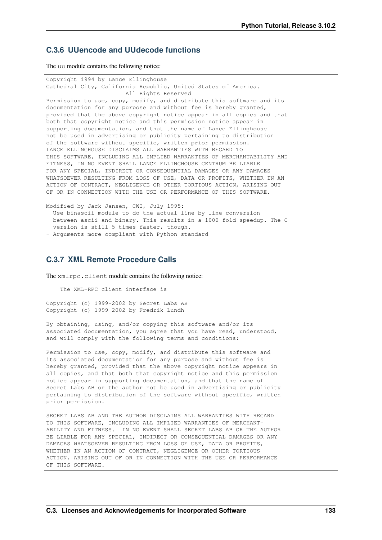#### **C.3.6 UUencode and UUdecode functions**

The uu module contains the following notice:

```
Copyright 1994 by Lance Ellinghouse
Cathedral City, California Republic, United States of America.
                       All Rights Reserved
Permission to use, copy, modify, and distribute this software and its
documentation for any purpose and without fee is hereby granted,
provided that the above copyright notice appear in all copies and that
both that copyright notice and this permission notice appear in
supporting documentation, and that the name of Lance Ellinghouse
not be used in advertising or publicity pertaining to distribution
of the software without specific, written prior permission.
LANCE ELLINGHOUSE DISCLAIMS ALL WARRANTIES WITH REGARD TO
THIS SOFTWARE, INCLUDING ALL IMPLIED WARRANTIES OF MERCHANTABILITY AND
FITNESS, IN NO EVENT SHALL LANCE ELLINGHOUSE CENTRUM BE LIABLE
FOR ANY SPECIAL, INDIRECT OR CONSEQUENTIAL DAMAGES OR ANY DAMAGES
WHATSOEVER RESULTING FROM LOSS OF USE, DATA OR PROFITS, WHETHER IN AN
ACTION OF CONTRACT, NEGLIGENCE OR OTHER TORTIOUS ACTION, ARISING OUT
OF OR IN CONNECTION WITH THE USE OR PERFORMANCE OF THIS SOFTWARE.
Modified by Jack Jansen, CWI, July 1995:
- Use binascii module to do the actual line-by-line conversion
 between ascii and binary. This results in a 1000-fold speedup. The C
 version is still 5 times faster, though.
- Arguments more compliant with Python standard
```
### **C.3.7 XML Remote Procedure Calls**

The xmlrpc.client module contains the following notice:

The XML-RPC client interface is

Copyright (c) 1999-2002 by Secret Labs AB Copyright (c) 1999-2002 by Fredrik Lundh

By obtaining, using, and/or copying this software and/or its associated documentation, you agree that you have read, understood, and will comply with the following terms and conditions:

Permission to use, copy, modify, and distribute this software and its associated documentation for any purpose and without fee is hereby granted, provided that the above copyright notice appears in all copies, and that both that copyright notice and this permission notice appear in supporting documentation, and that the name of Secret Labs AB or the author not be used in advertising or publicity pertaining to distribution of the software without specific, written prior permission.

SECRET LABS AB AND THE AUTHOR DISCLAIMS ALL WARRANTIES WITH REGARD TO THIS SOFTWARE, INCLUDING ALL IMPLIED WARRANTIES OF MERCHANT-ABILITY AND FITNESS. IN NO EVENT SHALL SECRET LABS AB OR THE AUTHOR BE LIABLE FOR ANY SPECIAL, INDIRECT OR CONSEQUENTIAL DAMAGES OR ANY DAMAGES WHATSOEVER RESULTING FROM LOSS OF USE, DATA OR PROFITS, WHETHER IN AN ACTION OF CONTRACT, NEGLIGENCE OR OTHER TORTIOUS ACTION, ARISING OUT OF OR IN CONNECTION WITH THE USE OR PERFORMANCE OF THIS SOFTWARE.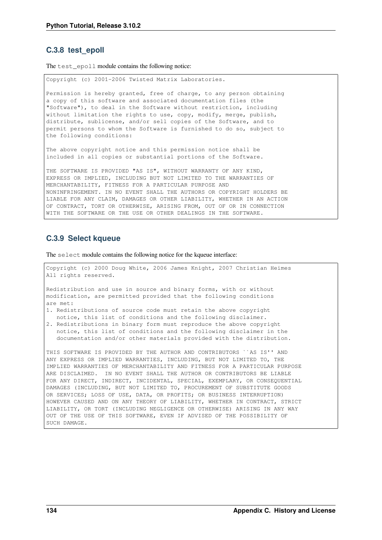#### **C.3.8 test\_epoll**

The test\_epoll module contains the following notice:

Copyright (c) 2001-2006 Twisted Matrix Laboratories.

Permission is hereby granted, free of charge, to any person obtaining a copy of this software and associated documentation files (the "Software"), to deal in the Software without restriction, including without limitation the rights to use, copy, modify, merge, publish, distribute, sublicense, and/or sell copies of the Software, and to permit persons to whom the Software is furnished to do so, subject to the following conditions:

The above copyright notice and this permission notice shall be included in all copies or substantial portions of the Software.

THE SOFTWARE IS PROVIDED "AS IS", WITHOUT WARRANTY OF ANY KIND, EXPRESS OR IMPLIED, INCLUDING BUT NOT LIMITED TO THE WARRANTIES OF MERCHANTABILITY, FITNESS FOR A PARTICULAR PURPOSE AND NONINFRINGEMENT. IN NO EVENT SHALL THE AUTHORS OR COPYRIGHT HOLDERS BE LIABLE FOR ANY CLAIM, DAMAGES OR OTHER LIABILITY, WHETHER IN AN ACTION OF CONTRACT, TORT OR OTHERWISE, ARISING FROM, OUT OF OR IN CONNECTION WITH THE SOFTWARE OR THE USE OR OTHER DEALINGS IN THE SOFTWARE.

## **C.3.9 Select kqueue**

The select module contains the following notice for the kqueue interface:

Copyright (c) 2000 Doug White, 2006 James Knight, 2007 Christian Heimes All rights reserved.

Redistribution and use in source and binary forms, with or without modification, are permitted provided that the following conditions are met:

- 1. Redistributions of source code must retain the above copyright notice, this list of conditions and the following disclaimer.
- 2. Redistributions in binary form must reproduce the above copyright notice, this list of conditions and the following disclaimer in the documentation and/or other materials provided with the distribution.

THIS SOFTWARE IS PROVIDED BY THE AUTHOR AND CONTRIBUTORS ``AS IS'' AND ANY EXPRESS OR IMPLIED WARRANTIES, INCLUDING, BUT NOT LIMITED TO, THE IMPLIED WARRANTIES OF MERCHANTABILITY AND FITNESS FOR A PARTICULAR PURPOSE ARE DISCLAIMED. IN NO EVENT SHALL THE AUTHOR OR CONTRIBUTORS BE LIABLE FOR ANY DIRECT, INDIRECT, INCIDENTAL, SPECIAL, EXEMPLARY, OR CONSEQUENTIAL DAMAGES (INCLUDING, BUT NOT LIMITED TO, PROCUREMENT OF SUBSTITUTE GOODS OR SERVICES; LOSS OF USE, DATA, OR PROFITS; OR BUSINESS INTERRUPTION) HOWEVER CAUSED AND ON ANY THEORY OF LIABILITY, WHETHER IN CONTRACT, STRICT LIABILITY, OR TORT (INCLUDING NEGLIGENCE OR OTHERWISE) ARISING IN ANY WAY OUT OF THE USE OF THIS SOFTWARE, EVEN IF ADVISED OF THE POSSIBILITY OF SUCH DAMAGE.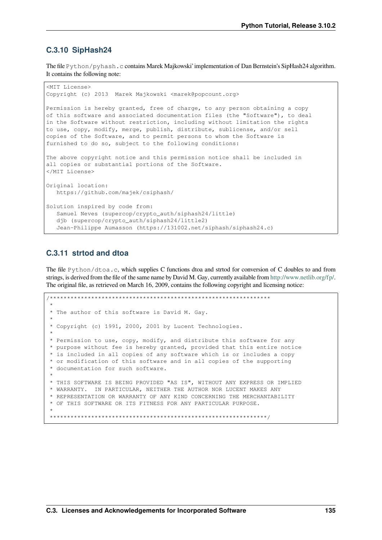## **C.3.10 SipHash24**

The file Python/pyhash.c contains Marek Majkowski' implementation of Dan Bernstein's SipHash24 algorithm. It contains the following note:

```
<MIT License>
Copyright (c) 2013 Marek Majkowski <marek@popcount.org>
Permission is hereby granted, free of charge, to any person obtaining a copy
of this software and associated documentation files (the "Software"), to deal
in the Software without restriction, including without limitation the rights
to use, copy, modify, merge, publish, distribute, sublicense, and/or sell
copies of the Software, and to permit persons to whom the Software is
furnished to do so, subject to the following conditions:
The above copyright notice and this permission notice shall be included in
all copies or substantial portions of the Software.
</MIT License>
Original location:
  https://github.com/majek/csiphash/
Solution inspired by code from:
  Samuel Neves (supercop/crypto_auth/siphash24/little)
  djb (supercop/crypto_auth/siphash24/little2)
  Jean-Philippe Aumasson (https://131002.net/siphash/siphash24.c)
```
### **C.3.11 strtod and dtoa**

The file Python/dtoa.c, which supplies C functions dtoa and strtod for conversion of C doubles to and from strings, is derived from the file of the same name by David M. Gay, currently available from http://www.netlib.org/fp/. The original file, as retrieved on March 16, 2009, contains the following copyright and licensing notice:

```
/****************************************************************
 *
* The author of this software is David M. Gay.
 *
* Copyright (c) 1991, 2000, 2001 by Lucent Technologies.
 *
* Permission to use, copy, modify, and distribute this software for any
* purpose without fee is hereby granted, provided that this entire notice
* is included in all copies of any software which is or includes a copy
* or modification of this software and in all copies of the supporting
* documentation for such software.
 *
* THIS SOFTWARE IS BEING PROVIDED "AS IS", WITHOUT ANY EXPRESS OR IMPLIED
* WARRANTY. IN PARTICULAR, NEITHER THE AUTHOR NOR LUCENT MAKES ANY
* REPRESENTATION OR WARRANTY OF ANY KIND CONCERNING THE MERCHANTABILITY
* OF THIS SOFTWARE OR ITS FITNESS FOR ANY PARTICULAR PURPOSE.
 *
 ***************************************************************/
```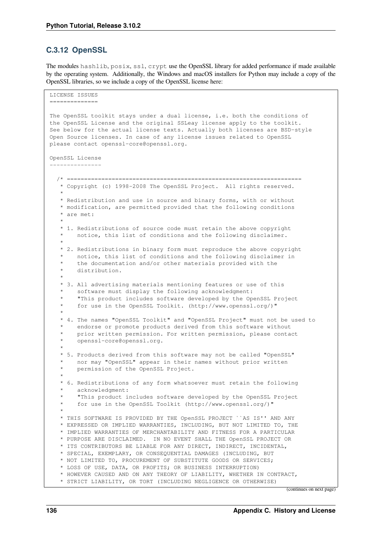### **C.3.12 OpenSSL**

The modules hashlib, posix, ssl, crypt use the OpenSSL library for added performance if made available by the operating system. Additionally, the Windows and macOS installers for Python may include a copy of the OpenSSL libraries, so we include a copy of the OpenSSL license here:

```
LICENSE ISSUES
==============
The OpenSSL toolkit stays under a dual license, i.e. both the conditions of
the OpenSSL License and the original SSLeay license apply to the toolkit.
See below for the actual license texts. Actually both licenses are BSD-style
Open Source licenses. In case of any license issues related to OpenSSL
please contact openssl-core@openssl.org.
OpenSSL License
---------------
  /* ====================================================================
   * Copyright (c) 1998-2008 The OpenSSL Project. All rights reserved.
   *
   * Redistribution and use in source and binary forms, with or without
   * modification, are permitted provided that the following conditions
   * are met:
   *
   * 1. Redistributions of source code must retain the above copyright
       notice, this list of conditions and the following disclaimer.
   *
   * 2. Redistributions in binary form must reproduce the above copyright
        notice, this list of conditions and the following disclaimer in
        the documentation and/or other materials provided with the
        distribution.
   *
    3. All advertising materials mentioning features or use of this
        software must display the following acknowledgment:
        "This product includes software developed by the OpenSSL Project
        for use in the OpenSSL Toolkit. (http://www.openssl.org/)"
   *
   * 4. The names "OpenSSL Toolkit" and "OpenSSL Project" must not be used to
        endorse or promote products derived from this software without
        prior written permission. For written permission, please contact
        openssl-core@openssl.org.
   *
   * 5. Products derived from this software may not be called "OpenSSL"
        nor may "OpenSSL" appear in their names without prior written
        permission of the OpenSSL Project.
   *
   * 6. Redistributions of any form whatsoever must retain the following
       acknowledgment:
        * "This product includes software developed by the OpenSSL Project
        for use in the OpenSSL Toolkit (http://www.openssl.org/)"
   *
   * THIS SOFTWARE IS PROVIDED BY THE OpenSSL PROJECT ``AS IS'' AND ANY
   * EXPRESSED OR IMPLIED WARRANTIES, INCLUDING, BUT NOT LIMITED TO, THE
   * IMPLIED WARRANTIES OF MERCHANTABILITY AND FITNESS FOR A PARTICULAR
   * PURPOSE ARE DISCLAIMED. IN NO EVENT SHALL THE OpenSSL PROJECT OR
   * ITS CONTRIBUTORS BE LIABLE FOR ANY DIRECT, INDIRECT, INCIDENTAL,
   * SPECIAL, EXEMPLARY, OR CONSEQUENTIAL DAMAGES (INCLUDING, BUT
   * NOT LIMITED TO, PROCUREMENT OF SUBSTITUTE GOODS OR SERVICES;
   * LOSS OF USE, DATA, OR PROFITS; OR BUSINESS INTERRUPTION)
   * HOWEVER CAUSED AND ON ANY THEORY OF LIABILITY, WHETHER IN CONTRACT,
   * STRICT LIABILITY, OR TORT (INCLUDING NEGLIGENCE OR OTHERWISE)
```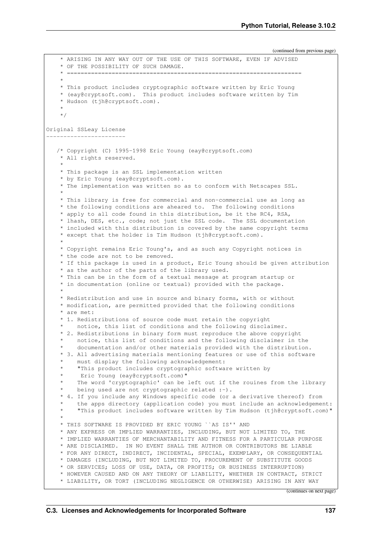(continued from previous page)

```
* ARISING IN ANY WAY OUT OF THE USE OF THIS SOFTWARE, EVEN IF ADVISED
    * OF THE POSSIBILITY OF SUCH DAMAGE.
    * ====================================================================
    *
    * This product includes cryptographic software written by Eric Young
    * (eay@cryptsoft.com). This product includes software written by Tim
    * Hudson (tjh@cryptsoft.com).
    *
    */
Original SSLeay License
        -----------------------
  /* Copyright (C) 1995-1998 Eric Young (eay@cryptsoft.com)
   * All rights reserved.
    *
    * This package is an SSL implementation written
    * by Eric Young (eay@cryptsoft.com).
    * The implementation was written so as to conform with Netscapes SSL.
    *
    * This library is free for commercial and non-commercial use as long as
    * the following conditions are aheared to. The following conditions
    * apply to all code found in this distribution, be it the RC4, RSA,
    * lhash, DES, etc., code; not just the SSL code. The SSL documentation
    * included with this distribution is covered by the same copyright terms
    * except that the holder is Tim Hudson (tjh@cryptsoft.com).
    *
   * Copyright remains Eric Young's, and as such any Copyright notices in
    * the code are not to be removed.
    * If this package is used in a product, Eric Young should be given attribution
    * as the author of the parts of the library used.
    * This can be in the form of a textual message at program startup or
    * in documentation (online or textual) provided with the package.
    *
    * Redistribution and use in source and binary forms, with or without
    * modification, are permitted provided that the following conditions
    * are met:
    * 1. Redistributions of source code must retain the copyright
        notice, this list of conditions and the following disclaimer.
    * 2. Redistributions in binary form must reproduce the above copyright
        notice, this list of conditions and the following disclaimer in the
        documentation and/or other materials provided with the distribution.
    * 3. All advertising materials mentioning features or use of this software
        must display the following acknowledgement:
        "This product includes cryptographic software written by
         Eric Young (eay@cryptsoft.com)"
        The word 'cryptographic' can be left out if the rouines from the library
        being used are not cryptographic related :-).
    * 4. If you include any Windows specific code (or a derivative thereof) from
        the apps directory (application code) you must include an acknowledgement:
         * "This product includes software written by Tim Hudson (tjh@cryptsoft.com)"
    *
    * THIS SOFTWARE IS PROVIDED BY ERIC YOUNG ``AS IS'' AND
    * ANY EXPRESS OR IMPLIED WARRANTIES, INCLUDING, BUT NOT LIMITED TO, THE
    * IMPLIED WARRANTIES OF MERCHANTABILITY AND FITNESS FOR A PARTICULAR PURPOSE
    * ARE DISCLAIMED. IN NO EVENT SHALL THE AUTHOR OR CONTRIBUTORS BE LIABLE
    * FOR ANY DIRECT, INDIRECT, INCIDENTAL, SPECIAL, EXEMPLARY, OR CONSEQUENTIAL
    * DAMAGES (INCLUDING, BUT NOT LIMITED TO, PROCUREMENT OF SUBSTITUTE GOODS
    * OR SERVICES; LOSS OF USE, DATA, OR PROFITS; OR BUSINESS INTERRUPTION)
    * HOWEVER CAUSED AND ON ANY THEORY OF LIABILITY, WHETHER IN CONTRACT, STRICT
    * LIABILITY, OR TORT (INCLUDING NEGLIGENCE OR OTHERWISE) ARISING IN ANY WAY
```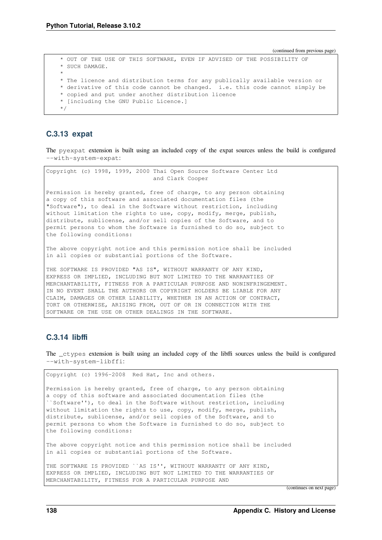(continued from previous page)

```
* OUT OF THE USE OF THIS SOFTWARE, EVEN IF ADVISED OF THE POSSIBILITY OF
* SUCH DAMAGE.
*
* The licence and distribution terms for any publically available version or
* derivative of this code cannot be changed. i.e. this code cannot simply be
* copied and put under another distribution licence
* [including the GNU Public Licence.]
*/
```
#### **C.3.13 expat**

The pyexpat extension is built using an included copy of the expat sources unless the build is configured --with-system-expat:

Copyright (c) 1998, 1999, 2000 Thai Open Source Software Center Ltd and Clark Cooper Permission is hereby granted, free of charge, to any person obtaining a copy of this software and associated documentation files (the "Software"), to deal in the Software without restriction, including without limitation the rights to use, copy, modify, merge, publish, distribute, sublicense, and/or sell copies of the Software, and to permit persons to whom the Software is furnished to do so, subject to the following conditions: The above copyright notice and this permission notice shall be included in all copies or substantial portions of the Software. THE SOFTWARE IS PROVIDED "AS IS", WITHOUT WARRANTY OF ANY KIND,

EXPRESS OR IMPLIED, INCLUDING BUT NOT LIMITED TO THE WARRANTIES OF MERCHANTABILITY, FITNESS FOR A PARTICULAR PURPOSE AND NONINFRINGEMENT. IN NO EVENT SHALL THE AUTHORS OR COPYRIGHT HOLDERS BE LIABLE FOR ANY CLAIM, DAMAGES OR OTHER LIABILITY, WHETHER IN AN ACTION OF CONTRACT, TORT OR OTHERWISE, ARISING FROM, OUT OF OR IN CONNECTION WITH THE SOFTWARE OR THE USE OR OTHER DEALINGS IN THE SOFTWARE.

#### **C.3.14 libffi**

The \_ctypes extension is built using an included copy of the libffi sources unless the build is configured --with-system-libffi:

Copyright (c) 1996-2008 Red Hat, Inc and others.

Permission is hereby granted, free of charge, to any person obtaining a copy of this software and associated documentation files (the ``Software''), to deal in the Software without restriction, including without limitation the rights to use, copy, modify, merge, publish, distribute, sublicense, and/or sell copies of the Software, and to permit persons to whom the Software is furnished to do so, subject to the following conditions:

The above copyright notice and this permission notice shall be included in all copies or substantial portions of the Software.

THE SOFTWARE IS PROVIDED ``AS IS'', WITHOUT WARRANTY OF ANY KIND, EXPRESS OR IMPLIED, INCLUDING BUT NOT LIMITED TO THE WARRANTIES OF MERCHANTABILITY, FITNESS FOR A PARTICULAR PURPOSE AND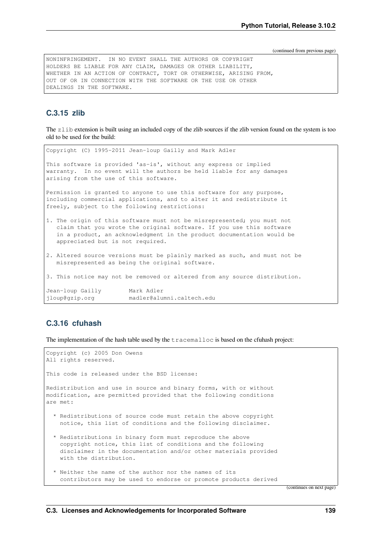(continued from previous page)

```
NONINFRINGEMENT. IN NO EVENT SHALL THE AUTHORS OR COPYRIGHT
HOLDERS BE LIABLE FOR ANY CLAIM, DAMAGES OR OTHER LIABILITY,
WHETHER IN AN ACTION OF CONTRACT, TORT OR OTHERWISE, ARISING FROM,
OUT OF OR IN CONNECTION WITH THE SOFTWARE OR THE USE OR OTHER
DEALINGS IN THE SOFTWARE.
```
#### **C.3.15 zlib**

The zlib extension is built using an included copy of the zlib sources if the zlib version found on the system is too old to be used for the build:

```
Copyright (C) 1995-2011 Jean-loup Gailly and Mark Adler
This software is provided 'as-is', without any express or implied
warranty. In no event will the authors be held liable for any damages
arising from the use of this software.
Permission is granted to anyone to use this software for any purpose,
including commercial applications, and to alter it and redistribute it
freely, subject to the following restrictions:
1. The origin of this software must not be misrepresented; you must not
  claim that you wrote the original software. If you use this software
  in a product, an acknowledgment in the product documentation would be
  appreciated but is not required.
2. Altered source versions must be plainly marked as such, and must not be
  misrepresented as being the original software.
3. This notice may not be removed or altered from any source distribution.
Jean-loup Gailly Mark Adler
jloup@gzip.org madler@alumni.caltech.edu
```
#### **C.3.16 cfuhash**

The implementation of the hash table used by the tracemalloc is based on the cfuhash project:

```
Copyright (c) 2005 Don Owens
All rights reserved.
This code is released under the BSD license:
Redistribution and use in source and binary forms, with or without
modification, are permitted provided that the following conditions
are met:
  * Redistributions of source code must retain the above copyright
   notice, this list of conditions and the following disclaimer.
  * Redistributions in binary form must reproduce the above
   copyright notice, this list of conditions and the following
    disclaimer in the documentation and/or other materials provided
   with the distribution.
  * Neither the name of the author nor the names of its
    contributors may be used to endorse or promote products derived
```
(continues on next page)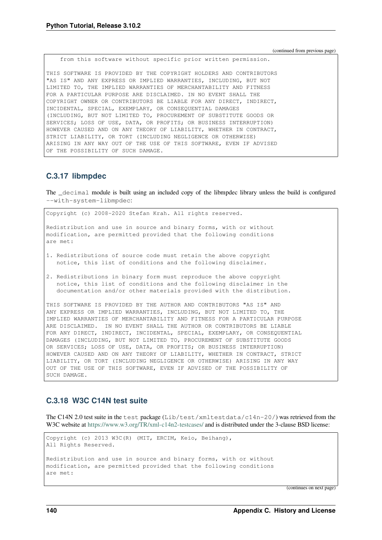from this software without specific prior written permission. THIS SOFTWARE IS PROVIDED BY THE COPYRIGHT HOLDERS AND CONTRIBUTORS "AS IS" AND ANY EXPRESS OR IMPLIED WARRANTIES, INCLUDING, BUT NOT LIMITED TO, THE IMPLIED WARRANTIES OF MERCHANTABILITY AND FITNESS FOR A PARTICULAR PURPOSE ARE DISCLAIMED. IN NO EVENT SHALL THE COPYRIGHT OWNER OR CONTRIBUTORS BE LIABLE FOR ANY DIRECT, INDIRECT, INCIDENTAL, SPECIAL, EXEMPLARY, OR CONSEQUENTIAL DAMAGES (INCLUDING, BUT NOT LIMITED TO, PROCUREMENT OF SUBSTITUTE GOODS OR SERVICES; LOSS OF USE, DATA, OR PROFITS; OR BUSINESS INTERRUPTION) HOWEVER CAUSED AND ON ANY THEORY OF LIABILITY, WHETHER IN CONTRACT, STRICT LIABILITY, OR TORT (INCLUDING NEGLIGENCE OR OTHERWISE) ARISING IN ANY WAY OUT OF THE USE OF THIS SOFTWARE, EVEN IF ADVISED OF THE POSSIBILITY OF SUCH DAMAGE.

#### **C.3.17 libmpdec**

The decimal module is built using an included copy of the libmpdec library unless the build is configured --with-system-libmpdec:

Copyright (c) 2008-2020 Stefan Krah. All rights reserved.

Redistribution and use in source and binary forms, with or without modification, are permitted provided that the following conditions are met:

- 1. Redistributions of source code must retain the above copyright notice, this list of conditions and the following disclaimer.
- 2. Redistributions in binary form must reproduce the above copyright notice, this list of conditions and the following disclaimer in the documentation and/or other materials provided with the distribution.

THIS SOFTWARE IS PROVIDED BY THE AUTHOR AND CONTRIBUTORS "AS IS" AND ANY EXPRESS OR IMPLIED WARRANTIES, INCLUDING, BUT NOT LIMITED TO, THE IMPLIED WARRANTIES OF MERCHANTABILITY AND FITNESS FOR A PARTICULAR PURPOSE ARE DISCLAIMED. IN NO EVENT SHALL THE AUTHOR OR CONTRIBUTORS BE LIABLE FOR ANY DIRECT, INDIRECT, INCIDENTAL, SPECIAL, EXEMPLARY, OR CONSEQUENTIAL DAMAGES (INCLUDING, BUT NOT LIMITED TO, PROCUREMENT OF SUBSTITUTE GOODS OR SERVICES; LOSS OF USE, DATA, OR PROFITS; OR BUSINESS INTERRUPTION) HOWEVER CAUSED AND ON ANY THEORY OF LIABILITY, WHETHER IN CONTRACT, STRICT LIABILITY, OR TORT (INCLUDING NEGLIGENCE OR OTHERWISE) ARISING IN ANY WAY OUT OF THE USE OF THIS SOFTWARE, EVEN IF ADVISED OF THE POSSIBILITY OF SUCH DAMAGE.

#### **C.3.18 W3C C14N test suite**

The C14N 2.0 test suite in the test package  $(\text{Lib}/\text{test}/\text{xmltestdata}/c14n-20/)$  was retrieved from the W3C website at https://www.w3.org/TR/xml-c14n2-testcases/ and is distributed under the 3-clause BSD license:

```
Copyright (c) 2013 W3C(R) (MIT, ERCIM, Keio, Beihang),
All Rights Reserved.
Redistribution and use in source and binary forms, with or without
modification, are permitted provided that the following conditions
are met:
```
(continues on next page)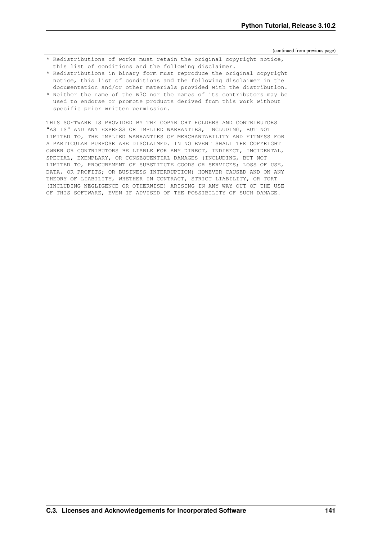(continued from previous page)

\* Redistributions of works must retain the original copyright notice, this list of conditions and the following disclaimer. \* Redistributions in binary form must reproduce the original copyright notice, this list of conditions and the following disclaimer in the documentation and/or other materials provided with the distribution. \* Neither the name of the W3C nor the names of its contributors may be used to endorse or promote products derived from this work without specific prior written permission. THIS SOFTWARE IS PROVIDED BY THE COPYRIGHT HOLDERS AND CONTRIBUTORS "AS IS" AND ANY EXPRESS OR IMPLIED WARRANTIES, INCLUDING, BUT NOT LIMITED TO, THE IMPLIED WARRANTIES OF MERCHANTABILITY AND FITNESS FOR A PARTICULAR PURPOSE ARE DISCLAIMED. IN NO EVENT SHALL THE COPYRIGHT OWNER OR CONTRIBUTORS BE LIABLE FOR ANY DIRECT, INDIRECT, INCIDENTAL, SPECIAL, EXEMPLARY, OR CONSEQUENTIAL DAMAGES (INCLUDING, BUT NOT LIMITED TO, PROCUREMENT OF SUBSTITUTE GOODS OR SERVICES; LOSS OF USE, DATA, OR PROFITS; OR BUSINESS INTERRUPTION) HOWEVER CAUSED AND ON ANY THEORY OF LIABILITY, WHETHER IN CONTRACT, STRICT LIABILITY, OR TORT (INCLUDING NEGLIGENCE OR OTHERWISE) ARISING IN ANY WAY OUT OF THE USE OF THIS SOFTWARE, EVEN IF ADVISED OF THE POSSIBILITY OF SUCH DAMAGE.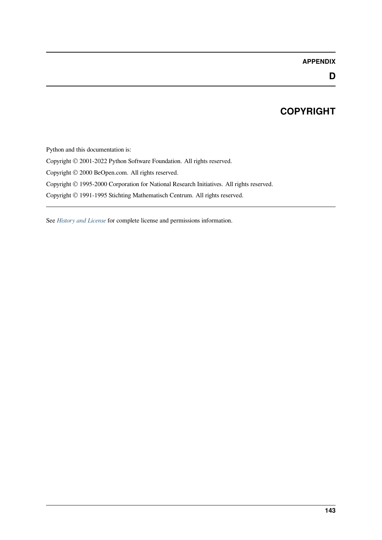## **COPYRIGHT**

Python and this documentation is:

Copyright © 2001-2022 Python Software Foundation. All rights reserved.

Copyright © 2000 BeOpen.com. All rights reserved.

Copyright © 1995-2000 Corporation for National Research Initiatives. All rights reserved.

Copyright © 1991-1995 Stichting Mathematisch Centrum. All rights reserved.

See *History and License* for complete license and permissions information.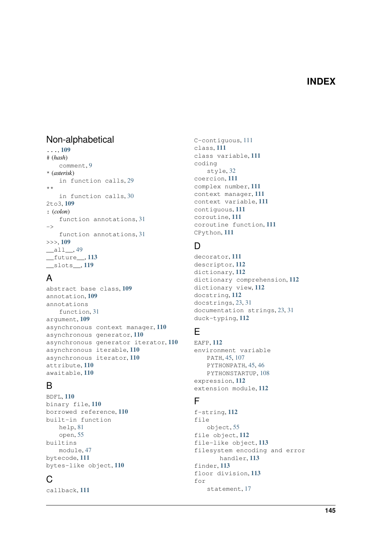### **INDEX**

#### Non-alphabetical

```
..., 109
# (hash)
    comment, 9
* (asterisk)
    in function calls, 29
**
    in function calls, 30
2to3, 109
: (colon)
    function annotations, 31
\rightarrowfunction annotations, 31
>>>, 109
\_all\_, 49
__future__, 113
__slots__, 119
```
# A

```
abstract base class, 109
annotation, 109
annotations
   function, 31
argument, 109
asynchronous context manager, 110
asynchronous generator, 110
asynchronous generator iterator, 110
asynchronous iterable, 110
asynchronous iterator, 110
attribute, 110
awaitable, 110
```
## B

BDFL, **110** binary fi[le](#page-115-0), **110** borrowed reference, **110** built-in function h[elp](#page-115-0), 81 open, 55 builtins module, 47 bytecode, **[11](#page-86-0)1** bytes-li[ke](#page-60-0) object, **110**

# C

callback, **[111](#page-116-0)**

C-contiguous, 111 class, **111** class variable, **111** coding style, 32 coerc[ion](#page-116-0), **111** complex number, **[111](#page-116-0)** context manager, **111** context v[ar](#page-37-0)iable, **111** contiguo[us](#page-116-0), **111** coroutine, **111** coroutine func[tion](#page-116-0), **111** CPython, **111**

# D

```
decorator, 111
descriptor, 112
dictionary, 112
dictionary comprehension, 112
dictionary view, 112
docstring, 112
docstrings, 23, 31
documentation strings, 23, 31
duck-typing, 112
```
### E

```
EAFP, 112
environment variable
   PATH, 45, 107
   PYTHONPATH, 45, 46
   PYTHONSTARTUP, 108
expression, 112
extension module, 112
```
#### F

```
f-string, 112
file
   object, 55
file object, 112
file-like object, 113
filesystem encoding and error
       handler, 113
finder, 113
floor division, 113
for
   statement, 17
```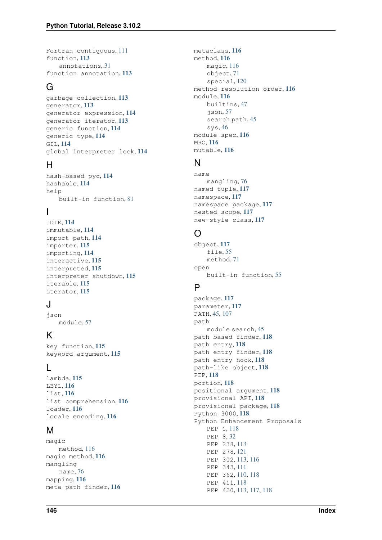Fortran contiguous , 111 function , **113** annotations , 31 function annotation , **113**

# G

```
garbage collection
, 113
generator
, 113
generator expression
, 114
generator iterator
, 113
generic function
, 114
generic type
, 114
GIL
, 114
global interpreter lock
, 114
```
# H

has[h-ba](#page-119-0)sed pyc , **114** hashable , **114** help built-in function , 81

# I

```
IDLE
, 114
immutable
, 114
import path
, 114
importer
, 115
importing
, 114
interactive
, 115
interpreted
, 115
interpreter shutdown
, 115
iterable
, 115
iterator
, 115
```
### J

json module , [57](#page-120-0)

# K

key function , **115** keyword ar[gu](#page-62-0)ment , **115**

## L

lambda , **115** LBYL , **116** list , **116** list comprehension , **116** loader , **[116](#page-120-0)** loca[le e](#page-121-0)ncoding , **116**

#### M

magic method , 116 magic method , **116** mangling name , 76 mapping , **11[6](#page-121-0)** meta path fi[nder](#page-121-0) , **116** metaclass , **116** method , **116** magic , 116 object , 71 special , [12](#page-121-0)0 method [res](#page-121-0)olution order , **116** module , **11[6](#page-121-0)** builti[ns](#page-76-0) , 47 json , 57 search p[ath](#page-125-0) , 45 sys , [46](#page-121-0) module spec , **[116](#page-52-0)** MRO , **116** mutable , **[116](#page-62-0)**

### N

```
name
    mangling
, 76
named tuple
, 117
namespace
, 117
namespace package
, 117
nested scope
, 117
new-style class
, 117
```
# O

```
object
, 117
    file
, 55
    method
, 71
open
    built-in function
, 55
```
#### P

package , **117** parameter , **117** PATH, 45, 107 path modu[le s](#page-122-0)earch , 45 path base[d fi](#page-122-0)nder , **118** path [en](#page-50-0)[try](#page-112-0) , **118** path entry finder , **118** path entry hook , **[118](#page-50-0)** path-like object , **1[18](#page-123-0)** PEP , **118** portion , **118** positional argu[ment](#page-123-0) , **118** provisional API , **1[18](#page-123-0)** pro[visi](#page-123-0)onal package , **118** Python [3000](#page-123-0) , **118** Python Enhancement [Prop](#page-123-0)osals PEP 1 , 118 PEP 8,32 PEP 238 , [113](#page-123-0) PEP 278 , 121 PEP 3[02](#page-123-0), 113, 116 PEP 3[43](#page-37-0) , 111 PEP 362, [110](#page-118-0), 118 PEP 411 , [118](#page-126-0) PEP 420, [113](#page-118-0), [117](#page-121-0), 118